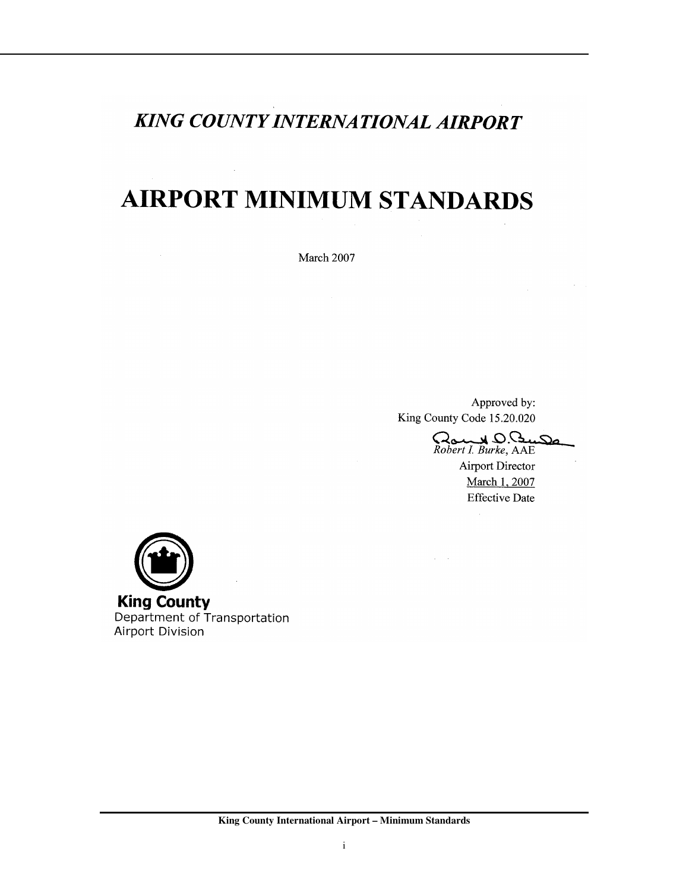## KING COUNTY INTERNATIONAL AIRPORT

# **AIRPORT MINIMUM STANDARDS**

March 2007

Approved by: King County Code 15.20.020

 $\omega_{\rm{max}}$ 

Roud O. Budg

**Airport Director** March 1, 2007 **Effective Date** 



 $\sim$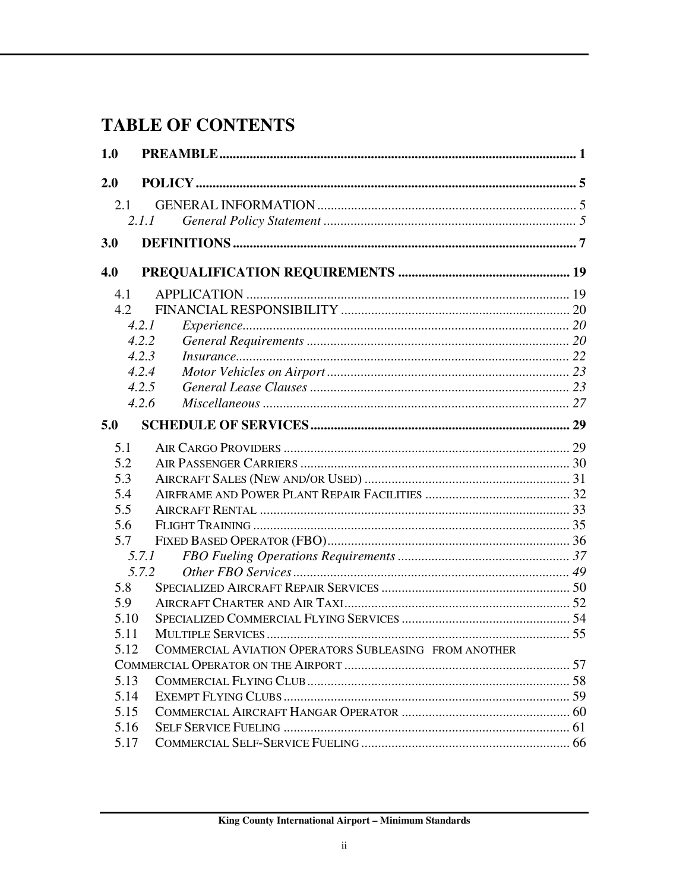# **TABLE OF CONTENTS**

| 1.0  |       |                                                       |  |  |  |
|------|-------|-------------------------------------------------------|--|--|--|
| 2.0  |       |                                                       |  |  |  |
| 2.1  |       |                                                       |  |  |  |
|      | 2.1.1 |                                                       |  |  |  |
| 3.0  |       |                                                       |  |  |  |
| 4.0  |       |                                                       |  |  |  |
| 4.1  |       |                                                       |  |  |  |
| 4.2  |       |                                                       |  |  |  |
|      | 4.2.1 |                                                       |  |  |  |
|      | 4.2.2 |                                                       |  |  |  |
|      | 4.2.3 |                                                       |  |  |  |
|      | 4.2.4 |                                                       |  |  |  |
|      | 4.2.5 |                                                       |  |  |  |
|      | 4.2.6 |                                                       |  |  |  |
| 5.0  |       |                                                       |  |  |  |
| 5.1  |       |                                                       |  |  |  |
| 5.2  |       |                                                       |  |  |  |
| 5.3  |       |                                                       |  |  |  |
| 5.4  |       |                                                       |  |  |  |
| 5.5  |       |                                                       |  |  |  |
| 5.6  |       |                                                       |  |  |  |
| 5.7  |       |                                                       |  |  |  |
|      | 5.7.1 |                                                       |  |  |  |
|      | 5.7.2 |                                                       |  |  |  |
| 5.8  |       |                                                       |  |  |  |
| 5.9  |       |                                                       |  |  |  |
| 5.10 |       |                                                       |  |  |  |
| 5.11 |       |                                                       |  |  |  |
| 5.12 |       | COMMERCIAL AVIATION OPERATORS SUBLEASING FROM ANOTHER |  |  |  |
|      |       |                                                       |  |  |  |
| 5.13 |       |                                                       |  |  |  |
| 5.14 |       |                                                       |  |  |  |
| 5.15 |       |                                                       |  |  |  |
| 5.16 |       |                                                       |  |  |  |
| 5.17 |       |                                                       |  |  |  |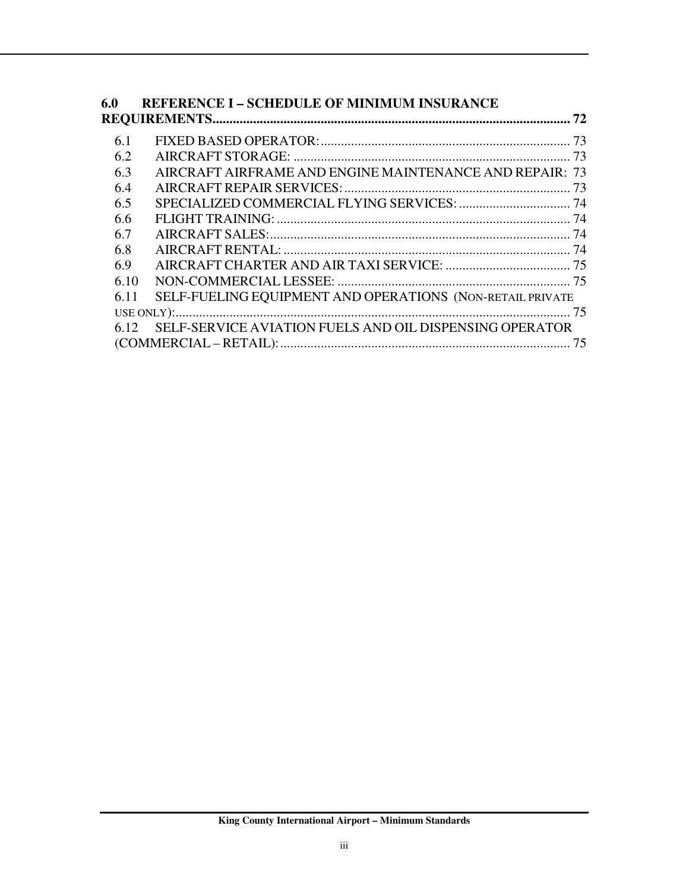|      | 6.0 REFERENCE I – SCHEDULE OF MINIMUM INSURANCE              |  |
|------|--------------------------------------------------------------|--|
|      |                                                              |  |
| 6.1  |                                                              |  |
| 6.2  |                                                              |  |
| 6.3  | AIRCRAFT AIRFRAME AND ENGINE MAINTENANCE AND REPAIR: 73      |  |
| 6.4  |                                                              |  |
| 6.5  |                                                              |  |
| 6.6  |                                                              |  |
| 6.7  |                                                              |  |
| 6.8  |                                                              |  |
| 6.9  |                                                              |  |
| 6.10 |                                                              |  |
| 6.11 | SELF-FUELING EQUIPMENT AND OPERATIONS (NON-RETAIL PRIVATE    |  |
|      |                                                              |  |
|      | 6.12 SELF-SERVICE AVIATION FUELS AND OIL DISPENSING OPERATOR |  |
|      |                                                              |  |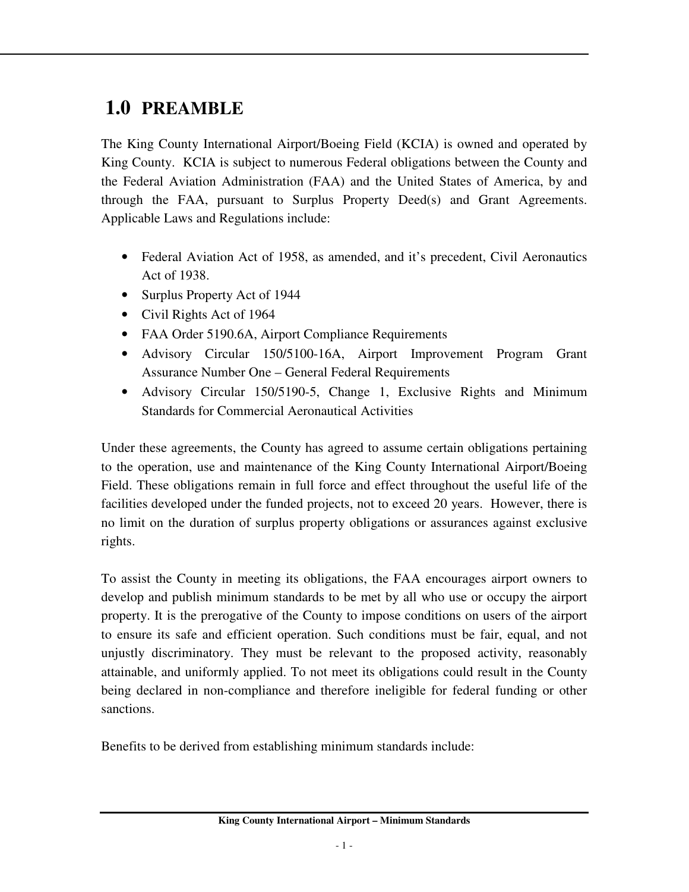# **1.0 PREAMBLE**

The King County International Airport/Boeing Field (KCIA) is owned and operated by King County. KCIA is subject to numerous Federal obligations between the County and the Federal Aviation Administration (FAA) and the United States of America, by and through the FAA, pursuant to Surplus Property Deed(s) and Grant Agreements. Applicable Laws and Regulations include:

- Federal Aviation Act of 1958, as amended, and it's precedent, Civil Aeronautics Act of 1938.
- Surplus Property Act of 1944
- Civil Rights Act of 1964
- FAA Order 5190.6A, Airport Compliance Requirements
- Advisory Circular 150/5100-16A, Airport Improvement Program Grant Assurance Number One – General Federal Requirements
- Advisory Circular 150/5190-5, Change 1, Exclusive Rights and Minimum Standards for Commercial Aeronautical Activities

Under these agreements, the County has agreed to assume certain obligations pertaining to the operation, use and maintenance of the King County International Airport/Boeing Field. These obligations remain in full force and effect throughout the useful life of the facilities developed under the funded projects, not to exceed 20 years. However, there is no limit on the duration of surplus property obligations or assurances against exclusive rights.

To assist the County in meeting its obligations, the FAA encourages airport owners to develop and publish minimum standards to be met by all who use or occupy the airport property. It is the prerogative of the County to impose conditions on users of the airport to ensure its safe and efficient operation. Such conditions must be fair, equal, and not unjustly discriminatory. They must be relevant to the proposed activity, reasonably attainable, and uniformly applied. To not meet its obligations could result in the County being declared in non-compliance and therefore ineligible for federal funding or other sanctions.

Benefits to be derived from establishing minimum standards include: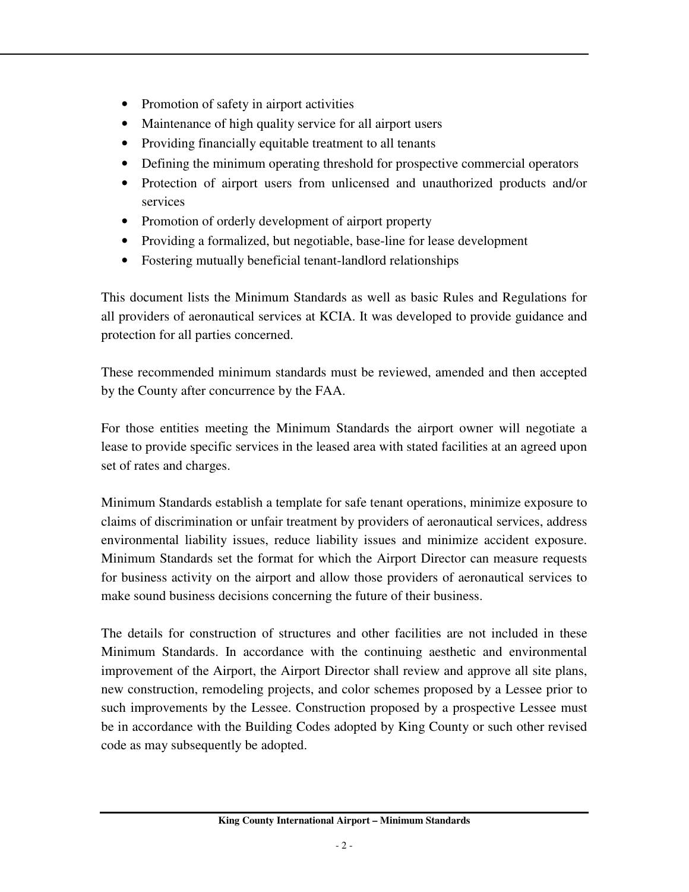- Promotion of safety in airport activities
- Maintenance of high quality service for all airport users
- Providing financially equitable treatment to all tenants
- Defining the minimum operating threshold for prospective commercial operators
- Protection of airport users from unlicensed and unauthorized products and/or services
- Promotion of orderly development of airport property
- Providing a formalized, but negotiable, base-line for lease development
- Fostering mutually beneficial tenant-landlord relationships

This document lists the Minimum Standards as well as basic Rules and Regulations for all providers of aeronautical services at KCIA. It was developed to provide guidance and protection for all parties concerned.

These recommended minimum standards must be reviewed, amended and then accepted by the County after concurrence by the FAA.

For those entities meeting the Minimum Standards the airport owner will negotiate a lease to provide specific services in the leased area with stated facilities at an agreed upon set of rates and charges.

Minimum Standards establish a template for safe tenant operations, minimize exposure to claims of discrimination or unfair treatment by providers of aeronautical services, address environmental liability issues, reduce liability issues and minimize accident exposure. Minimum Standards set the format for which the Airport Director can measure requests for business activity on the airport and allow those providers of aeronautical services to make sound business decisions concerning the future of their business.

The details for construction of structures and other facilities are not included in these Minimum Standards. In accordance with the continuing aesthetic and environmental improvement of the Airport, the Airport Director shall review and approve all site plans, new construction, remodeling projects, and color schemes proposed by a Lessee prior to such improvements by the Lessee. Construction proposed by a prospective Lessee must be in accordance with the Building Codes adopted by King County or such other revised code as may subsequently be adopted.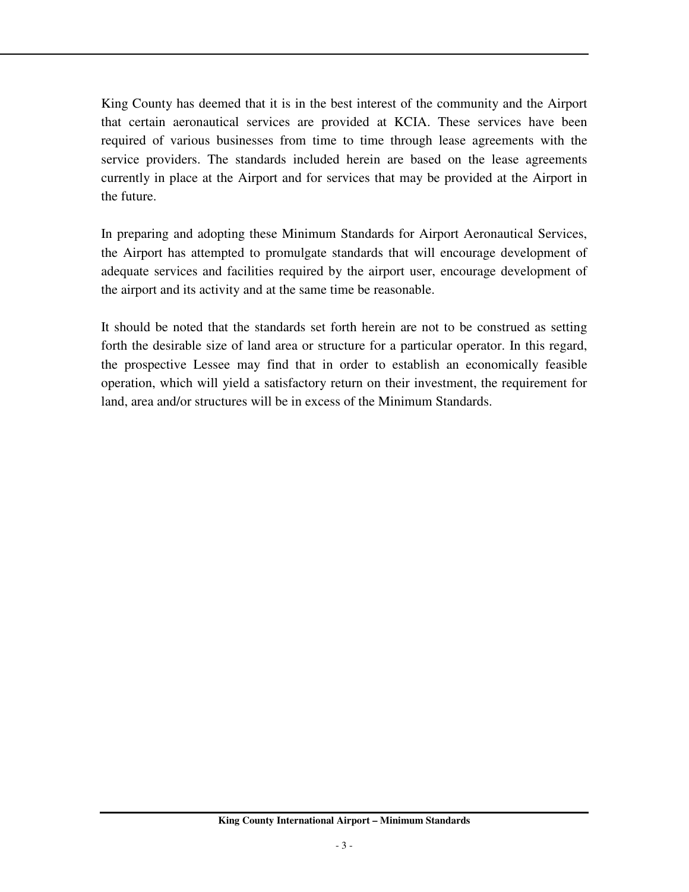King County has deemed that it is in the best interest of the community and the Airport that certain aeronautical services are provided at KCIA. These services have been required of various businesses from time to time through lease agreements with the service providers. The standards included herein are based on the lease agreements currently in place at the Airport and for services that may be provided at the Airport in the future.

In preparing and adopting these Minimum Standards for Airport Aeronautical Services, the Airport has attempted to promulgate standards that will encourage development of adequate services and facilities required by the airport user, encourage development of the airport and its activity and at the same time be reasonable.

It should be noted that the standards set forth herein are not to be construed as setting forth the desirable size of land area or structure for a particular operator. In this regard, the prospective Lessee may find that in order to establish an economically feasible operation, which will yield a satisfactory return on their investment, the requirement for land, area and/or structures will be in excess of the Minimum Standards.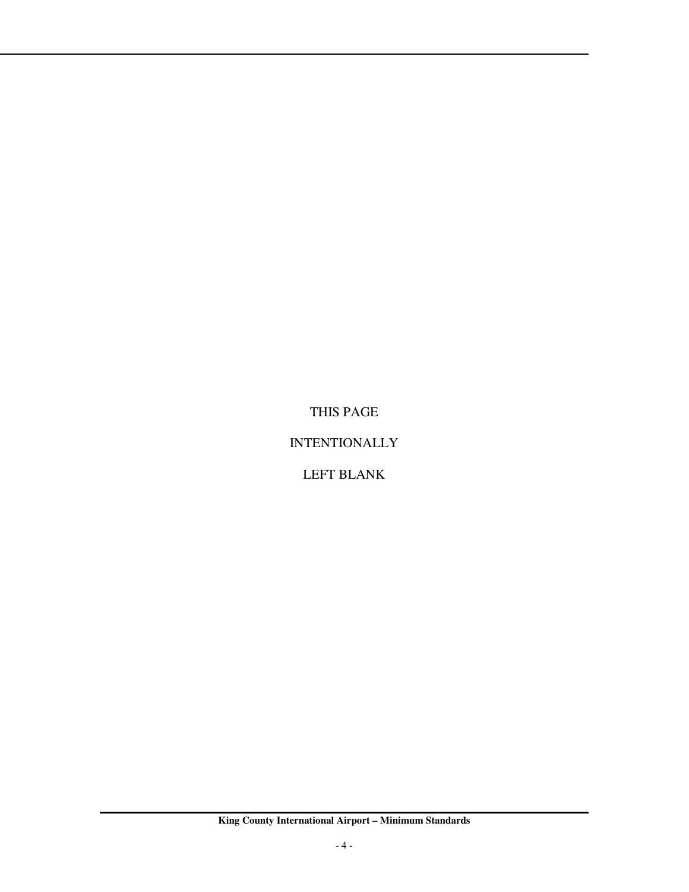THIS PAGE

**INTENTIONALLY** 

LEFT BLANK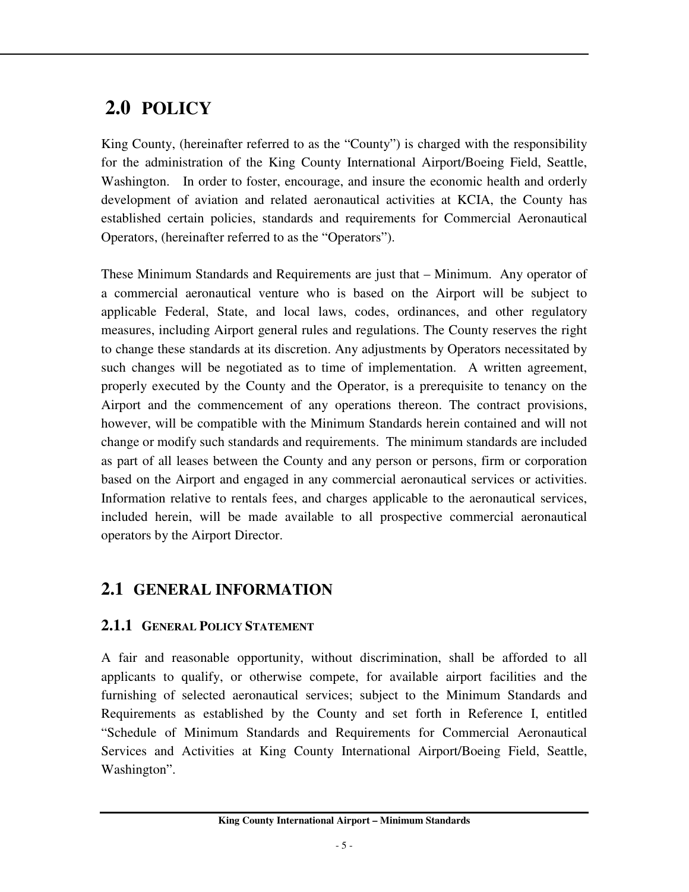# **2.0 POLICY**

King County, (hereinafter referred to as the "County") is charged with the responsibility for the administration of the King County International Airport/Boeing Field, Seattle, Washington. In order to foster, encourage, and insure the economic health and orderly development of aviation and related aeronautical activities at KCIA, the County has established certain policies, standards and requirements for Commercial Aeronautical Operators, (hereinafter referred to as the "Operators").

These Minimum Standards and Requirements are just that – Minimum. Any operator of a commercial aeronautical venture who is based on the Airport will be subject to applicable Federal, State, and local laws, codes, ordinances, and other regulatory measures, including Airport general rules and regulations. The County reserves the right to change these standards at its discretion. Any adjustments by Operators necessitated by such changes will be negotiated as to time of implementation. A written agreement, properly executed by the County and the Operator, is a prerequisite to tenancy on the Airport and the commencement of any operations thereon. The contract provisions, however, will be compatible with the Minimum Standards herein contained and will not change or modify such standards and requirements. The minimum standards are included as part of all leases between the County and any person or persons, firm or corporation based on the Airport and engaged in any commercial aeronautical services or activities. Information relative to rentals fees, and charges applicable to the aeronautical services, included herein, will be made available to all prospective commercial aeronautical operators by the Airport Director.

### **2.1 GENERAL INFORMATION**

#### **2.1.1 GENERAL POLICY STATEMENT**

A fair and reasonable opportunity, without discrimination, shall be afforded to all applicants to qualify, or otherwise compete, for available airport facilities and the furnishing of selected aeronautical services; subject to the Minimum Standards and Requirements as established by the County and set forth in Reference I, entitled "Schedule of Minimum Standards and Requirements for Commercial Aeronautical Services and Activities at King County International Airport/Boeing Field, Seattle, Washington".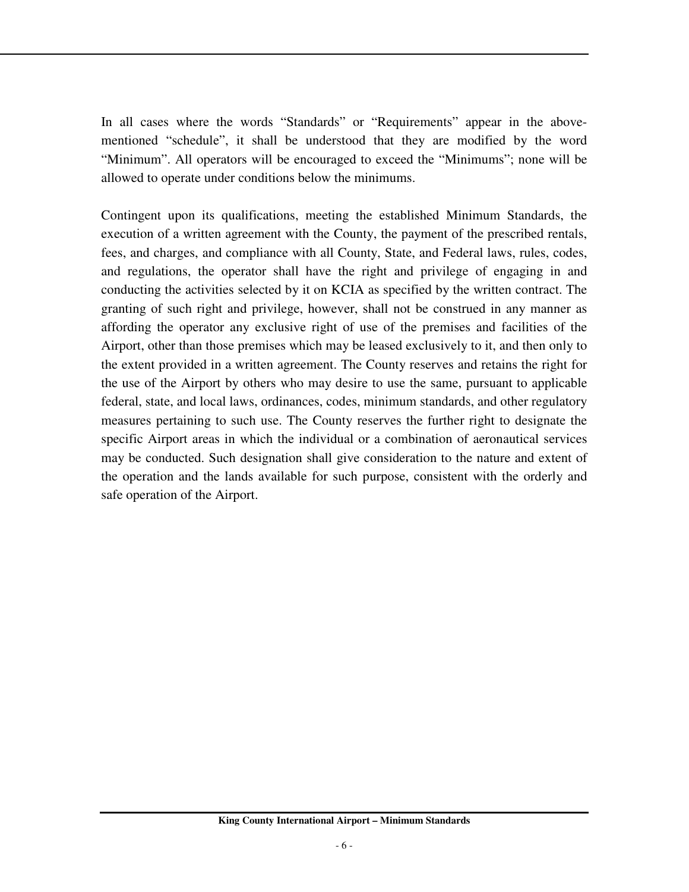In all cases where the words "Standards" or "Requirements" appear in the abovementioned "schedule", it shall be understood that they are modified by the word "Minimum". All operators will be encouraged to exceed the "Minimums"; none will be allowed to operate under conditions below the minimums.

Contingent upon its qualifications, meeting the established Minimum Standards, the execution of a written agreement with the County, the payment of the prescribed rentals, fees, and charges, and compliance with all County, State, and Federal laws, rules, codes, and regulations, the operator shall have the right and privilege of engaging in and conducting the activities selected by it on KCIA as specified by the written contract. The granting of such right and privilege, however, shall not be construed in any manner as affording the operator any exclusive right of use of the premises and facilities of the Airport, other than those premises which may be leased exclusively to it, and then only to the extent provided in a written agreement. The County reserves and retains the right for the use of the Airport by others who may desire to use the same, pursuant to applicable federal, state, and local laws, ordinances, codes, minimum standards, and other regulatory measures pertaining to such use. The County reserves the further right to designate the specific Airport areas in which the individual or a combination of aeronautical services may be conducted. Such designation shall give consideration to the nature and extent of the operation and the lands available for such purpose, consistent with the orderly and safe operation of the Airport.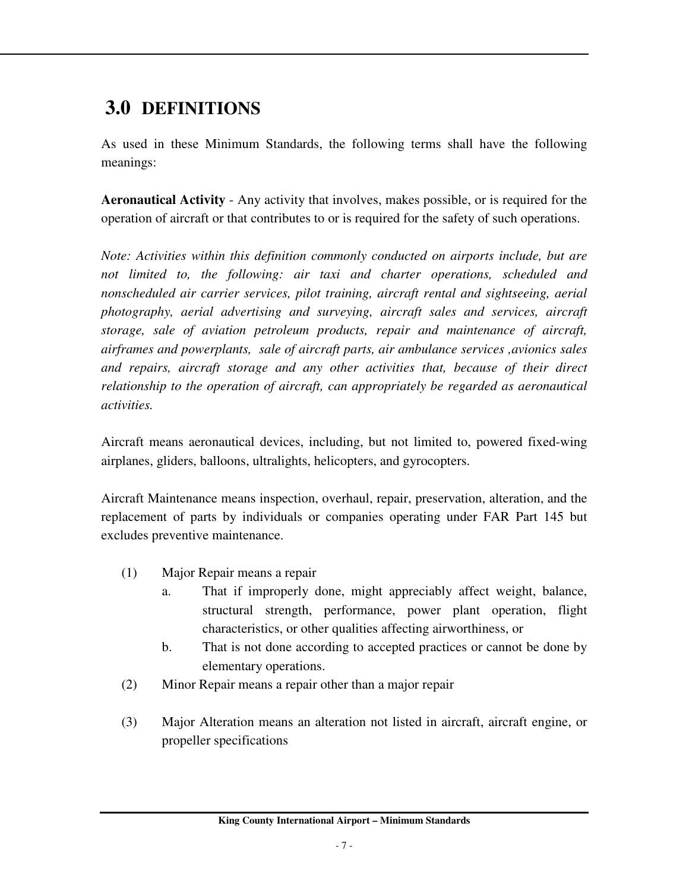# **3.0 DEFINITIONS**

As used in these Minimum Standards, the following terms shall have the following meanings:

**Aeronautical Activity** - Any activity that involves, makes possible, or is required for the operation of aircraft or that contributes to or is required for the safety of such operations.

*Note: Activities within this definition commonly conducted on airports include, but are not limited to, the following: air taxi and charter operations, scheduled and nonscheduled air carrier services, pilot training, aircraft rental and sightseeing, aerial photography, aerial advertising and surveying, aircraft sales and services, aircraft storage, sale of aviation petroleum products, repair and maintenance of aircraft, airframes and powerplants, sale of aircraft parts, air ambulance services ,avionics sales and repairs, aircraft storage and any other activities that, because of their direct relationship to the operation of aircraft, can appropriately be regarded as aeronautical activities.* 

Aircraft means aeronautical devices, including, but not limited to, powered fixed-wing airplanes, gliders, balloons, ultralights, helicopters, and gyrocopters.

Aircraft Maintenance means inspection, overhaul, repair, preservation, alteration, and the replacement of parts by individuals or companies operating under FAR Part 145 but excludes preventive maintenance.

- (1) Major Repair means a repair
	- a. That if improperly done, might appreciably affect weight, balance, structural strength, performance, power plant operation, flight characteristics, or other qualities affecting airworthiness, or
	- b. That is not done according to accepted practices or cannot be done by elementary operations.
- (2) Minor Repair means a repair other than a major repair
- (3) Major Alteration means an alteration not listed in aircraft, aircraft engine, or propeller specifications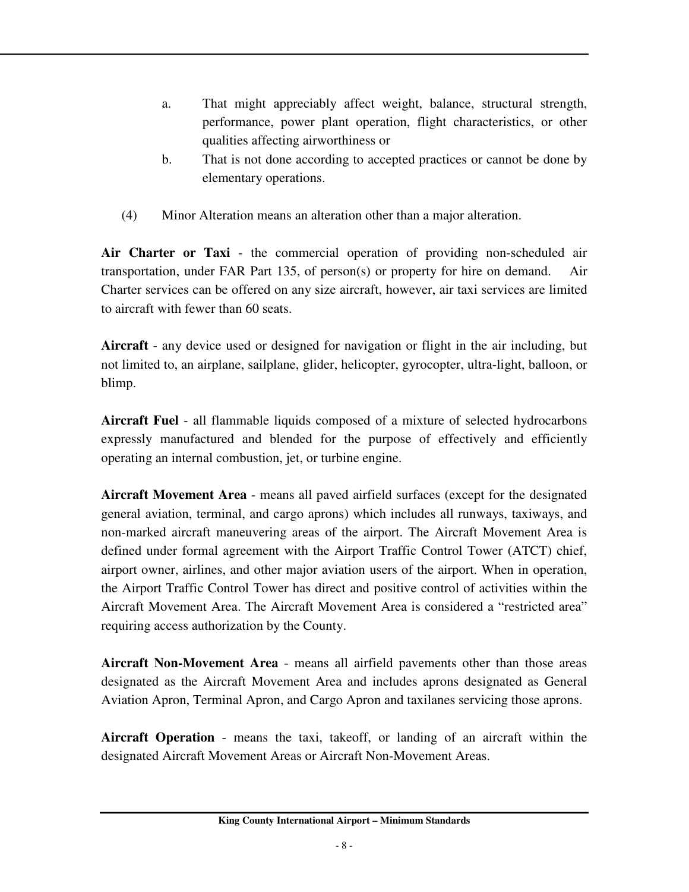- a. That might appreciably affect weight, balance, structural strength, performance, power plant operation, flight characteristics, or other qualities affecting airworthiness or
- b. That is not done according to accepted practices or cannot be done by elementary operations.
- (4) Minor Alteration means an alteration other than a major alteration.

**Air Charter or Taxi** - the commercial operation of providing non-scheduled air transportation, under FAR Part 135, of person(s) or property for hire on demand. Air Charter services can be offered on any size aircraft, however, air taxi services are limited to aircraft with fewer than 60 seats.

**Aircraft** - any device used or designed for navigation or flight in the air including, but not limited to, an airplane, sailplane, glider, helicopter, gyrocopter, ultra-light, balloon, or blimp.

**Aircraft Fuel** - all flammable liquids composed of a mixture of selected hydrocarbons expressly manufactured and blended for the purpose of effectively and efficiently operating an internal combustion, jet, or turbine engine.

**Aircraft Movement Area** - means all paved airfield surfaces (except for the designated general aviation, terminal, and cargo aprons) which includes all runways, taxiways, and non-marked aircraft maneuvering areas of the airport. The Aircraft Movement Area is defined under formal agreement with the Airport Traffic Control Tower (ATCT) chief, airport owner, airlines, and other major aviation users of the airport. When in operation, the Airport Traffic Control Tower has direct and positive control of activities within the Aircraft Movement Area. The Aircraft Movement Area is considered a "restricted area" requiring access authorization by the County.

**Aircraft Non-Movement Area** - means all airfield pavements other than those areas designated as the Aircraft Movement Area and includes aprons designated as General Aviation Apron, Terminal Apron, and Cargo Apron and taxilanes servicing those aprons.

**Aircraft Operation** - means the taxi, takeoff, or landing of an aircraft within the designated Aircraft Movement Areas or Aircraft Non-Movement Areas.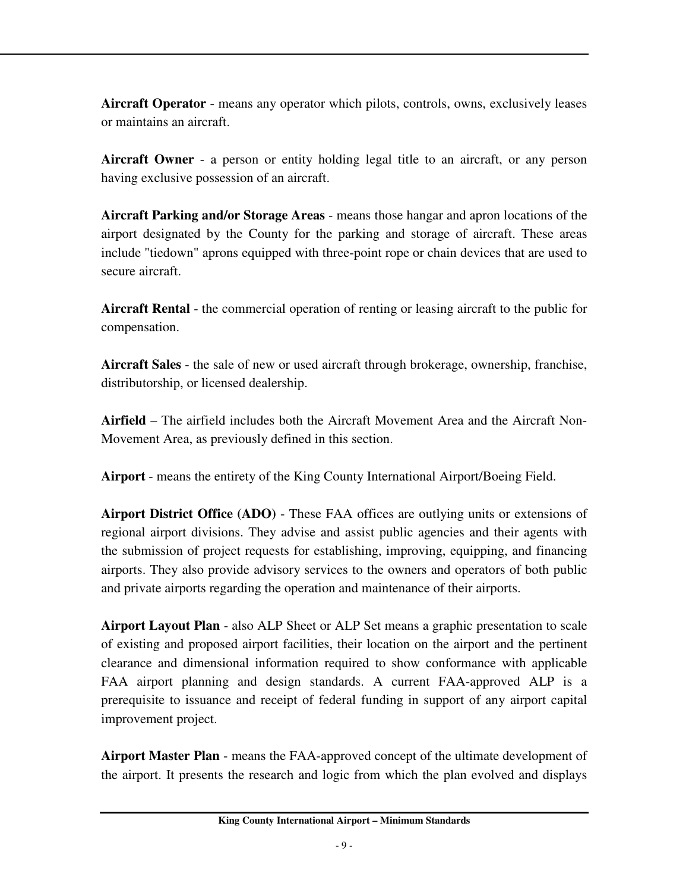**Aircraft Operator** - means any operator which pilots, controls, owns, exclusively leases or maintains an aircraft.

**Aircraft Owner** - a person or entity holding legal title to an aircraft, or any person having exclusive possession of an aircraft.

**Aircraft Parking and/or Storage Areas** - means those hangar and apron locations of the airport designated by the County for the parking and storage of aircraft. These areas include "tiedown" aprons equipped with three-point rope or chain devices that are used to secure aircraft.

**Aircraft Rental** - the commercial operation of renting or leasing aircraft to the public for compensation.

**Aircraft Sales** - the sale of new or used aircraft through brokerage, ownership, franchise, distributorship, or licensed dealership.

**Airfield** – The airfield includes both the Aircraft Movement Area and the Aircraft Non-Movement Area, as previously defined in this section.

**Airport** - means the entirety of the King County International Airport/Boeing Field.

**Airport District Office (ADO)** - These FAA offices are outlying units or extensions of regional airport divisions. They advise and assist public agencies and their agents with the submission of project requests for establishing, improving, equipping, and financing airports. They also provide advisory services to the owners and operators of both public and private airports regarding the operation and maintenance of their airports.

**Airport Layout Plan** - also ALP Sheet or ALP Set means a graphic presentation to scale of existing and proposed airport facilities, their location on the airport and the pertinent clearance and dimensional information required to show conformance with applicable FAA airport planning and design standards. A current FAA-approved ALP is a prerequisite to issuance and receipt of federal funding in support of any airport capital improvement project.

**Airport Master Plan** - means the FAA-approved concept of the ultimate development of the airport. It presents the research and logic from which the plan evolved and displays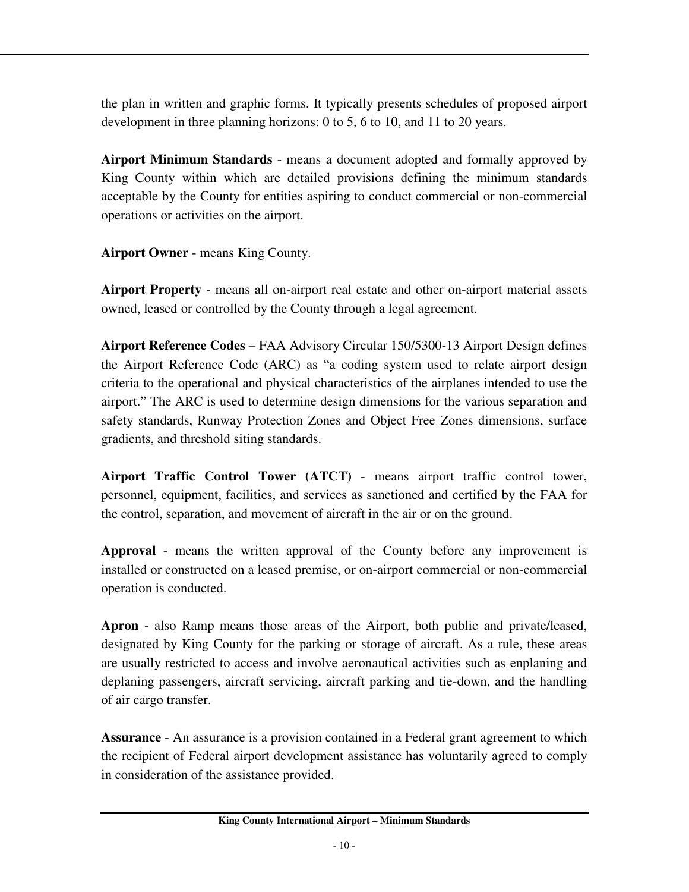the plan in written and graphic forms. It typically presents schedules of proposed airport development in three planning horizons: 0 to 5, 6 to 10, and 11 to 20 years.

**Airport Minimum Standards** - means a document adopted and formally approved by King County within which are detailed provisions defining the minimum standards acceptable by the County for entities aspiring to conduct commercial or non-commercial operations or activities on the airport.

**Airport Owner** - means King County.

**Airport Property** - means all on-airport real estate and other on-airport material assets owned, leased or controlled by the County through a legal agreement.

**Airport Reference Codes** – FAA Advisory Circular 150/5300-13 Airport Design defines the Airport Reference Code (ARC) as "a coding system used to relate airport design criteria to the operational and physical characteristics of the airplanes intended to use the airport." The ARC is used to determine design dimensions for the various separation and safety standards, Runway Protection Zones and Object Free Zones dimensions, surface gradients, and threshold siting standards.

**Airport Traffic Control Tower (ATCT)** - means airport traffic control tower, personnel, equipment, facilities, and services as sanctioned and certified by the FAA for the control, separation, and movement of aircraft in the air or on the ground.

**Approval** - means the written approval of the County before any improvement is installed or constructed on a leased premise, or on-airport commercial or non-commercial operation is conducted.

**Apron** - also Ramp means those areas of the Airport, both public and private/leased, designated by King County for the parking or storage of aircraft. As a rule, these areas are usually restricted to access and involve aeronautical activities such as enplaning and deplaning passengers, aircraft servicing, aircraft parking and tie-down, and the handling of air cargo transfer.

**Assurance** - An assurance is a provision contained in a Federal grant agreement to which the recipient of Federal airport development assistance has voluntarily agreed to comply in consideration of the assistance provided.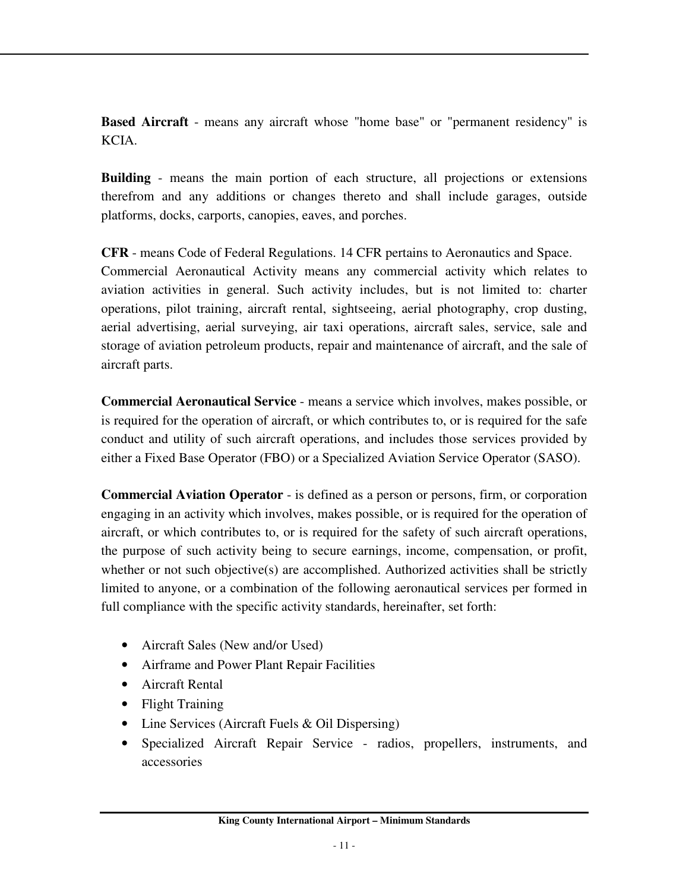**Based Aircraft** - means any aircraft whose "home base" or "permanent residency" is KCIA.

**Building** - means the main portion of each structure, all projections or extensions therefrom and any additions or changes thereto and shall include garages, outside platforms, docks, carports, canopies, eaves, and porches.

**CFR** - means Code of Federal Regulations. 14 CFR pertains to Aeronautics and Space. Commercial Aeronautical Activity means any commercial activity which relates to aviation activities in general. Such activity includes, but is not limited to: charter operations, pilot training, aircraft rental, sightseeing, aerial photography, crop dusting, aerial advertising, aerial surveying, air taxi operations, aircraft sales, service, sale and storage of aviation petroleum products, repair and maintenance of aircraft, and the sale of aircraft parts.

**Commercial Aeronautical Service** - means a service which involves, makes possible, or is required for the operation of aircraft, or which contributes to, or is required for the safe conduct and utility of such aircraft operations, and includes those services provided by either a Fixed Base Operator (FBO) or a Specialized Aviation Service Operator (SASO).

**Commercial Aviation Operator** - is defined as a person or persons, firm, or corporation engaging in an activity which involves, makes possible, or is required for the operation of aircraft, or which contributes to, or is required for the safety of such aircraft operations, the purpose of such activity being to secure earnings, income, compensation, or profit, whether or not such objective(s) are accomplished. Authorized activities shall be strictly limited to anyone, or a combination of the following aeronautical services per formed in full compliance with the specific activity standards, hereinafter, set forth:

- Aircraft Sales (New and/or Used)
- Airframe and Power Plant Repair Facilities
- Aircraft Rental
- Flight Training
- Line Services (Aircraft Fuels & Oil Dispersing)
- Specialized Aircraft Repair Service radios, propellers, instruments, and accessories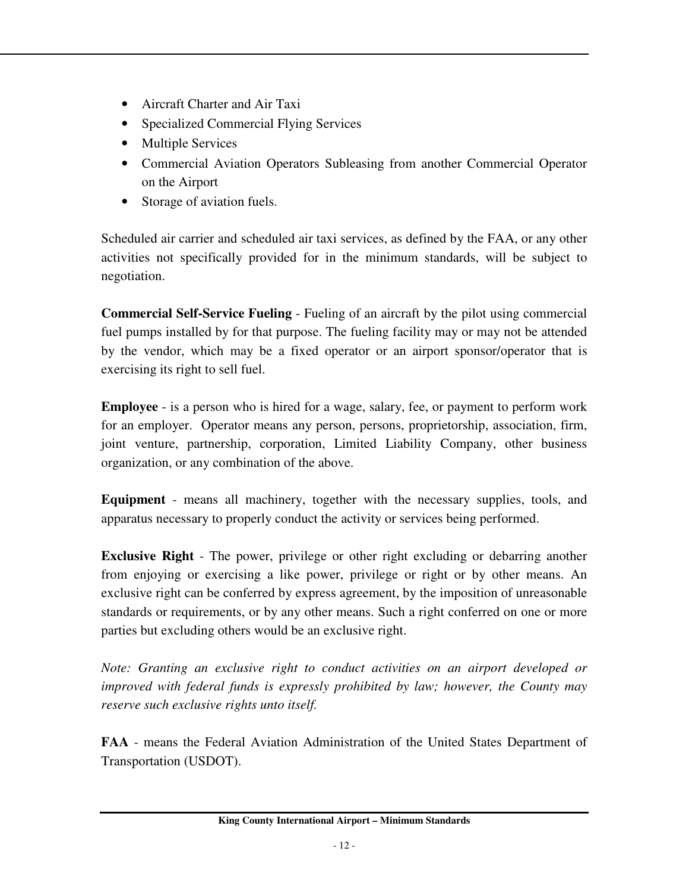- Aircraft Charter and Air Taxi
- Specialized Commercial Flying Services
- Multiple Services
- Commercial Aviation Operators Subleasing from another Commercial Operator on the Airport
- Storage of aviation fuels.

Scheduled air carrier and scheduled air taxi services, as defined by the FAA, or any other activities not specifically provided for in the minimum standards, will be subject to negotiation.

**Commercial Self-Service Fueling** - Fueling of an aircraft by the pilot using commercial fuel pumps installed by for that purpose. The fueling facility may or may not be attended by the vendor, which may be a fixed operator or an airport sponsor/operator that is exercising its right to sell fuel.

**Employee** - is a person who is hired for a wage, salary, fee, or payment to perform work for an employer. Operator means any person, persons, proprietorship, association, firm, joint venture, partnership, corporation, Limited Liability Company, other business organization, or any combination of the above.

**Equipment** - means all machinery, together with the necessary supplies, tools, and apparatus necessary to properly conduct the activity or services being performed.

**Exclusive Right** - The power, privilege or other right excluding or debarring another from enjoying or exercising a like power, privilege or right or by other means. An exclusive right can be conferred by express agreement, by the imposition of unreasonable standards or requirements, or by any other means. Such a right conferred on one or more parties but excluding others would be an exclusive right.

*Note: Granting an exclusive right to conduct activities on an airport developed or improved with federal funds is expressly prohibited by law; however, the County may reserve such exclusive rights unto itself.* 

**FAA** - means the Federal Aviation Administration of the United States Department of Transportation (USDOT).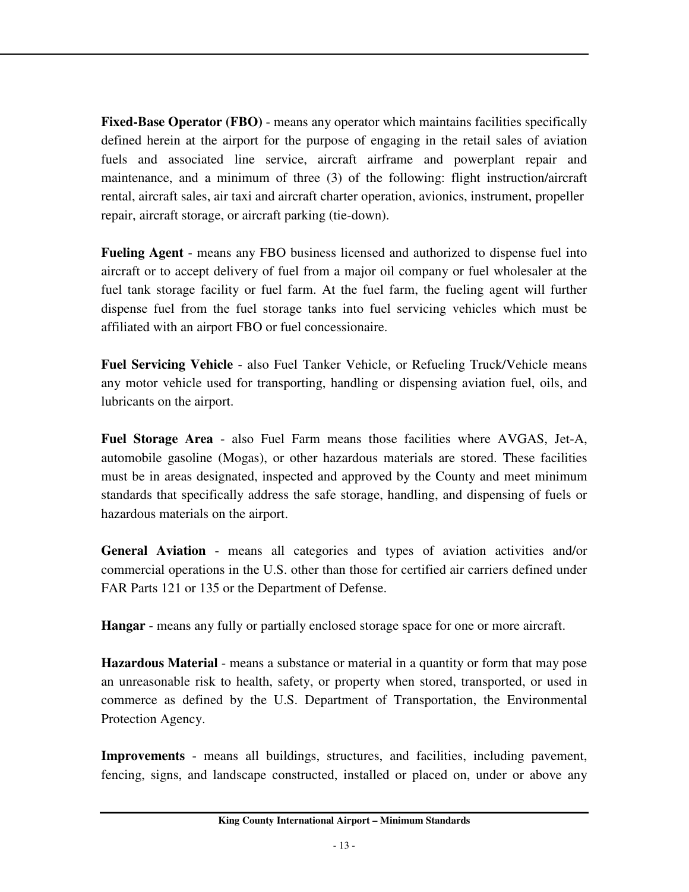**Fixed-Base Operator (FBO)** - means any operator which maintains facilities specifically defined herein at the airport for the purpose of engaging in the retail sales of aviation fuels and associated line service, aircraft airframe and powerplant repair and maintenance, and a minimum of three (3) of the following: flight instruction/aircraft rental, aircraft sales, air taxi and aircraft charter operation, avionics, instrument, propeller repair, aircraft storage, or aircraft parking (tie-down).

**Fueling Agent** - means any FBO business licensed and authorized to dispense fuel into aircraft or to accept delivery of fuel from a major oil company or fuel wholesaler at the fuel tank storage facility or fuel farm. At the fuel farm, the fueling agent will further dispense fuel from the fuel storage tanks into fuel servicing vehicles which must be affiliated with an airport FBO or fuel concessionaire.

**Fuel Servicing Vehicle** - also Fuel Tanker Vehicle, or Refueling Truck/Vehicle means any motor vehicle used for transporting, handling or dispensing aviation fuel, oils, and lubricants on the airport.

**Fuel Storage Area** - also Fuel Farm means those facilities where AVGAS, Jet-A, automobile gasoline (Mogas), or other hazardous materials are stored. These facilities must be in areas designated, inspected and approved by the County and meet minimum standards that specifically address the safe storage, handling, and dispensing of fuels or hazardous materials on the airport.

**General Aviation** - means all categories and types of aviation activities and/or commercial operations in the U.S. other than those for certified air carriers defined under FAR Parts 121 or 135 or the Department of Defense.

**Hangar** - means any fully or partially enclosed storage space for one or more aircraft.

**Hazardous Material** - means a substance or material in a quantity or form that may pose an unreasonable risk to health, safety, or property when stored, transported, or used in commerce as defined by the U.S. Department of Transportation, the Environmental Protection Agency.

**Improvements** - means all buildings, structures, and facilities, including pavement, fencing, signs, and landscape constructed, installed or placed on, under or above any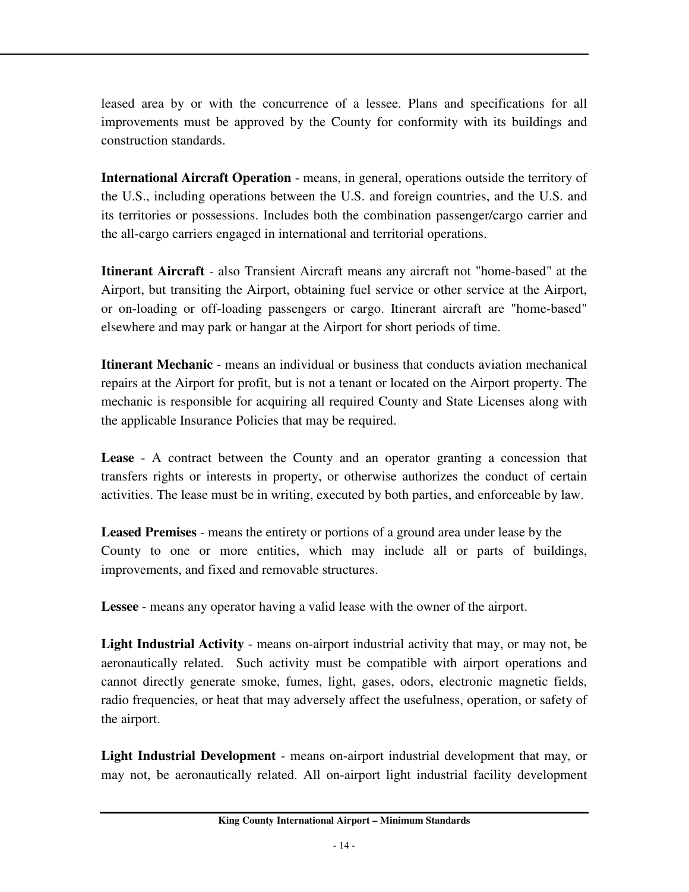leased area by or with the concurrence of a lessee. Plans and specifications for all improvements must be approved by the County for conformity with its buildings and construction standards.

**International Aircraft Operation** - means, in general, operations outside the territory of the U.S., including operations between the U.S. and foreign countries, and the U.S. and its territories or possessions. Includes both the combination passenger/cargo carrier and the all-cargo carriers engaged in international and territorial operations.

**Itinerant Aircraft** - also Transient Aircraft means any aircraft not "home-based" at the Airport, but transiting the Airport, obtaining fuel service or other service at the Airport, or on-loading or off-loading passengers or cargo. Itinerant aircraft are "home-based" elsewhere and may park or hangar at the Airport for short periods of time.

**Itinerant Mechanic** - means an individual or business that conducts aviation mechanical repairs at the Airport for profit, but is not a tenant or located on the Airport property. The mechanic is responsible for acquiring all required County and State Licenses along with the applicable Insurance Policies that may be required.

**Lease** - A contract between the County and an operator granting a concession that transfers rights or interests in property, or otherwise authorizes the conduct of certain activities. The lease must be in writing, executed by both parties, and enforceable by law.

**Leased Premises** - means the entirety or portions of a ground area under lease by the County to one or more entities, which may include all or parts of buildings, improvements, and fixed and removable structures.

**Lessee** - means any operator having a valid lease with the owner of the airport.

**Light Industrial Activity** - means on-airport industrial activity that may, or may not, be aeronautically related. Such activity must be compatible with airport operations and cannot directly generate smoke, fumes, light, gases, odors, electronic magnetic fields, radio frequencies, or heat that may adversely affect the usefulness, operation, or safety of the airport.

**Light Industrial Development** - means on-airport industrial development that may, or may not, be aeronautically related. All on-airport light industrial facility development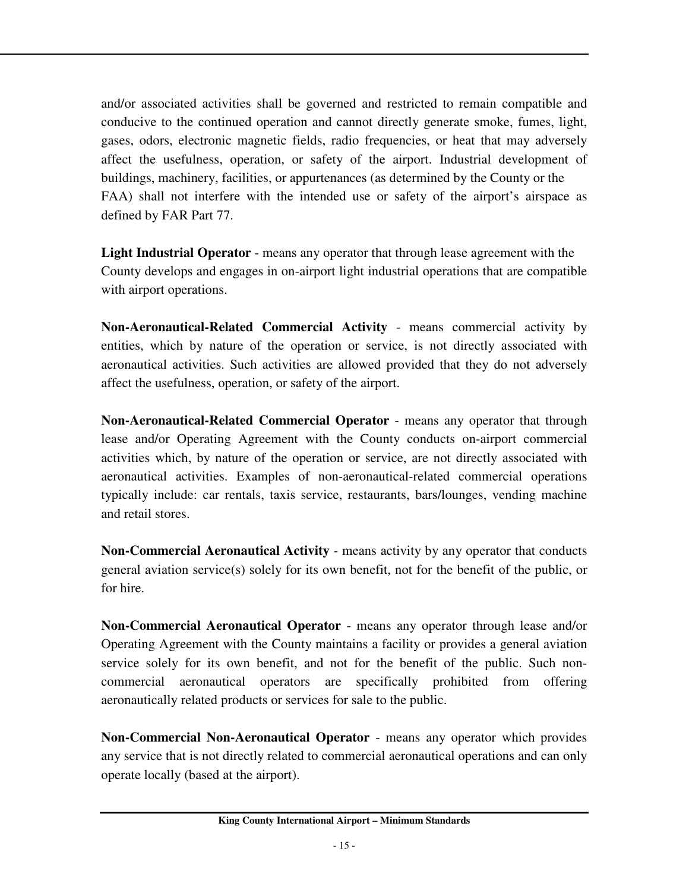and/or associated activities shall be governed and restricted to remain compatible and conducive to the continued operation and cannot directly generate smoke, fumes, light, gases, odors, electronic magnetic fields, radio frequencies, or heat that may adversely affect the usefulness, operation, or safety of the airport. Industrial development of buildings, machinery, facilities, or appurtenances (as determined by the County or the FAA) shall not interfere with the intended use or safety of the airport's airspace as defined by FAR Part 77.

**Light Industrial Operator** - means any operator that through lease agreement with the County develops and engages in on-airport light industrial operations that are compatible with airport operations.

**Non-Aeronautical-Related Commercial Activity** - means commercial activity by entities, which by nature of the operation or service, is not directly associated with aeronautical activities. Such activities are allowed provided that they do not adversely affect the usefulness, operation, or safety of the airport.

**Non-Aeronautical-Related Commercial Operator** - means any operator that through lease and/or Operating Agreement with the County conducts on-airport commercial activities which, by nature of the operation or service, are not directly associated with aeronautical activities. Examples of non-aeronautical-related commercial operations typically include: car rentals, taxis service, restaurants, bars/lounges, vending machine and retail stores.

**Non-Commercial Aeronautical Activity** - means activity by any operator that conducts general aviation service(s) solely for its own benefit, not for the benefit of the public, or for hire.

**Non-Commercial Aeronautical Operator** - means any operator through lease and/or Operating Agreement with the County maintains a facility or provides a general aviation service solely for its own benefit, and not for the benefit of the public. Such noncommercial aeronautical operators are specifically prohibited from offering aeronautically related products or services for sale to the public.

**Non-Commercial Non-Aeronautical Operator** - means any operator which provides any service that is not directly related to commercial aeronautical operations and can only operate locally (based at the airport).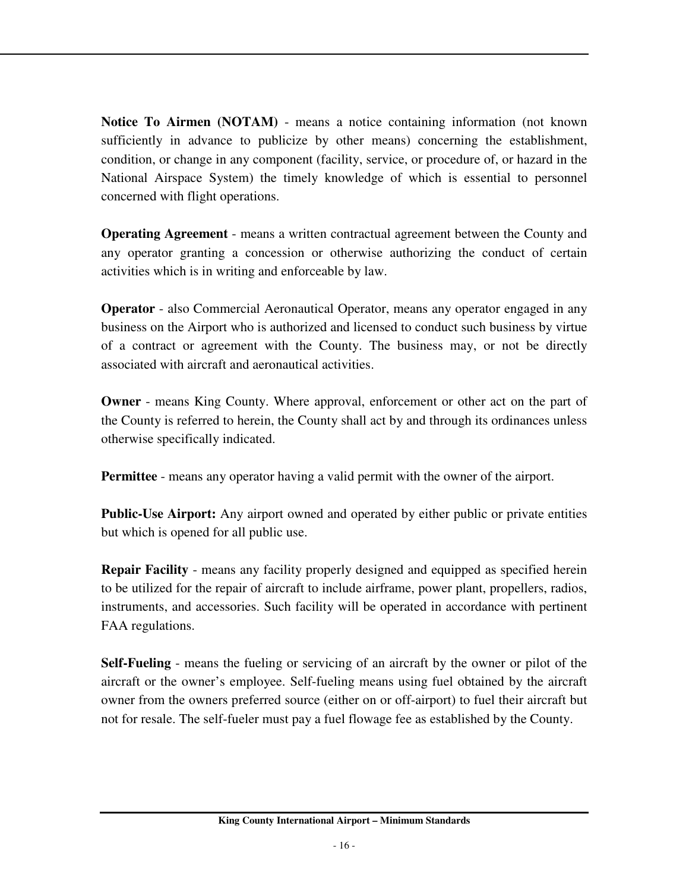**Notice To Airmen (NOTAM)** - means a notice containing information (not known sufficiently in advance to publicize by other means) concerning the establishment, condition, or change in any component (facility, service, or procedure of, or hazard in the National Airspace System) the timely knowledge of which is essential to personnel concerned with flight operations.

**Operating Agreement** - means a written contractual agreement between the County and any operator granting a concession or otherwise authorizing the conduct of certain activities which is in writing and enforceable by law.

**Operator** - also Commercial Aeronautical Operator, means any operator engaged in any business on the Airport who is authorized and licensed to conduct such business by virtue of a contract or agreement with the County. The business may, or not be directly associated with aircraft and aeronautical activities.

**Owner** - means King County. Where approval, enforcement or other act on the part of the County is referred to herein, the County shall act by and through its ordinances unless otherwise specifically indicated.

**Permittee** - means any operator having a valid permit with the owner of the airport.

**Public-Use Airport:** Any airport owned and operated by either public or private entities but which is opened for all public use.

**Repair Facility** - means any facility properly designed and equipped as specified herein to be utilized for the repair of aircraft to include airframe, power plant, propellers, radios, instruments, and accessories. Such facility will be operated in accordance with pertinent FAA regulations.

**Self-Fueling** - means the fueling or servicing of an aircraft by the owner or pilot of the aircraft or the owner's employee. Self-fueling means using fuel obtained by the aircraft owner from the owners preferred source (either on or off-airport) to fuel their aircraft but not for resale. The self-fueler must pay a fuel flowage fee as established by the County.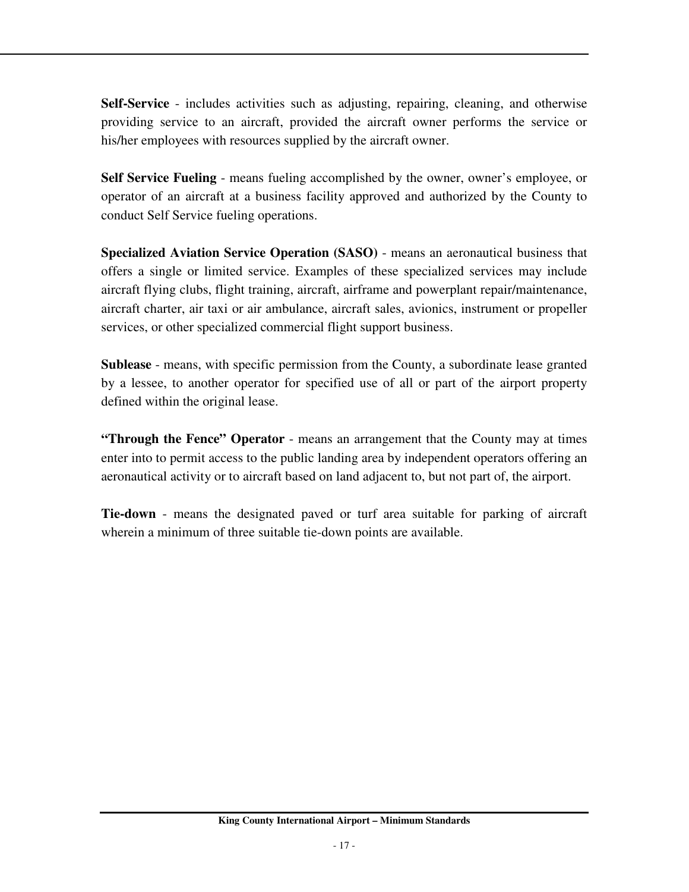**Self-Service** - includes activities such as adjusting, repairing, cleaning, and otherwise providing service to an aircraft, provided the aircraft owner performs the service or his/her employees with resources supplied by the aircraft owner.

**Self Service Fueling** - means fueling accomplished by the owner, owner's employee, or operator of an aircraft at a business facility approved and authorized by the County to conduct Self Service fueling operations.

**Specialized Aviation Service Operation (SASO)** - means an aeronautical business that offers a single or limited service. Examples of these specialized services may include aircraft flying clubs, flight training, aircraft, airframe and powerplant repair/maintenance, aircraft charter, air taxi or air ambulance, aircraft sales, avionics, instrument or propeller services, or other specialized commercial flight support business.

**Sublease** - means, with specific permission from the County, a subordinate lease granted by a lessee, to another operator for specified use of all or part of the airport property defined within the original lease.

**"Through the Fence" Operator** - means an arrangement that the County may at times enter into to permit access to the public landing area by independent operators offering an aeronautical activity or to aircraft based on land adjacent to, but not part of, the airport.

**Tie-down** - means the designated paved or turf area suitable for parking of aircraft wherein a minimum of three suitable tie-down points are available.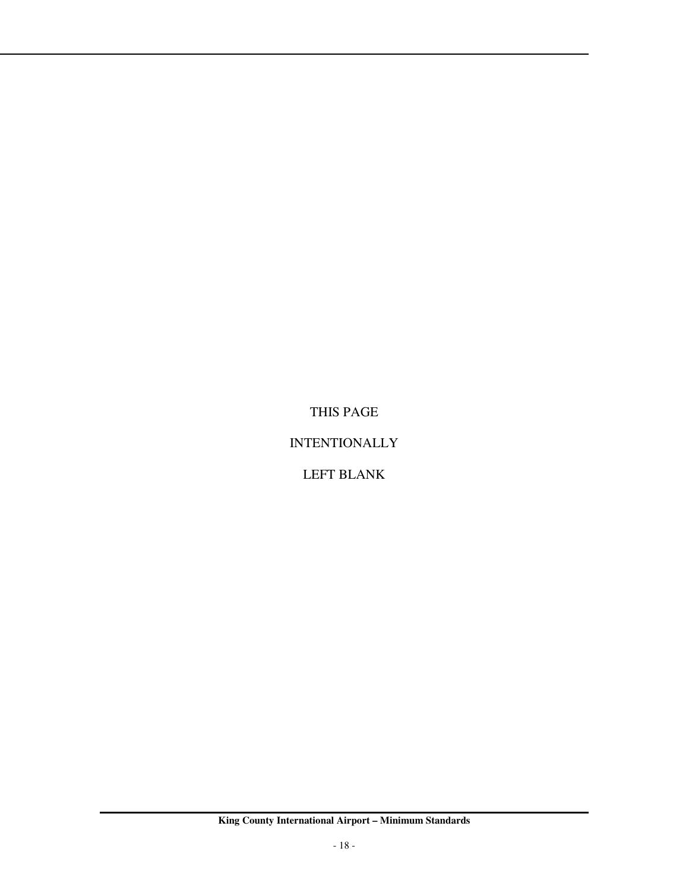THIS PAGE

**INTENTIONALLY** 

LEFT BLANK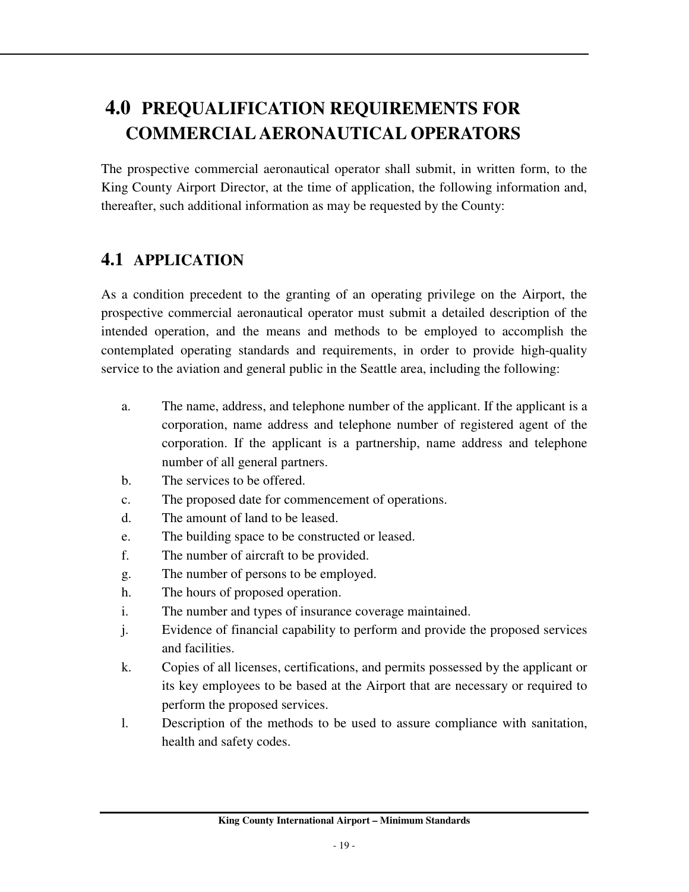# **4.0 PREQUALIFICATION REQUIREMENTS FOR COMMERCIAL AERONAUTICAL OPERATORS**

The prospective commercial aeronautical operator shall submit, in written form, to the King County Airport Director, at the time of application, the following information and, thereafter, such additional information as may be requested by the County:

### **4.1 APPLICATION**

As a condition precedent to the granting of an operating privilege on the Airport, the prospective commercial aeronautical operator must submit a detailed description of the intended operation, and the means and methods to be employed to accomplish the contemplated operating standards and requirements, in order to provide high-quality service to the aviation and general public in the Seattle area, including the following:

- a. The name, address, and telephone number of the applicant. If the applicant is a corporation, name address and telephone number of registered agent of the corporation. If the applicant is a partnership, name address and telephone number of all general partners.
- b. The services to be offered.
- c. The proposed date for commencement of operations.
- d. The amount of land to be leased.
- e. The building space to be constructed or leased.
- f. The number of aircraft to be provided.
- g. The number of persons to be employed.
- h. The hours of proposed operation.
- i. The number and types of insurance coverage maintained.
- j. Evidence of financial capability to perform and provide the proposed services and facilities.
- k. Copies of all licenses, certifications, and permits possessed by the applicant or its key employees to be based at the Airport that are necessary or required to perform the proposed services.
- l. Description of the methods to be used to assure compliance with sanitation, health and safety codes.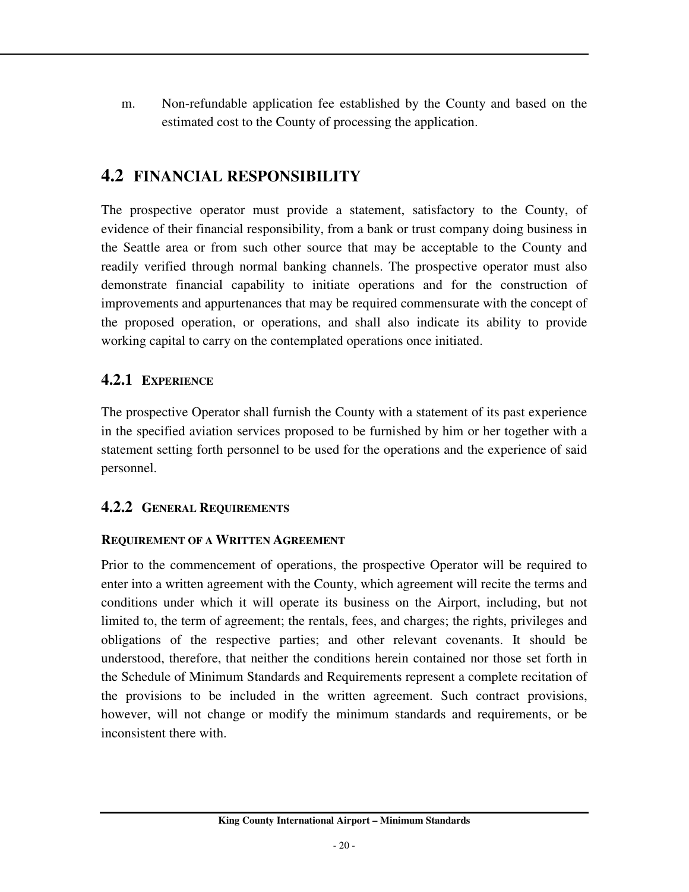m. Non-refundable application fee established by the County and based on the estimated cost to the County of processing the application.

### **4.2 FINANCIAL RESPONSIBILITY**

The prospective operator must provide a statement, satisfactory to the County, of evidence of their financial responsibility, from a bank or trust company doing business in the Seattle area or from such other source that may be acceptable to the County and readily verified through normal banking channels. The prospective operator must also demonstrate financial capability to initiate operations and for the construction of improvements and appurtenances that may be required commensurate with the concept of the proposed operation, or operations, and shall also indicate its ability to provide working capital to carry on the contemplated operations once initiated.

#### **4.2.1 EXPERIENCE**

The prospective Operator shall furnish the County with a statement of its past experience in the specified aviation services proposed to be furnished by him or her together with a statement setting forth personnel to be used for the operations and the experience of said personnel.

#### **4.2.2 GENERAL REQUIREMENTS**

#### **REQUIREMENT OF A WRITTEN AGREEMENT**

Prior to the commencement of operations, the prospective Operator will be required to enter into a written agreement with the County, which agreement will recite the terms and conditions under which it will operate its business on the Airport, including, but not limited to, the term of agreement; the rentals, fees, and charges; the rights, privileges and obligations of the respective parties; and other relevant covenants. It should be understood, therefore, that neither the conditions herein contained nor those set forth in the Schedule of Minimum Standards and Requirements represent a complete recitation of the provisions to be included in the written agreement. Such contract provisions, however, will not change or modify the minimum standards and requirements, or be inconsistent there with.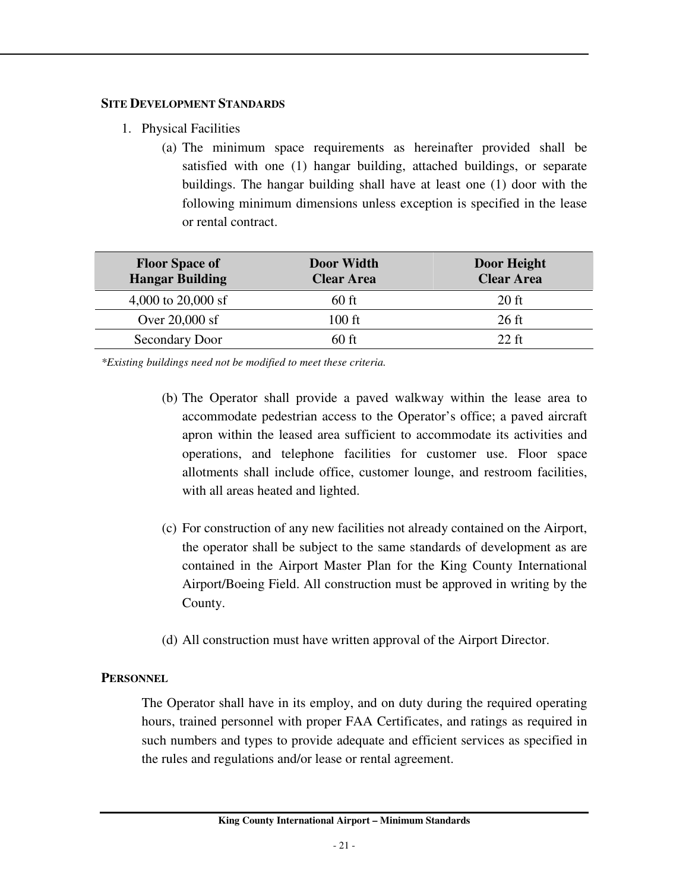#### **SITE DEVELOPMENT STANDARDS**

- 1. Physical Facilities
	- (a) The minimum space requirements as hereinafter provided shall be satisfied with one (1) hangar building, attached buildings, or separate buildings. The hangar building shall have at least one (1) door with the following minimum dimensions unless exception is specified in the lease or rental contract.

| <b>Floor Space of</b><br><b>Hangar Building</b> | Door Width<br><b>Clear Area</b> | Door Height<br><b>Clear Area</b> |
|-------------------------------------------------|---------------------------------|----------------------------------|
| 4,000 to $20,000$ sf                            | $60$ ft                         | 20 ft                            |
| Over 20,000 sf                                  | 100 ft                          | $26$ ft                          |
| Secondary Door                                  | $60$ ft                         | $22 \text{ ft}$                  |

*\*Existing buildings need not be modified to meet these criteria.* 

- (b) The Operator shall provide a paved walkway within the lease area to accommodate pedestrian access to the Operator's office; a paved aircraft apron within the leased area sufficient to accommodate its activities and operations, and telephone facilities for customer use. Floor space allotments shall include office, customer lounge, and restroom facilities, with all areas heated and lighted.
- (c) For construction of any new facilities not already contained on the Airport, the operator shall be subject to the same standards of development as are contained in the Airport Master Plan for the King County International Airport/Boeing Field. All construction must be approved in writing by the County.
- (d) All construction must have written approval of the Airport Director.

#### **PERSONNEL**

The Operator shall have in its employ, and on duty during the required operating hours, trained personnel with proper FAA Certificates, and ratings as required in such numbers and types to provide adequate and efficient services as specified in the rules and regulations and/or lease or rental agreement.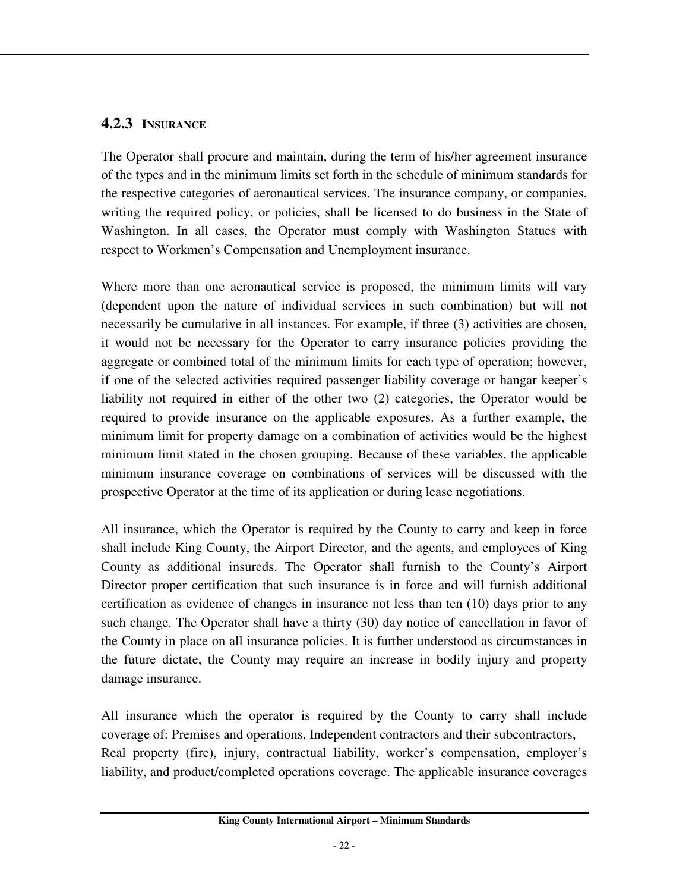#### **4.2.3 INSURANCE**

The Operator shall procure and maintain, during the term of his/her agreement insurance of the types and in the minimum limits set forth in the schedule of minimum standards for the respective categories of aeronautical services. The insurance company, or companies, writing the required policy, or policies, shall be licensed to do business in the State of Washington. In all cases, the Operator must comply with Washington Statues with respect to Workmen's Compensation and Unemployment insurance.

Where more than one aeronautical service is proposed, the minimum limits will vary (dependent upon the nature of individual services in such combination) but will not necessarily be cumulative in all instances. For example, if three (3) activities are chosen, it would not be necessary for the Operator to carry insurance policies providing the aggregate or combined total of the minimum limits for each type of operation; however, if one of the selected activities required passenger liability coverage or hangar keeper's liability not required in either of the other two (2) categories, the Operator would be required to provide insurance on the applicable exposures. As a further example, the minimum limit for property damage on a combination of activities would be the highest minimum limit stated in the chosen grouping. Because of these variables, the applicable minimum insurance coverage on combinations of services will be discussed with the prospective Operator at the time of its application or during lease negotiations.

All insurance, which the Operator is required by the County to carry and keep in force shall include King County, the Airport Director, and the agents, and employees of King County as additional insureds. The Operator shall furnish to the County's Airport Director proper certification that such insurance is in force and will furnish additional certification as evidence of changes in insurance not less than ten (10) days prior to any such change. The Operator shall have a thirty (30) day notice of cancellation in favor of the County in place on all insurance policies. It is further understood as circumstances in the future dictate, the County may require an increase in bodily injury and property damage insurance.

All insurance which the operator is required by the County to carry shall include coverage of: Premises and operations, Independent contractors and their subcontractors, Real property (fire), injury, contractual liability, worker's compensation, employer's liability, and product/completed operations coverage. The applicable insurance coverages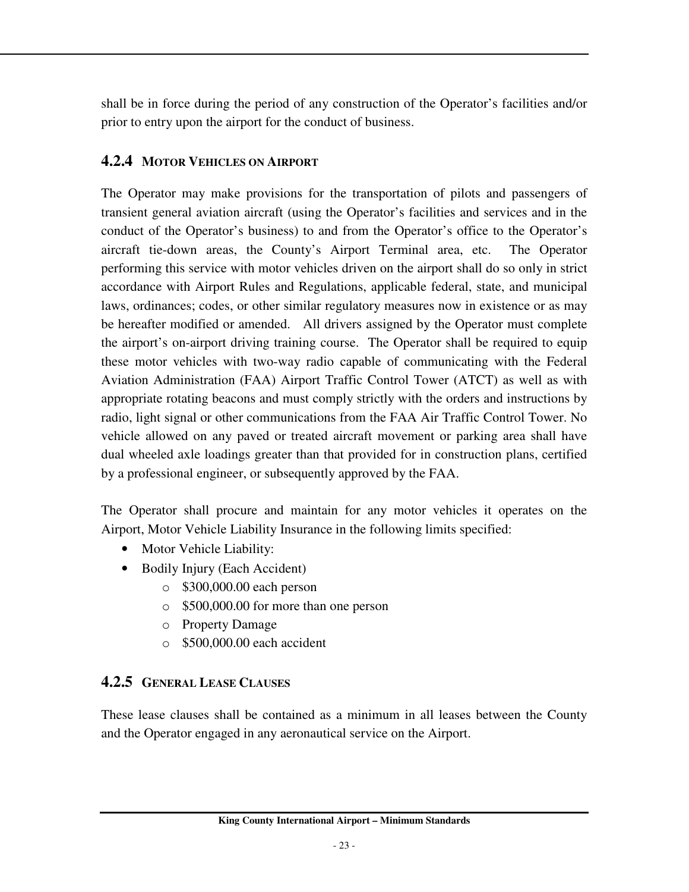shall be in force during the period of any construction of the Operator's facilities and/or prior to entry upon the airport for the conduct of business.

#### **4.2.4 MOTOR VEHICLES ON AIRPORT**

The Operator may make provisions for the transportation of pilots and passengers of transient general aviation aircraft (using the Operator's facilities and services and in the conduct of the Operator's business) to and from the Operator's office to the Operator's aircraft tie-down areas, the County's Airport Terminal area, etc. The Operator performing this service with motor vehicles driven on the airport shall do so only in strict accordance with Airport Rules and Regulations, applicable federal, state, and municipal laws, ordinances; codes, or other similar regulatory measures now in existence or as may be hereafter modified or amended. All drivers assigned by the Operator must complete the airport's on-airport driving training course. The Operator shall be required to equip these motor vehicles with two-way radio capable of communicating with the Federal Aviation Administration (FAA) Airport Traffic Control Tower (ATCT) as well as with appropriate rotating beacons and must comply strictly with the orders and instructions by radio, light signal or other communications from the FAA Air Traffic Control Tower. No vehicle allowed on any paved or treated aircraft movement or parking area shall have dual wheeled axle loadings greater than that provided for in construction plans, certified by a professional engineer, or subsequently approved by the FAA.

The Operator shall procure and maintain for any motor vehicles it operates on the Airport, Motor Vehicle Liability Insurance in the following limits specified:

- Motor Vehicle Liability:
- Bodily Injury (Each Accident)
	- o \$300,000.00 each person
	- o \$500,000.00 for more than one person
	- o Property Damage
	- o \$500,000.00 each accident

#### **4.2.5 GENERAL LEASE CLAUSES**

These lease clauses shall be contained as a minimum in all leases between the County and the Operator engaged in any aeronautical service on the Airport.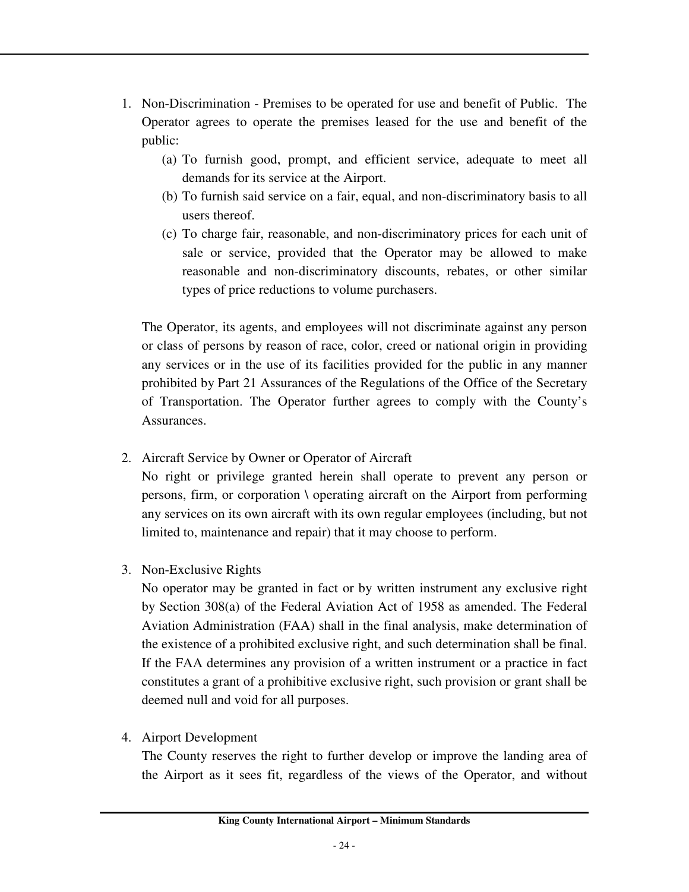- 1. Non-Discrimination Premises to be operated for use and benefit of Public. The Operator agrees to operate the premises leased for the use and benefit of the public:
	- (a) To furnish good, prompt, and efficient service, adequate to meet all demands for its service at the Airport.
	- (b) To furnish said service on a fair, equal, and non-discriminatory basis to all users thereof.
	- (c) To charge fair, reasonable, and non-discriminatory prices for each unit of sale or service, provided that the Operator may be allowed to make reasonable and non-discriminatory discounts, rebates, or other similar types of price reductions to volume purchasers.

The Operator, its agents, and employees will not discriminate against any person or class of persons by reason of race, color, creed or national origin in providing any services or in the use of its facilities provided for the public in any manner prohibited by Part 21 Assurances of the Regulations of the Office of the Secretary of Transportation. The Operator further agrees to comply with the County's Assurances.

2. Aircraft Service by Owner or Operator of Aircraft

No right or privilege granted herein shall operate to prevent any person or persons, firm, or corporation \ operating aircraft on the Airport from performing any services on its own aircraft with its own regular employees (including, but not limited to, maintenance and repair) that it may choose to perform.

3. Non-Exclusive Rights

No operator may be granted in fact or by written instrument any exclusive right by Section 308(a) of the Federal Aviation Act of 1958 as amended. The Federal Aviation Administration (FAA) shall in the final analysis, make determination of the existence of a prohibited exclusive right, and such determination shall be final. If the FAA determines any provision of a written instrument or a practice in fact constitutes a grant of a prohibitive exclusive right, such provision or grant shall be deemed null and void for all purposes.

4. Airport Development

The County reserves the right to further develop or improve the landing area of the Airport as it sees fit, regardless of the views of the Operator, and without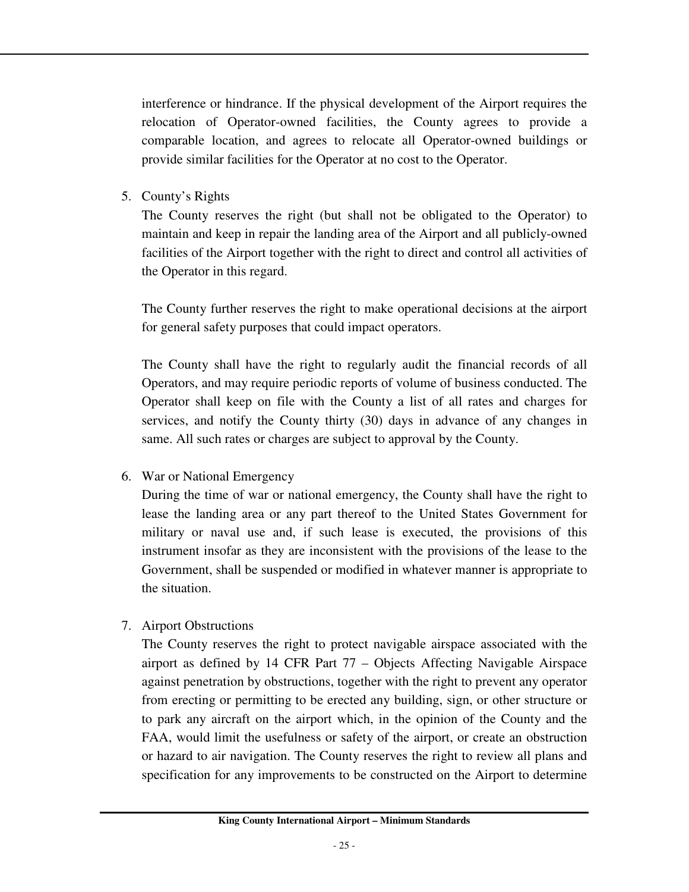interference or hindrance. If the physical development of the Airport requires the relocation of Operator-owned facilities, the County agrees to provide a comparable location, and agrees to relocate all Operator-owned buildings or provide similar facilities for the Operator at no cost to the Operator.

5. County's Rights

The County reserves the right (but shall not be obligated to the Operator) to maintain and keep in repair the landing area of the Airport and all publicly-owned facilities of the Airport together with the right to direct and control all activities of the Operator in this regard.

The County further reserves the right to make operational decisions at the airport for general safety purposes that could impact operators.

The County shall have the right to regularly audit the financial records of all Operators, and may require periodic reports of volume of business conducted. The Operator shall keep on file with the County a list of all rates and charges for services, and notify the County thirty (30) days in advance of any changes in same. All such rates or charges are subject to approval by the County.

#### 6. War or National Emergency

During the time of war or national emergency, the County shall have the right to lease the landing area or any part thereof to the United States Government for military or naval use and, if such lease is executed, the provisions of this instrument insofar as they are inconsistent with the provisions of the lease to the Government, shall be suspended or modified in whatever manner is appropriate to the situation.

#### 7. Airport Obstructions

The County reserves the right to protect navigable airspace associated with the airport as defined by 14 CFR Part 77 – Objects Affecting Navigable Airspace against penetration by obstructions, together with the right to prevent any operator from erecting or permitting to be erected any building, sign, or other structure or to park any aircraft on the airport which, in the opinion of the County and the FAA, would limit the usefulness or safety of the airport, or create an obstruction or hazard to air navigation. The County reserves the right to review all plans and specification for any improvements to be constructed on the Airport to determine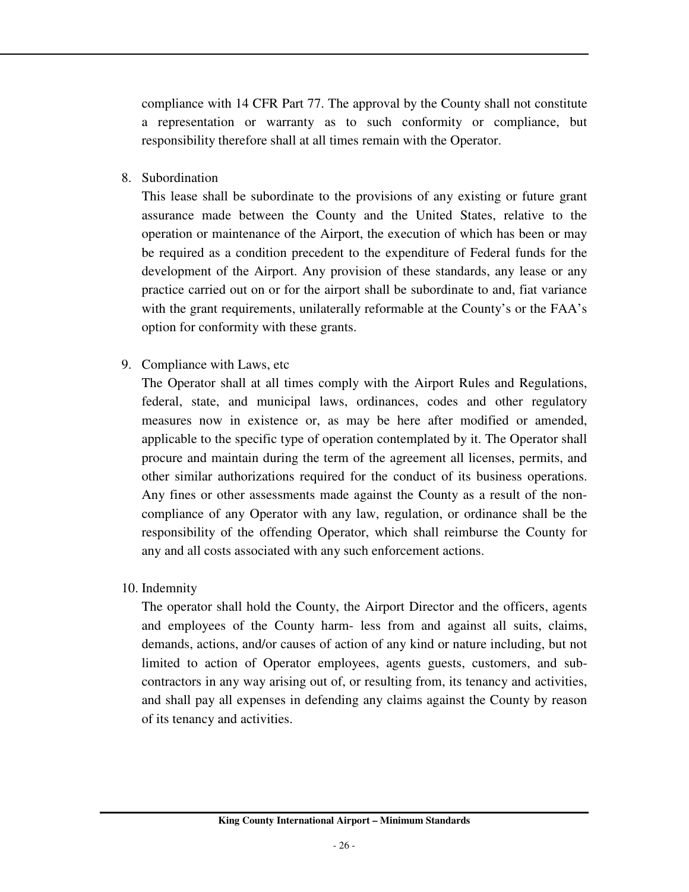compliance with 14 CFR Part 77. The approval by the County shall not constitute a representation or warranty as to such conformity or compliance, but responsibility therefore shall at all times remain with the Operator.

8. Subordination

This lease shall be subordinate to the provisions of any existing or future grant assurance made between the County and the United States, relative to the operation or maintenance of the Airport, the execution of which has been or may be required as a condition precedent to the expenditure of Federal funds for the development of the Airport. Any provision of these standards, any lease or any practice carried out on or for the airport shall be subordinate to and, fiat variance with the grant requirements, unilaterally reformable at the County's or the FAA's option for conformity with these grants.

9. Compliance with Laws, etc

The Operator shall at all times comply with the Airport Rules and Regulations, federal, state, and municipal laws, ordinances, codes and other regulatory measures now in existence or, as may be here after modified or amended, applicable to the specific type of operation contemplated by it. The Operator shall procure and maintain during the term of the agreement all licenses, permits, and other similar authorizations required for the conduct of its business operations. Any fines or other assessments made against the County as a result of the noncompliance of any Operator with any law, regulation, or ordinance shall be the responsibility of the offending Operator, which shall reimburse the County for any and all costs associated with any such enforcement actions.

10. Indemnity

The operator shall hold the County, the Airport Director and the officers, agents and employees of the County harm- less from and against all suits, claims, demands, actions, and/or causes of action of any kind or nature including, but not limited to action of Operator employees, agents guests, customers, and subcontractors in any way arising out of, or resulting from, its tenancy and activities, and shall pay all expenses in defending any claims against the County by reason of its tenancy and activities.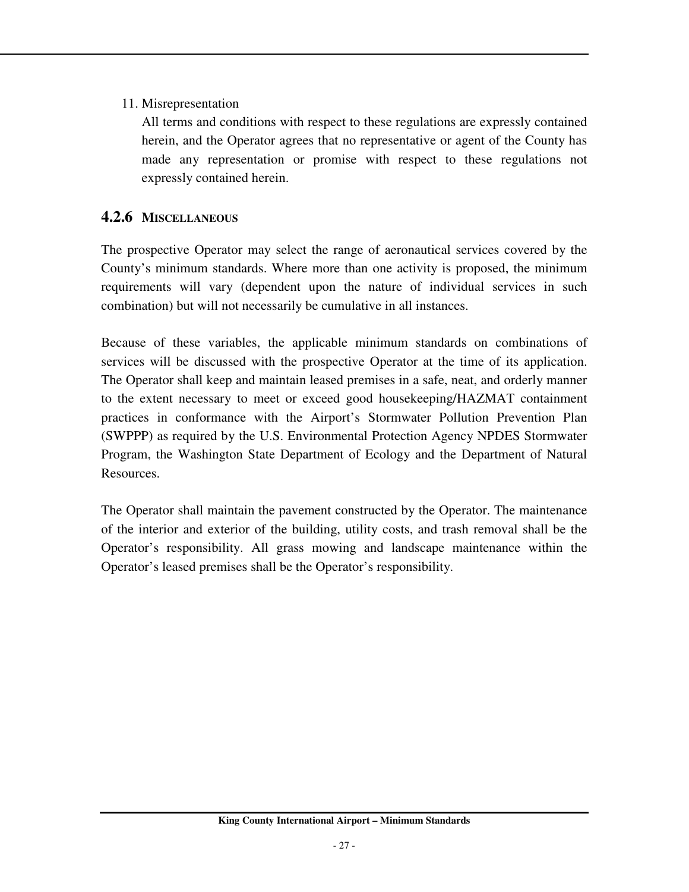#### 11. Misrepresentation

All terms and conditions with respect to these regulations are expressly contained herein, and the Operator agrees that no representative or agent of the County has made any representation or promise with respect to these regulations not expressly contained herein.

#### **4.2.6 MISCELLANEOUS**

The prospective Operator may select the range of aeronautical services covered by the County's minimum standards. Where more than one activity is proposed, the minimum requirements will vary (dependent upon the nature of individual services in such combination) but will not necessarily be cumulative in all instances.

Because of these variables, the applicable minimum standards on combinations of services will be discussed with the prospective Operator at the time of its application. The Operator shall keep and maintain leased premises in a safe, neat, and orderly manner to the extent necessary to meet or exceed good housekeeping/HAZMAT containment practices in conformance with the Airport's Stormwater Pollution Prevention Plan (SWPPP) as required by the U.S. Environmental Protection Agency NPDES Stormwater Program, the Washington State Department of Ecology and the Department of Natural Resources.

The Operator shall maintain the pavement constructed by the Operator. The maintenance of the interior and exterior of the building, utility costs, and trash removal shall be the Operator's responsibility. All grass mowing and landscape maintenance within the Operator's leased premises shall be the Operator's responsibility.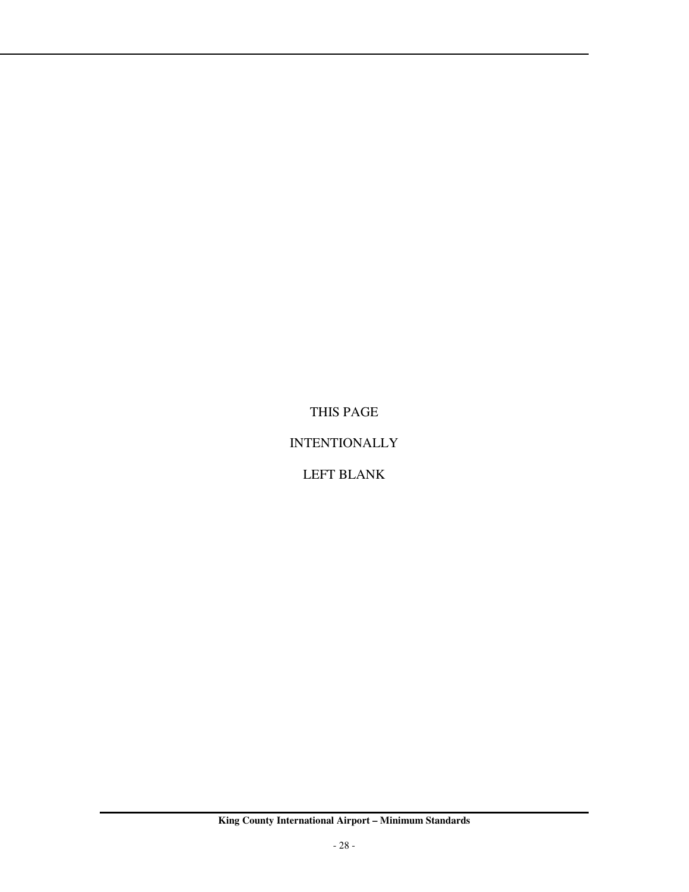THIS PAGE

**INTENTIONALLY** 

LEFT BLANK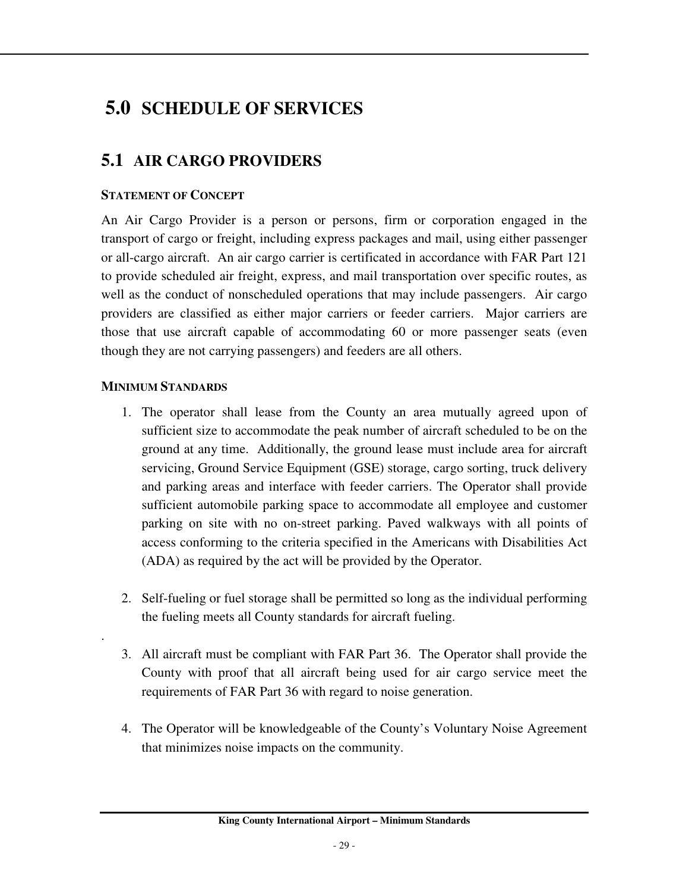# **5.0 SCHEDULE OF SERVICES**

### **5.1 AIR CARGO PROVIDERS**

#### **STATEMENT OF CONCEPT**

An Air Cargo Provider is a person or persons, firm or corporation engaged in the transport of cargo or freight, including express packages and mail, using either passenger or all-cargo aircraft. An air cargo carrier is certificated in accordance with FAR Part 121 to provide scheduled air freight, express, and mail transportation over specific routes, as well as the conduct of nonscheduled operations that may include passengers. Air cargo providers are classified as either major carriers or feeder carriers. Major carriers are those that use aircraft capable of accommodating 60 or more passenger seats (even though they are not carrying passengers) and feeders are all others.

#### **MINIMUM STANDARDS**

.

- 1. The operator shall lease from the County an area mutually agreed upon of sufficient size to accommodate the peak number of aircraft scheduled to be on the ground at any time. Additionally, the ground lease must include area for aircraft servicing, Ground Service Equipment (GSE) storage, cargo sorting, truck delivery and parking areas and interface with feeder carriers. The Operator shall provide sufficient automobile parking space to accommodate all employee and customer parking on site with no on-street parking. Paved walkways with all points of access conforming to the criteria specified in the Americans with Disabilities Act (ADA) as required by the act will be provided by the Operator.
- 2. Self-fueling or fuel storage shall be permitted so long as the individual performing the fueling meets all County standards for aircraft fueling.
- 3. All aircraft must be compliant with FAR Part 36. The Operator shall provide the County with proof that all aircraft being used for air cargo service meet the requirements of FAR Part 36 with regard to noise generation.
- 4. The Operator will be knowledgeable of the County's Voluntary Noise Agreement that minimizes noise impacts on the community.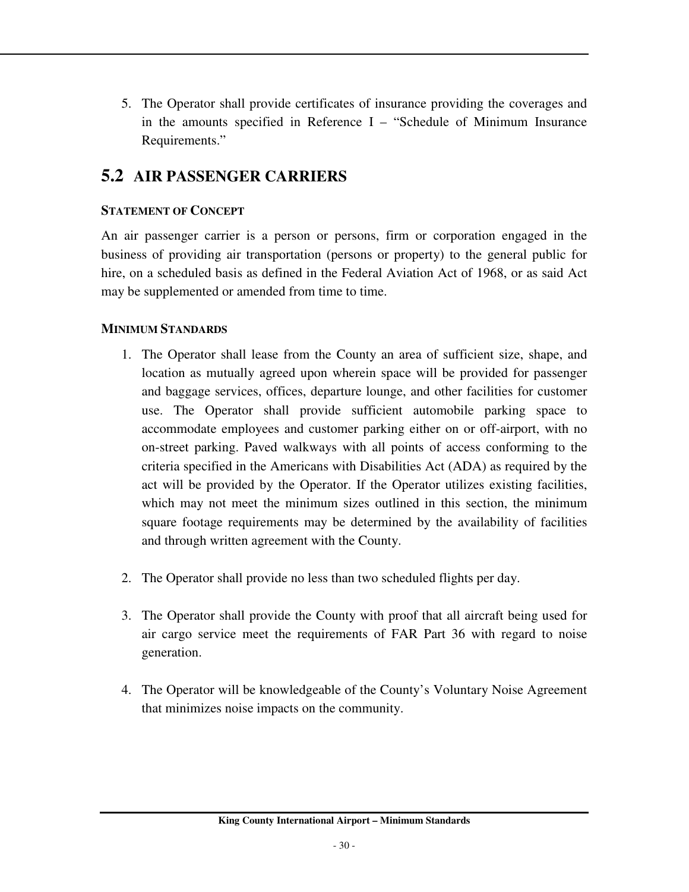5. The Operator shall provide certificates of insurance providing the coverages and in the amounts specified in Reference I – "Schedule of Minimum Insurance Requirements."

### **5.2 AIR PASSENGER CARRIERS**

#### **STATEMENT OF CONCEPT**

An air passenger carrier is a person or persons, firm or corporation engaged in the business of providing air transportation (persons or property) to the general public for hire, on a scheduled basis as defined in the Federal Aviation Act of 1968, or as said Act may be supplemented or amended from time to time.

#### **MINIMUM STANDARDS**

- 1. The Operator shall lease from the County an area of sufficient size, shape, and location as mutually agreed upon wherein space will be provided for passenger and baggage services, offices, departure lounge, and other facilities for customer use. The Operator shall provide sufficient automobile parking space to accommodate employees and customer parking either on or off-airport, with no on-street parking. Paved walkways with all points of access conforming to the criteria specified in the Americans with Disabilities Act (ADA) as required by the act will be provided by the Operator. If the Operator utilizes existing facilities, which may not meet the minimum sizes outlined in this section, the minimum square footage requirements may be determined by the availability of facilities and through written agreement with the County.
- 2. The Operator shall provide no less than two scheduled flights per day.
- 3. The Operator shall provide the County with proof that all aircraft being used for air cargo service meet the requirements of FAR Part 36 with regard to noise generation.
- 4. The Operator will be knowledgeable of the County's Voluntary Noise Agreement that minimizes noise impacts on the community.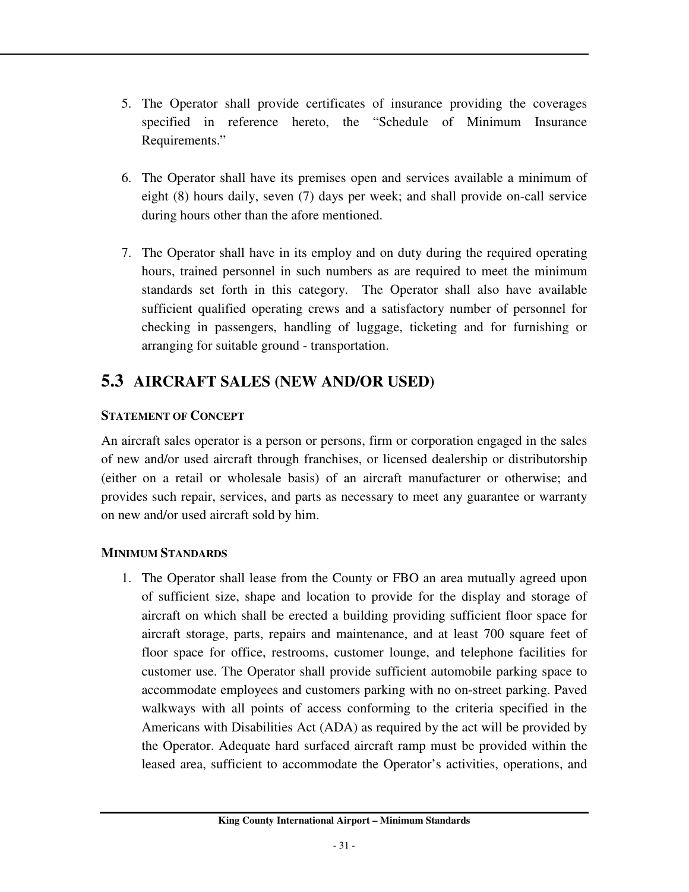- 5. The Operator shall provide certificates of insurance providing the coverages specified in reference hereto, the "Schedule of Minimum Insurance Requirements."
- 6. The Operator shall have its premises open and services available a minimum of eight (8) hours daily, seven (7) days per week; and shall provide on-call service during hours other than the afore mentioned.
- 7. The Operator shall have in its employ and on duty during the required operating hours, trained personnel in such numbers as are required to meet the minimum standards set forth in this category. The Operator shall also have available sufficient qualified operating crews and a satisfactory number of personnel for checking in passengers, handling of luggage, ticketing and for furnishing or arranging for suitable ground - transportation.

### **5.3 AIRCRAFT SALES (NEW AND/OR USED)**

#### **STATEMENT OF CONCEPT**

An aircraft sales operator is a person or persons, firm or corporation engaged in the sales of new and/or used aircraft through franchises, or licensed dealership or distributorship (either on a retail or wholesale basis) of an aircraft manufacturer or otherwise; and provides such repair, services, and parts as necessary to meet any guarantee or warranty on new and/or used aircraft sold by him.

#### **MINIMUM STANDARDS**

1. The Operator shall lease from the County or FBO an area mutually agreed upon of sufficient size, shape and location to provide for the display and storage of aircraft on which shall be erected a building providing sufficient floor space for aircraft storage, parts, repairs and maintenance, and at least 700 square feet of floor space for office, restrooms, customer lounge, and telephone facilities for customer use. The Operator shall provide sufficient automobile parking space to accommodate employees and customers parking with no on-street parking. Paved walkways with all points of access conforming to the criteria specified in the Americans with Disabilities Act (ADA) as required by the act will be provided by the Operator. Adequate hard surfaced aircraft ramp must be provided within the leased area, sufficient to accommodate the Operator's activities, operations, and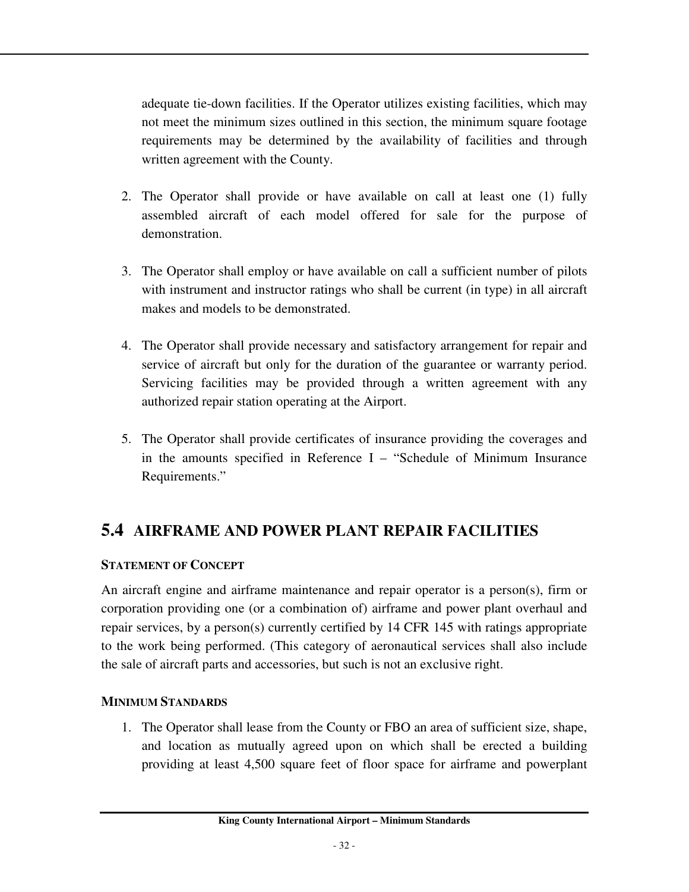adequate tie-down facilities. If the Operator utilizes existing facilities, which may not meet the minimum sizes outlined in this section, the minimum square footage requirements may be determined by the availability of facilities and through written agreement with the County.

- 2. The Operator shall provide or have available on call at least one (1) fully assembled aircraft of each model offered for sale for the purpose of demonstration.
- 3. The Operator shall employ or have available on call a sufficient number of pilots with instrument and instructor ratings who shall be current (in type) in all aircraft makes and models to be demonstrated.
- 4. The Operator shall provide necessary and satisfactory arrangement for repair and service of aircraft but only for the duration of the guarantee or warranty period. Servicing facilities may be provided through a written agreement with any authorized repair station operating at the Airport.
- 5. The Operator shall provide certificates of insurance providing the coverages and in the amounts specified in Reference I – "Schedule of Minimum Insurance Requirements."

### **5.4 AIRFRAME AND POWER PLANT REPAIR FACILITIES**

#### **STATEMENT OF CONCEPT**

An aircraft engine and airframe maintenance and repair operator is a person(s), firm or corporation providing one (or a combination of) airframe and power plant overhaul and repair services, by a person(s) currently certified by 14 CFR 145 with ratings appropriate to the work being performed. (This category of aeronautical services shall also include the sale of aircraft parts and accessories, but such is not an exclusive right.

#### **MINIMUM STANDARDS**

1. The Operator shall lease from the County or FBO an area of sufficient size, shape, and location as mutually agreed upon on which shall be erected a building providing at least 4,500 square feet of floor space for airframe and powerplant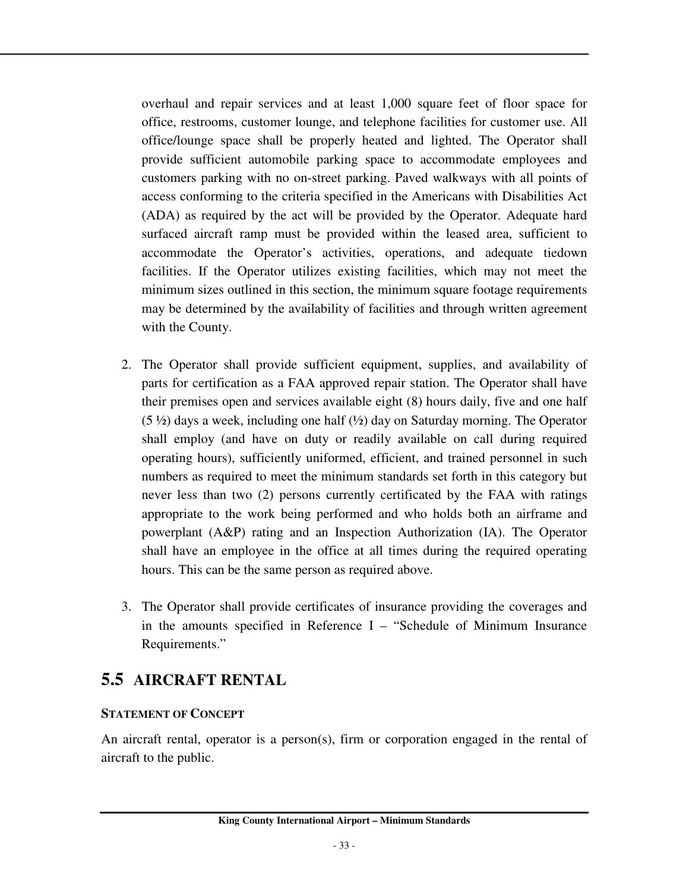overhaul and repair services and at least 1,000 square feet of floor space for office, restrooms, customer lounge, and telephone facilities for customer use. All office/lounge space shall be properly heated and lighted. The Operator shall provide sufficient automobile parking space to accommodate employees and customers parking with no on-street parking. Paved walkways with all points of access conforming to the criteria specified in the Americans with Disabilities Act (ADA) as required by the act will be provided by the Operator. Adequate hard surfaced aircraft ramp must be provided within the leased area, sufficient to accommodate the Operator's activities, operations, and adequate tiedown facilities. If the Operator utilizes existing facilities, which may not meet the minimum sizes outlined in this section, the minimum square footage requirements may be determined by the availability of facilities and through written agreement with the County.

- 2. The Operator shall provide sufficient equipment, supplies, and availability of parts for certification as a FAA approved repair station. The Operator shall have their premises open and services available eight (8) hours daily, five and one half  $(5 \frac{1}{2})$  days a week, including one half  $(\frac{1}{2})$  day on Saturday morning. The Operator shall employ (and have on duty or readily available on call during required operating hours), sufficiently uniformed, efficient, and trained personnel in such numbers as required to meet the minimum standards set forth in this category but never less than two (2) persons currently certificated by the FAA with ratings appropriate to the work being performed and who holds both an airframe and powerplant (A&P) rating and an Inspection Authorization (IA). The Operator shall have an employee in the office at all times during the required operating hours. This can be the same person as required above.
- 3. The Operator shall provide certificates of insurance providing the coverages and in the amounts specified in Reference  $I -$  "Schedule of Minimum Insurance Requirements."

# **5.5 AIRCRAFT RENTAL**

### **STATEMENT OF CONCEPT**

An aircraft rental, operator is a person(s), firm or corporation engaged in the rental of aircraft to the public.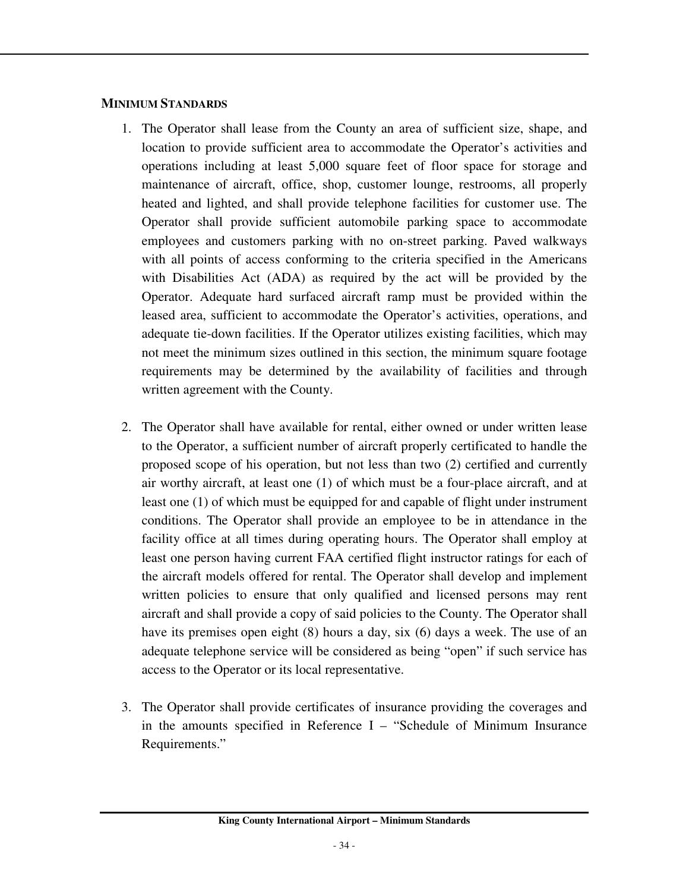#### **MINIMUM STANDARDS**

- 1. The Operator shall lease from the County an area of sufficient size, shape, and location to provide sufficient area to accommodate the Operator's activities and operations including at least 5,000 square feet of floor space for storage and maintenance of aircraft, office, shop, customer lounge, restrooms, all properly heated and lighted, and shall provide telephone facilities for customer use. The Operator shall provide sufficient automobile parking space to accommodate employees and customers parking with no on-street parking. Paved walkways with all points of access conforming to the criteria specified in the Americans with Disabilities Act (ADA) as required by the act will be provided by the Operator. Adequate hard surfaced aircraft ramp must be provided within the leased area, sufficient to accommodate the Operator's activities, operations, and adequate tie-down facilities. If the Operator utilizes existing facilities, which may not meet the minimum sizes outlined in this section, the minimum square footage requirements may be determined by the availability of facilities and through written agreement with the County.
- 2. The Operator shall have available for rental, either owned or under written lease to the Operator, a sufficient number of aircraft properly certificated to handle the proposed scope of his operation, but not less than two (2) certified and currently air worthy aircraft, at least one (1) of which must be a four-place aircraft, and at least one (1) of which must be equipped for and capable of flight under instrument conditions. The Operator shall provide an employee to be in attendance in the facility office at all times during operating hours. The Operator shall employ at least one person having current FAA certified flight instructor ratings for each of the aircraft models offered for rental. The Operator shall develop and implement written policies to ensure that only qualified and licensed persons may rent aircraft and shall provide a copy of said policies to the County. The Operator shall have its premises open eight (8) hours a day, six (6) days a week. The use of an adequate telephone service will be considered as being "open" if such service has access to the Operator or its local representative.
- 3. The Operator shall provide certificates of insurance providing the coverages and in the amounts specified in Reference  $I -$  "Schedule of Minimum Insurance Requirements."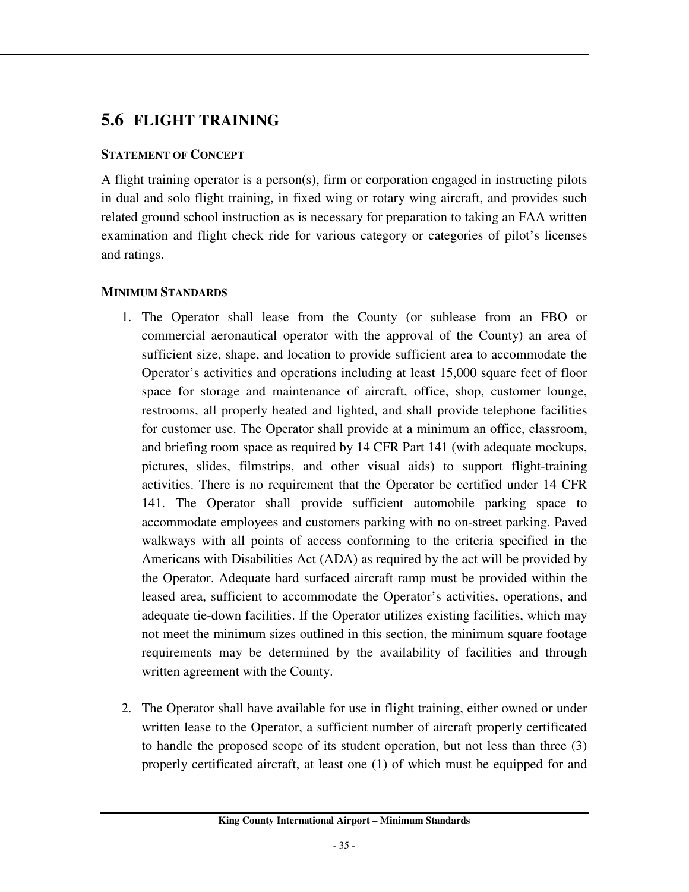# **5.6 FLIGHT TRAINING**

## **STATEMENT OF CONCEPT**

A flight training operator is a person(s), firm or corporation engaged in instructing pilots in dual and solo flight training, in fixed wing or rotary wing aircraft, and provides such related ground school instruction as is necessary for preparation to taking an FAA written examination and flight check ride for various category or categories of pilot's licenses and ratings.

# **MINIMUM STANDARDS**

- 1. The Operator shall lease from the County (or sublease from an FBO or commercial aeronautical operator with the approval of the County) an area of sufficient size, shape, and location to provide sufficient area to accommodate the Operator's activities and operations including at least 15,000 square feet of floor space for storage and maintenance of aircraft, office, shop, customer lounge, restrooms, all properly heated and lighted, and shall provide telephone facilities for customer use. The Operator shall provide at a minimum an office, classroom, and briefing room space as required by 14 CFR Part 141 (with adequate mockups, pictures, slides, filmstrips, and other visual aids) to support flight-training activities. There is no requirement that the Operator be certified under 14 CFR 141. The Operator shall provide sufficient automobile parking space to accommodate employees and customers parking with no on-street parking. Paved walkways with all points of access conforming to the criteria specified in the Americans with Disabilities Act (ADA) as required by the act will be provided by the Operator. Adequate hard surfaced aircraft ramp must be provided within the leased area, sufficient to accommodate the Operator's activities, operations, and adequate tie-down facilities. If the Operator utilizes existing facilities, which may not meet the minimum sizes outlined in this section, the minimum square footage requirements may be determined by the availability of facilities and through written agreement with the County.
- 2. The Operator shall have available for use in flight training, either owned or under written lease to the Operator, a sufficient number of aircraft properly certificated to handle the proposed scope of its student operation, but not less than three (3) properly certificated aircraft, at least one (1) of which must be equipped for and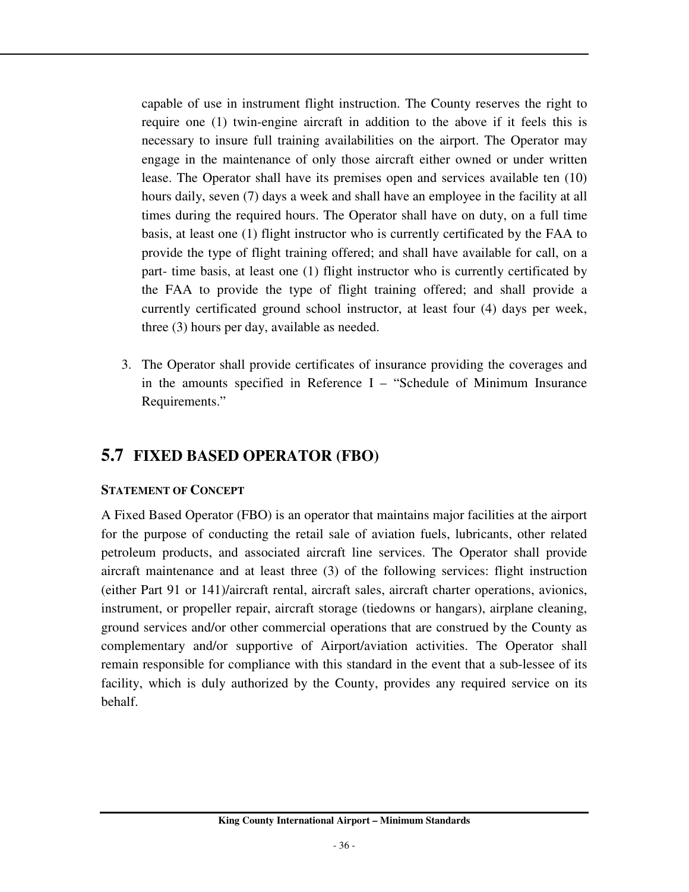capable of use in instrument flight instruction. The County reserves the right to require one (1) twin-engine aircraft in addition to the above if it feels this is necessary to insure full training availabilities on the airport. The Operator may engage in the maintenance of only those aircraft either owned or under written lease. The Operator shall have its premises open and services available ten (10) hours daily, seven (7) days a week and shall have an employee in the facility at all times during the required hours. The Operator shall have on duty, on a full time basis, at least one (1) flight instructor who is currently certificated by the FAA to provide the type of flight training offered; and shall have available for call, on a part- time basis, at least one (1) flight instructor who is currently certificated by the FAA to provide the type of flight training offered; and shall provide a currently certificated ground school instructor, at least four (4) days per week, three (3) hours per day, available as needed.

3. The Operator shall provide certificates of insurance providing the coverages and in the amounts specified in Reference I – "Schedule of Minimum Insurance Requirements."

# **5.7 FIXED BASED OPERATOR (FBO)**

#### **STATEMENT OF CONCEPT**

A Fixed Based Operator (FBO) is an operator that maintains major facilities at the airport for the purpose of conducting the retail sale of aviation fuels, lubricants, other related petroleum products, and associated aircraft line services. The Operator shall provide aircraft maintenance and at least three (3) of the following services: flight instruction (either Part 91 or 141)/aircraft rental, aircraft sales, aircraft charter operations, avionics, instrument, or propeller repair, aircraft storage (tiedowns or hangars), airplane cleaning, ground services and/or other commercial operations that are construed by the County as complementary and/or supportive of Airport/aviation activities. The Operator shall remain responsible for compliance with this standard in the event that a sub-lessee of its facility, which is duly authorized by the County, provides any required service on its behalf.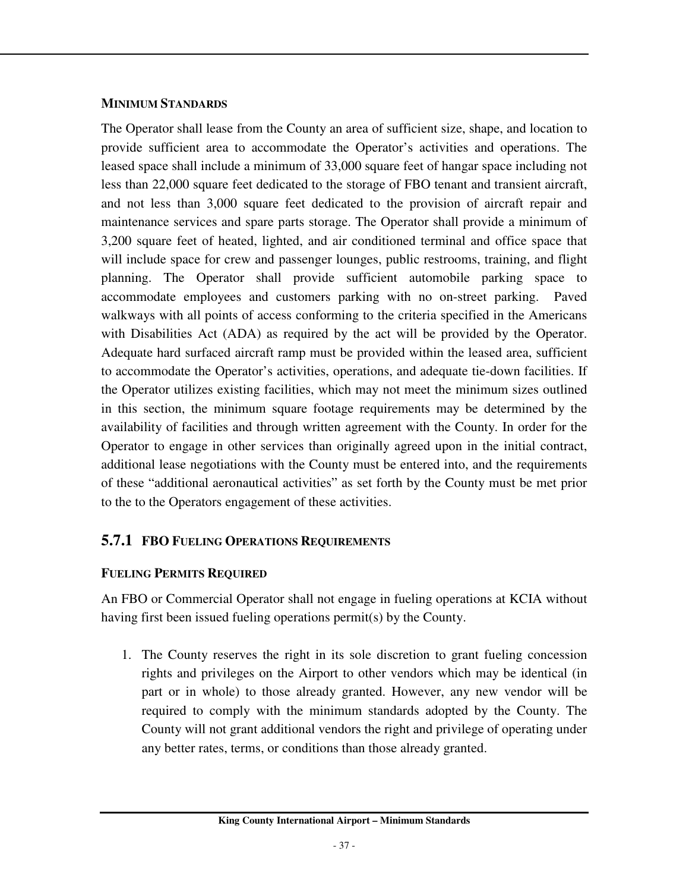#### **MINIMUM STANDARDS**

The Operator shall lease from the County an area of sufficient size, shape, and location to provide sufficient area to accommodate the Operator's activities and operations. The leased space shall include a minimum of 33,000 square feet of hangar space including not less than 22,000 square feet dedicated to the storage of FBO tenant and transient aircraft, and not less than 3,000 square feet dedicated to the provision of aircraft repair and maintenance services and spare parts storage. The Operator shall provide a minimum of 3,200 square feet of heated, lighted, and air conditioned terminal and office space that will include space for crew and passenger lounges, public restrooms, training, and flight planning. The Operator shall provide sufficient automobile parking space to accommodate employees and customers parking with no on-street parking. Paved walkways with all points of access conforming to the criteria specified in the Americans with Disabilities Act (ADA) as required by the act will be provided by the Operator. Adequate hard surfaced aircraft ramp must be provided within the leased area, sufficient to accommodate the Operator's activities, operations, and adequate tie-down facilities. If the Operator utilizes existing facilities, which may not meet the minimum sizes outlined in this section, the minimum square footage requirements may be determined by the availability of facilities and through written agreement with the County. In order for the Operator to engage in other services than originally agreed upon in the initial contract, additional lease negotiations with the County must be entered into, and the requirements of these "additional aeronautical activities" as set forth by the County must be met prior to the to the Operators engagement of these activities.

# **5.7.1 FBO FUELING OPERATIONS REQUIREMENTS**

# **FUELING PERMITS REQUIRED**

An FBO or Commercial Operator shall not engage in fueling operations at KCIA without having first been issued fueling operations permit(s) by the County.

1. The County reserves the right in its sole discretion to grant fueling concession rights and privileges on the Airport to other vendors which may be identical (in part or in whole) to those already granted. However, any new vendor will be required to comply with the minimum standards adopted by the County. The County will not grant additional vendors the right and privilege of operating under any better rates, terms, or conditions than those already granted.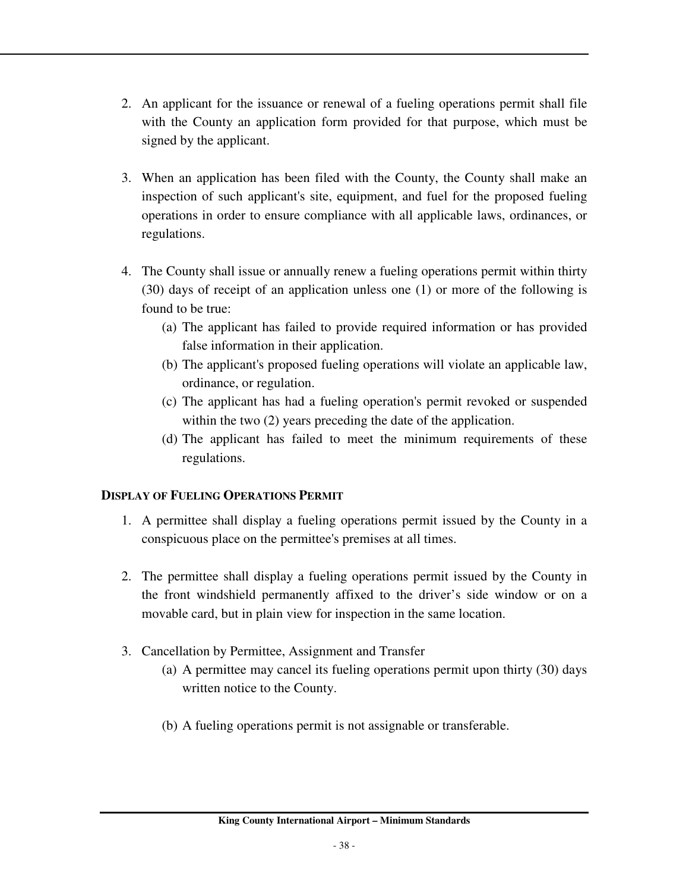- 2. An applicant for the issuance or renewal of a fueling operations permit shall file with the County an application form provided for that purpose, which must be signed by the applicant.
- 3. When an application has been filed with the County, the County shall make an inspection of such applicant's site, equipment, and fuel for the proposed fueling operations in order to ensure compliance with all applicable laws, ordinances, or regulations.
- 4. The County shall issue or annually renew a fueling operations permit within thirty (30) days of receipt of an application unless one (1) or more of the following is found to be true:
	- (a) The applicant has failed to provide required information or has provided false information in their application.
	- (b) The applicant's proposed fueling operations will violate an applicable law, ordinance, or regulation.
	- (c) The applicant has had a fueling operation's permit revoked or suspended within the two  $(2)$  years preceding the date of the application.
	- (d) The applicant has failed to meet the minimum requirements of these regulations.

### **DISPLAY OF FUELING OPERATIONS PERMIT**

- 1. A permittee shall display a fueling operations permit issued by the County in a conspicuous place on the permittee's premises at all times.
- 2. The permittee shall display a fueling operations permit issued by the County in the front windshield permanently affixed to the driver's side window or on a movable card, but in plain view for inspection in the same location.
- 3. Cancellation by Permittee, Assignment and Transfer
	- (a) A permittee may cancel its fueling operations permit upon thirty (30) days written notice to the County.
	- (b) A fueling operations permit is not assignable or transferable.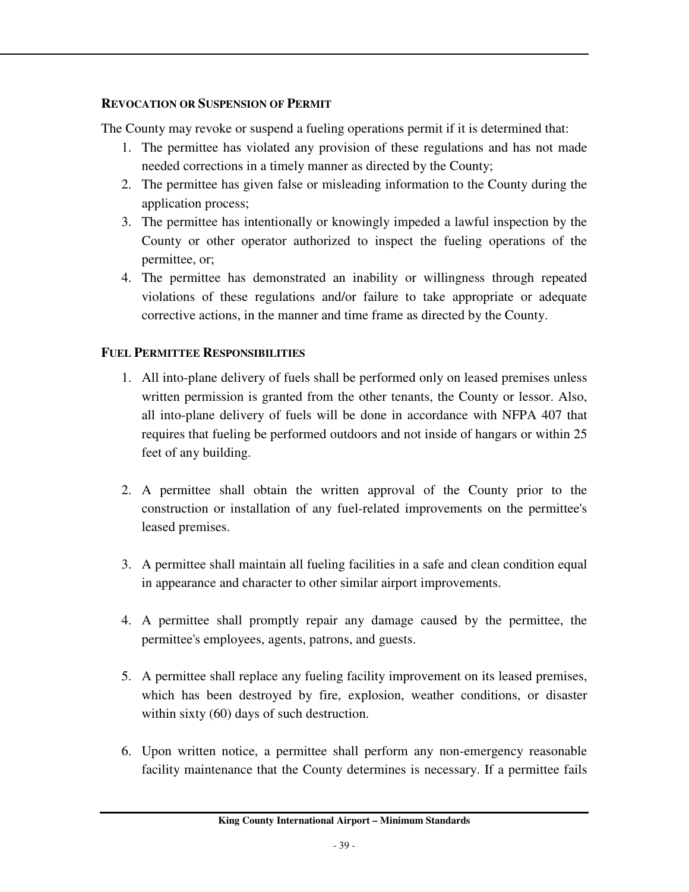#### **REVOCATION OR SUSPENSION OF PERMIT**

The County may revoke or suspend a fueling operations permit if it is determined that:

- 1. The permittee has violated any provision of these regulations and has not made needed corrections in a timely manner as directed by the County;
- 2. The permittee has given false or misleading information to the County during the application process;
- 3. The permittee has intentionally or knowingly impeded a lawful inspection by the County or other operator authorized to inspect the fueling operations of the permittee, or;
- 4. The permittee has demonstrated an inability or willingness through repeated violations of these regulations and/or failure to take appropriate or adequate corrective actions, in the manner and time frame as directed by the County.

# **FUEL PERMITTEE RESPONSIBILITIES**

- 1. All into-plane delivery of fuels shall be performed only on leased premises unless written permission is granted from the other tenants, the County or lessor. Also, all into-plane delivery of fuels will be done in accordance with NFPA 407 that requires that fueling be performed outdoors and not inside of hangars or within 25 feet of any building.
- 2. A permittee shall obtain the written approval of the County prior to the construction or installation of any fuel-related improvements on the permittee's leased premises.
- 3. A permittee shall maintain all fueling facilities in a safe and clean condition equal in appearance and character to other similar airport improvements.
- 4. A permittee shall promptly repair any damage caused by the permittee, the permittee's employees, agents, patrons, and guests.
- 5. A permittee shall replace any fueling facility improvement on its leased premises, which has been destroyed by fire, explosion, weather conditions, or disaster within sixty (60) days of such destruction.
- 6. Upon written notice, a permittee shall perform any non-emergency reasonable facility maintenance that the County determines is necessary. If a permittee fails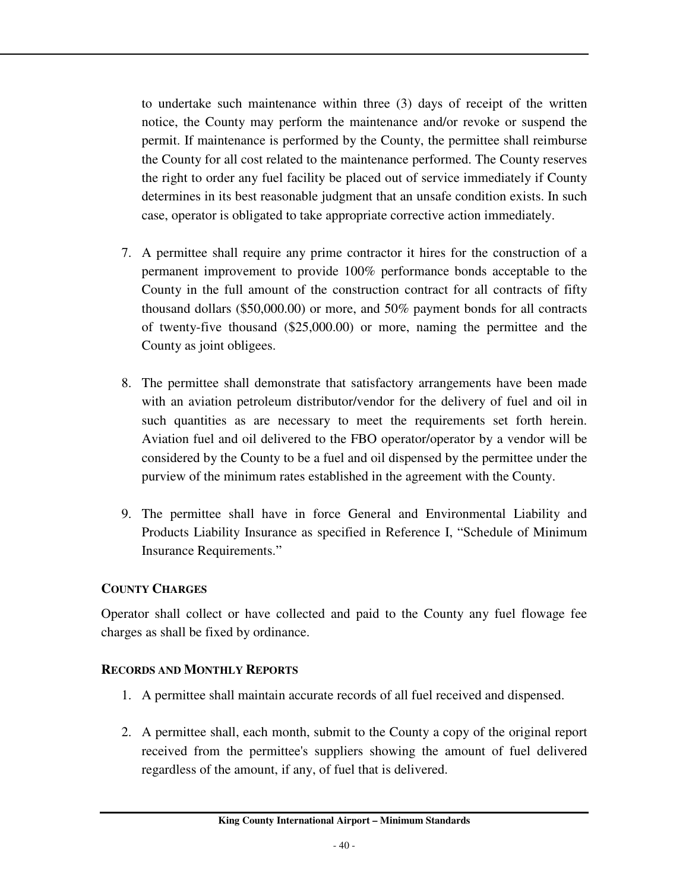to undertake such maintenance within three (3) days of receipt of the written notice, the County may perform the maintenance and/or revoke or suspend the permit. If maintenance is performed by the County, the permittee shall reimburse the County for all cost related to the maintenance performed. The County reserves the right to order any fuel facility be placed out of service immediately if County determines in its best reasonable judgment that an unsafe condition exists. In such case, operator is obligated to take appropriate corrective action immediately.

- 7. A permittee shall require any prime contractor it hires for the construction of a permanent improvement to provide 100% performance bonds acceptable to the County in the full amount of the construction contract for all contracts of fifty thousand dollars (\$50,000.00) or more, and 50% payment bonds for all contracts of twenty-five thousand (\$25,000.00) or more, naming the permittee and the County as joint obligees.
- 8. The permittee shall demonstrate that satisfactory arrangements have been made with an aviation petroleum distributor/vendor for the delivery of fuel and oil in such quantities as are necessary to meet the requirements set forth herein. Aviation fuel and oil delivered to the FBO operator/operator by a vendor will be considered by the County to be a fuel and oil dispensed by the permittee under the purview of the minimum rates established in the agreement with the County.
- 9. The permittee shall have in force General and Environmental Liability and Products Liability Insurance as specified in Reference I, "Schedule of Minimum Insurance Requirements."

### **COUNTY CHARGES**

Operator shall collect or have collected and paid to the County any fuel flowage fee charges as shall be fixed by ordinance.

### **RECORDS AND MONTHLY REPORTS**

- 1. A permittee shall maintain accurate records of all fuel received and dispensed.
- 2. A permittee shall, each month, submit to the County a copy of the original report received from the permittee's suppliers showing the amount of fuel delivered regardless of the amount, if any, of fuel that is delivered.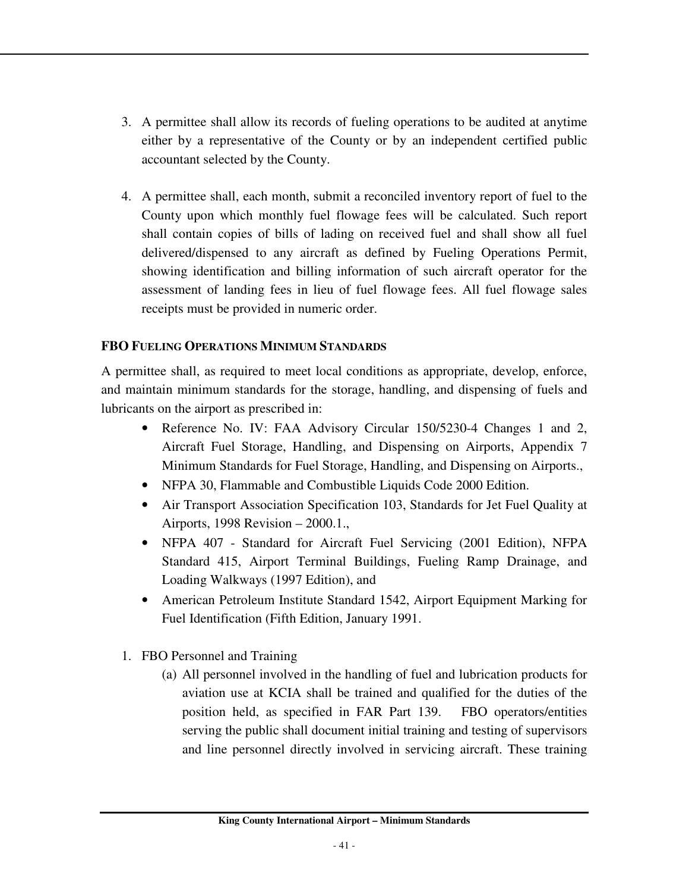- 3. A permittee shall allow its records of fueling operations to be audited at anytime either by a representative of the County or by an independent certified public accountant selected by the County.
- 4. A permittee shall, each month, submit a reconciled inventory report of fuel to the County upon which monthly fuel flowage fees will be calculated. Such report shall contain copies of bills of lading on received fuel and shall show all fuel delivered/dispensed to any aircraft as defined by Fueling Operations Permit, showing identification and billing information of such aircraft operator for the assessment of landing fees in lieu of fuel flowage fees. All fuel flowage sales receipts must be provided in numeric order.

# **FBO FUELING OPERATIONS MINIMUM STANDARDS**

A permittee shall, as required to meet local conditions as appropriate, develop, enforce, and maintain minimum standards for the storage, handling, and dispensing of fuels and lubricants on the airport as prescribed in:

- Reference No. IV: FAA Advisory Circular 150/5230-4 Changes 1 and 2, Aircraft Fuel Storage, Handling, and Dispensing on Airports, Appendix 7 Minimum Standards for Fuel Storage, Handling, and Dispensing on Airports.,
- NFPA 30, Flammable and Combustible Liquids Code 2000 Edition.
- Air Transport Association Specification 103, Standards for Jet Fuel Quality at Airports, 1998 Revision – 2000.1.,
- NFPA 407 Standard for Aircraft Fuel Servicing (2001 Edition), NFPA Standard 415, Airport Terminal Buildings, Fueling Ramp Drainage, and Loading Walkways (1997 Edition), and
- American Petroleum Institute Standard 1542, Airport Equipment Marking for Fuel Identification (Fifth Edition, January 1991.
- 1. FBO Personnel and Training
	- (a) All personnel involved in the handling of fuel and lubrication products for aviation use at KCIA shall be trained and qualified for the duties of the position held, as specified in FAR Part 139. FBO operators/entities serving the public shall document initial training and testing of supervisors and line personnel directly involved in servicing aircraft. These training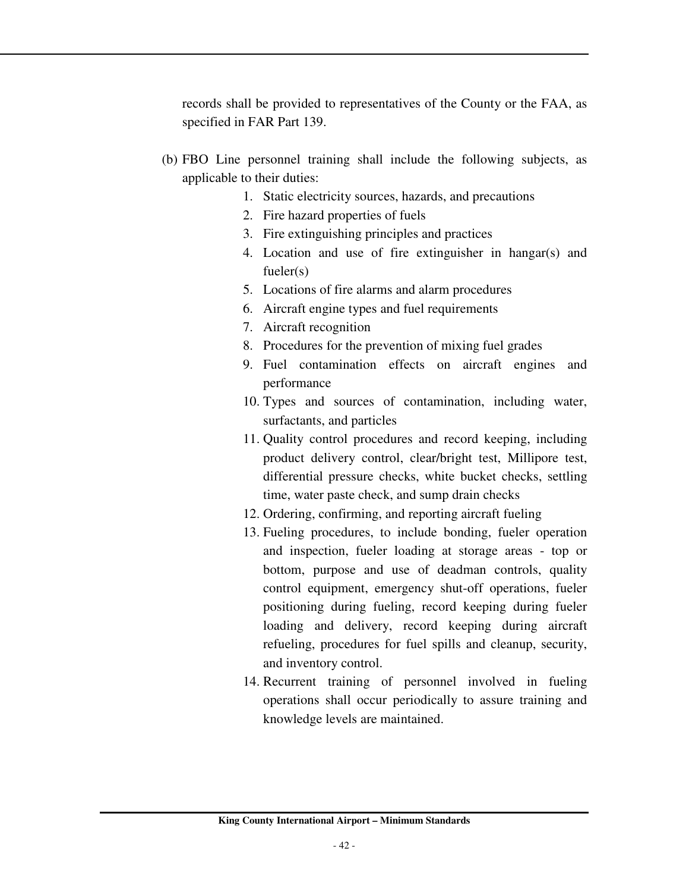records shall be provided to representatives of the County or the FAA, as specified in FAR Part 139.

- (b) FBO Line personnel training shall include the following subjects, as applicable to their duties:
	- 1. Static electricity sources, hazards, and precautions
	- 2. Fire hazard properties of fuels
	- 3. Fire extinguishing principles and practices
	- 4. Location and use of fire extinguisher in hangar(s) and fueler(s)
	- 5. Locations of fire alarms and alarm procedures
	- 6. Aircraft engine types and fuel requirements
	- 7. Aircraft recognition
	- 8. Procedures for the prevention of mixing fuel grades
	- 9. Fuel contamination effects on aircraft engines and performance
	- 10. Types and sources of contamination, including water, surfactants, and particles
	- 11. Quality control procedures and record keeping, including product delivery control, clear/bright test, Millipore test, differential pressure checks, white bucket checks, settling time, water paste check, and sump drain checks
	- 12. Ordering, confirming, and reporting aircraft fueling
	- 13. Fueling procedures, to include bonding, fueler operation and inspection, fueler loading at storage areas - top or bottom, purpose and use of deadman controls, quality control equipment, emergency shut-off operations, fueler positioning during fueling, record keeping during fueler loading and delivery, record keeping during aircraft refueling, procedures for fuel spills and cleanup, security, and inventory control.
	- 14. Recurrent training of personnel involved in fueling operations shall occur periodically to assure training and knowledge levels are maintained.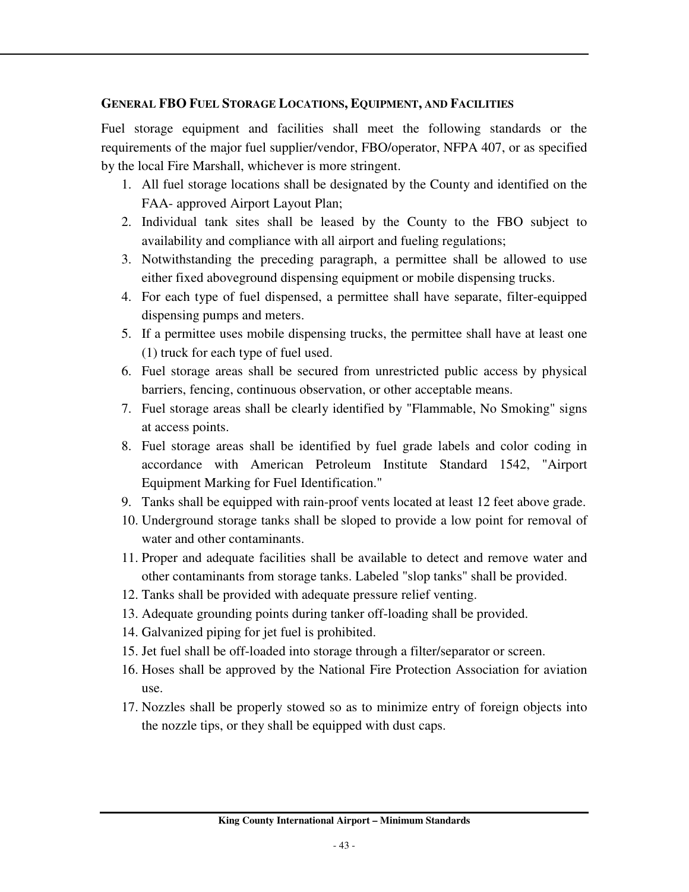#### **GENERAL FBO FUEL STORAGE LOCATIONS, EQUIPMENT, AND FACILITIES**

Fuel storage equipment and facilities shall meet the following standards or the requirements of the major fuel supplier/vendor, FBO/operator, NFPA 407, or as specified by the local Fire Marshall, whichever is more stringent.

- 1. All fuel storage locations shall be designated by the County and identified on the FAA- approved Airport Layout Plan;
- 2. Individual tank sites shall be leased by the County to the FBO subject to availability and compliance with all airport and fueling regulations;
- 3. Notwithstanding the preceding paragraph, a permittee shall be allowed to use either fixed aboveground dispensing equipment or mobile dispensing trucks.
- 4. For each type of fuel dispensed, a permittee shall have separate, filter-equipped dispensing pumps and meters.
- 5. If a permittee uses mobile dispensing trucks, the permittee shall have at least one (1) truck for each type of fuel used.
- 6. Fuel storage areas shall be secured from unrestricted public access by physical barriers, fencing, continuous observation, or other acceptable means.
- 7. Fuel storage areas shall be clearly identified by "Flammable, No Smoking" signs at access points.
- 8. Fuel storage areas shall be identified by fuel grade labels and color coding in accordance with American Petroleum Institute Standard 1542, "Airport Equipment Marking for Fuel Identification."
- 9. Tanks shall be equipped with rain-proof vents located at least 12 feet above grade.
- 10. Underground storage tanks shall be sloped to provide a low point for removal of water and other contaminants.
- 11. Proper and adequate facilities shall be available to detect and remove water and other contaminants from storage tanks. Labeled "slop tanks" shall be provided.
- 12. Tanks shall be provided with adequate pressure relief venting.
- 13. Adequate grounding points during tanker off-loading shall be provided.
- 14. Galvanized piping for jet fuel is prohibited.
- 15. Jet fuel shall be off-loaded into storage through a filter/separator or screen.
- 16. Hoses shall be approved by the National Fire Protection Association for aviation use.
- 17. Nozzles shall be properly stowed so as to minimize entry of foreign objects into the nozzle tips, or they shall be equipped with dust caps.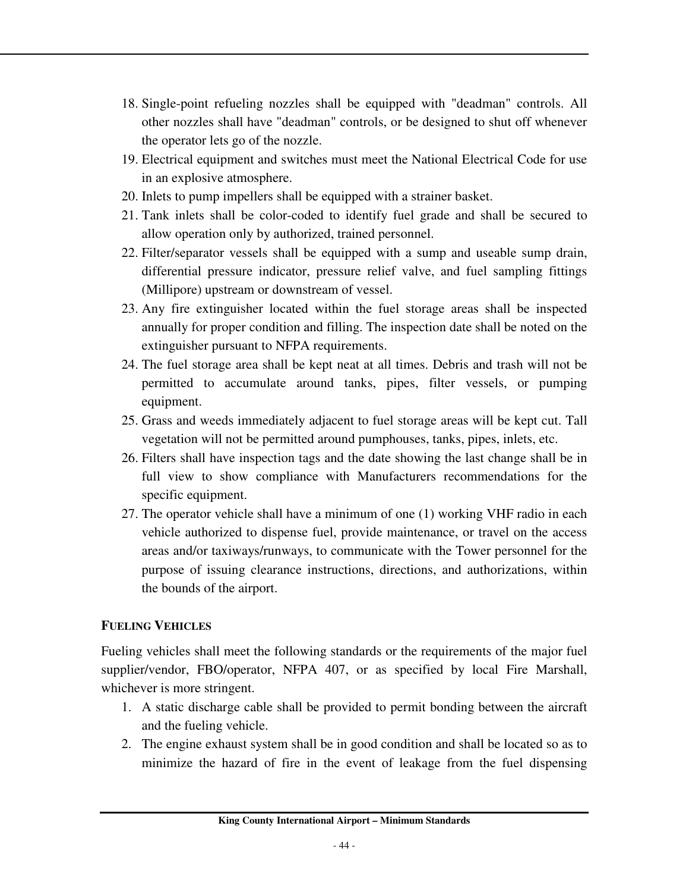- 18. Single-point refueling nozzles shall be equipped with "deadman" controls. All other nozzles shall have "deadman" controls, or be designed to shut off whenever the operator lets go of the nozzle.
- 19. Electrical equipment and switches must meet the National Electrical Code for use in an explosive atmosphere.
- 20. Inlets to pump impellers shall be equipped with a strainer basket.
- 21. Tank inlets shall be color-coded to identify fuel grade and shall be secured to allow operation only by authorized, trained personnel.
- 22. Filter/separator vessels shall be equipped with a sump and useable sump drain, differential pressure indicator, pressure relief valve, and fuel sampling fittings (Millipore) upstream or downstream of vessel.
- 23. Any fire extinguisher located within the fuel storage areas shall be inspected annually for proper condition and filling. The inspection date shall be noted on the extinguisher pursuant to NFPA requirements.
- 24. The fuel storage area shall be kept neat at all times. Debris and trash will not be permitted to accumulate around tanks, pipes, filter vessels, or pumping equipment.
- 25. Grass and weeds immediately adjacent to fuel storage areas will be kept cut. Tall vegetation will not be permitted around pumphouses, tanks, pipes, inlets, etc.
- 26. Filters shall have inspection tags and the date showing the last change shall be in full view to show compliance with Manufacturers recommendations for the specific equipment.
- 27. The operator vehicle shall have a minimum of one (1) working VHF radio in each vehicle authorized to dispense fuel, provide maintenance, or travel on the access areas and/or taxiways/runways, to communicate with the Tower personnel for the purpose of issuing clearance instructions, directions, and authorizations, within the bounds of the airport.

# **FUELING VEHICLES**

Fueling vehicles shall meet the following standards or the requirements of the major fuel supplier/vendor, FBO/operator, NFPA 407, or as specified by local Fire Marshall, whichever is more stringent.

- 1. A static discharge cable shall be provided to permit bonding between the aircraft and the fueling vehicle.
- 2. The engine exhaust system shall be in good condition and shall be located so as to minimize the hazard of fire in the event of leakage from the fuel dispensing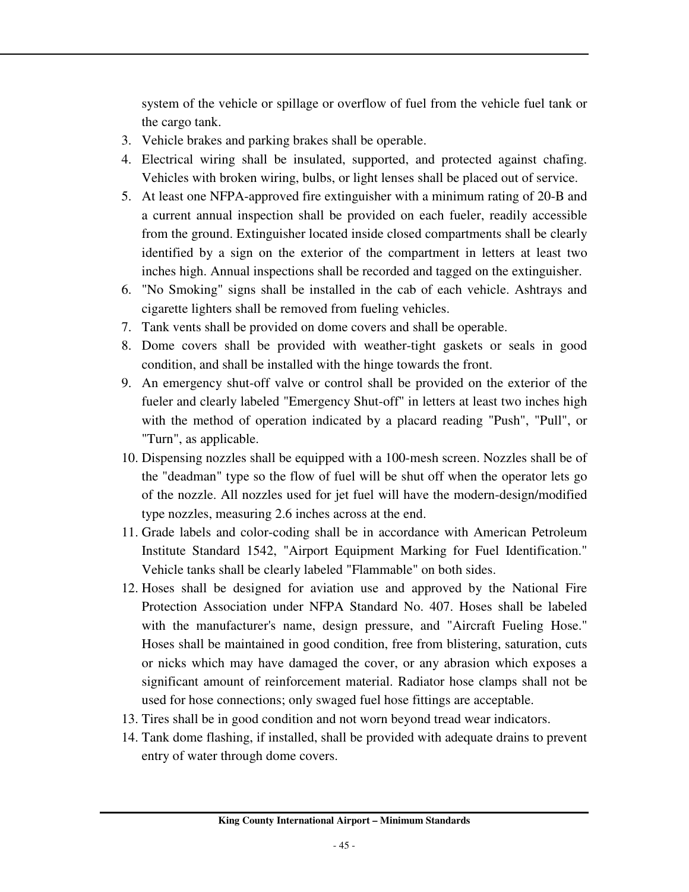system of the vehicle or spillage or overflow of fuel from the vehicle fuel tank or the cargo tank.

- 3. Vehicle brakes and parking brakes shall be operable.
- 4. Electrical wiring shall be insulated, supported, and protected against chafing. Vehicles with broken wiring, bulbs, or light lenses shall be placed out of service.
- 5. At least one NFPA-approved fire extinguisher with a minimum rating of 20-B and a current annual inspection shall be provided on each fueler, readily accessible from the ground. Extinguisher located inside closed compartments shall be clearly identified by a sign on the exterior of the compartment in letters at least two inches high. Annual inspections shall be recorded and tagged on the extinguisher.
- 6. "No Smoking" signs shall be installed in the cab of each vehicle. Ashtrays and cigarette lighters shall be removed from fueling vehicles.
- 7. Tank vents shall be provided on dome covers and shall be operable.
- 8. Dome covers shall be provided with weather-tight gaskets or seals in good condition, and shall be installed with the hinge towards the front.
- 9. An emergency shut-off valve or control shall be provided on the exterior of the fueler and clearly labeled "Emergency Shut-off" in letters at least two inches high with the method of operation indicated by a placard reading "Push", "Pull", or "Turn", as applicable.
- 10. Dispensing nozzles shall be equipped with a 100-mesh screen. Nozzles shall be of the "deadman" type so the flow of fuel will be shut off when the operator lets go of the nozzle. All nozzles used for jet fuel will have the modern-design/modified type nozzles, measuring 2.6 inches across at the end.
- 11. Grade labels and color-coding shall be in accordance with American Petroleum Institute Standard 1542, "Airport Equipment Marking for Fuel Identification." Vehicle tanks shall be clearly labeled "Flammable" on both sides.
- 12. Hoses shall be designed for aviation use and approved by the National Fire Protection Association under NFPA Standard No. 407. Hoses shall be labeled with the manufacturer's name, design pressure, and "Aircraft Fueling Hose." Hoses shall be maintained in good condition, free from blistering, saturation, cuts or nicks which may have damaged the cover, or any abrasion which exposes a significant amount of reinforcement material. Radiator hose clamps shall not be used for hose connections; only swaged fuel hose fittings are acceptable.
- 13. Tires shall be in good condition and not worn beyond tread wear indicators.
- 14. Tank dome flashing, if installed, shall be provided with adequate drains to prevent entry of water through dome covers.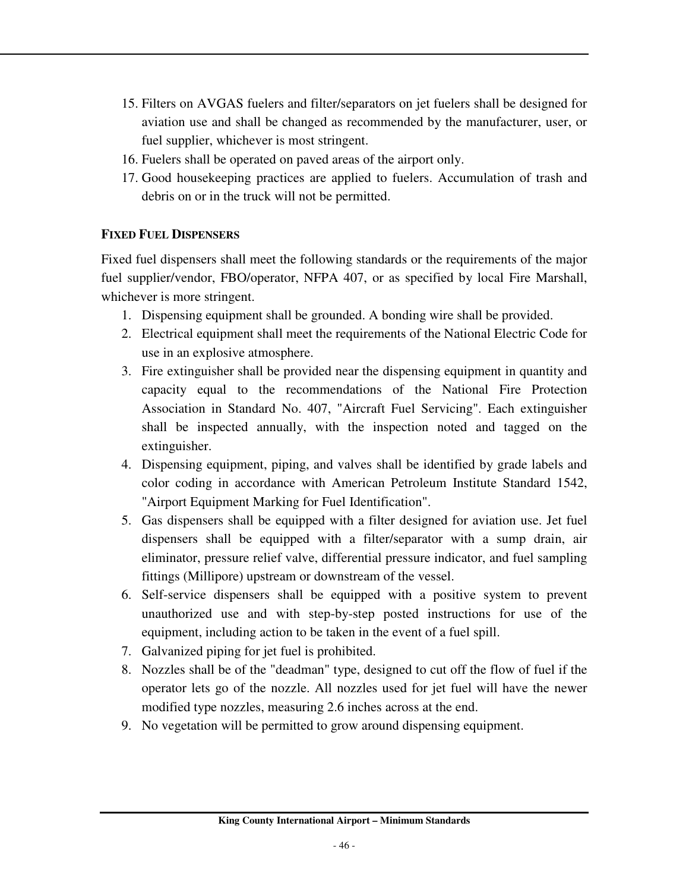- 15. Filters on AVGAS fuelers and filter/separators on jet fuelers shall be designed for aviation use and shall be changed as recommended by the manufacturer, user, or fuel supplier, whichever is most stringent.
- 16. Fuelers shall be operated on paved areas of the airport only.
- 17. Good housekeeping practices are applied to fuelers. Accumulation of trash and debris on or in the truck will not be permitted.

# **FIXED FUEL DISPENSERS**

Fixed fuel dispensers shall meet the following standards or the requirements of the major fuel supplier/vendor, FBO/operator, NFPA 407, or as specified by local Fire Marshall, whichever is more stringent.

- 1. Dispensing equipment shall be grounded. A bonding wire shall be provided.
- 2. Electrical equipment shall meet the requirements of the National Electric Code for use in an explosive atmosphere.
- 3. Fire extinguisher shall be provided near the dispensing equipment in quantity and capacity equal to the recommendations of the National Fire Protection Association in Standard No. 407, "Aircraft Fuel Servicing". Each extinguisher shall be inspected annually, with the inspection noted and tagged on the extinguisher.
- 4. Dispensing equipment, piping, and valves shall be identified by grade labels and color coding in accordance with American Petroleum Institute Standard 1542, "Airport Equipment Marking for Fuel Identification".
- 5. Gas dispensers shall be equipped with a filter designed for aviation use. Jet fuel dispensers shall be equipped with a filter/separator with a sump drain, air eliminator, pressure relief valve, differential pressure indicator, and fuel sampling fittings (Millipore) upstream or downstream of the vessel.
- 6. Self-service dispensers shall be equipped with a positive system to prevent unauthorized use and with step-by-step posted instructions for use of the equipment, including action to be taken in the event of a fuel spill.
- 7. Galvanized piping for jet fuel is prohibited.
- 8. Nozzles shall be of the "deadman" type, designed to cut off the flow of fuel if the operator lets go of the nozzle. All nozzles used for jet fuel will have the newer modified type nozzles, measuring 2.6 inches across at the end.
- 9. No vegetation will be permitted to grow around dispensing equipment.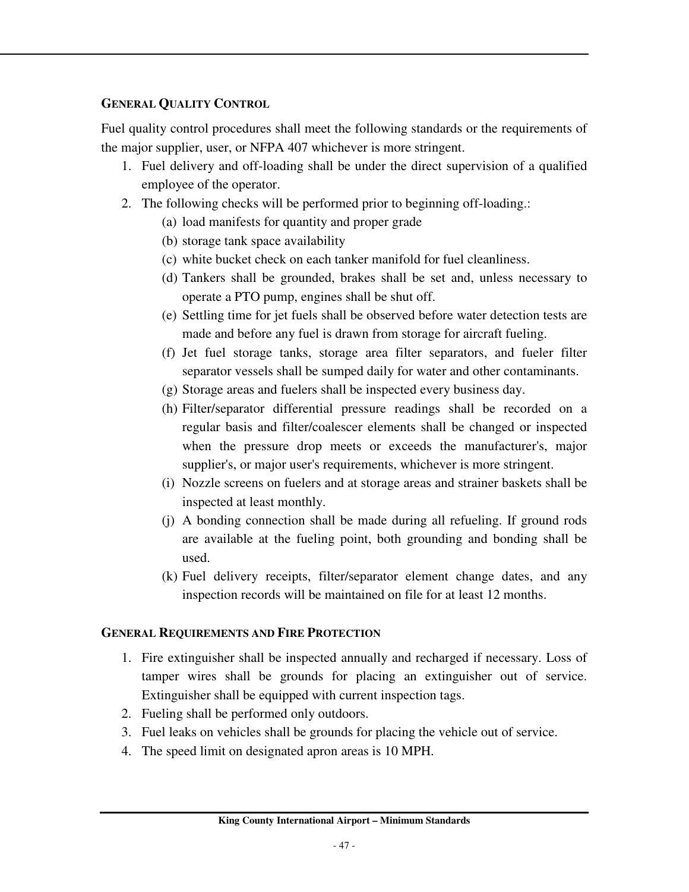#### **GENERAL QUALITY CONTROL**

Fuel quality control procedures shall meet the following standards or the requirements of the major supplier, user, or NFPA 407 whichever is more stringent.

- 1. Fuel delivery and off-loading shall be under the direct supervision of a qualified employee of the operator.
- 2. The following checks will be performed prior to beginning off-loading.:
	- (a) load manifests for quantity and proper grade
	- (b) storage tank space availability
	- (c) white bucket check on each tanker manifold for fuel cleanliness.
	- (d) Tankers shall be grounded, brakes shall be set and, unless necessary to operate a PTO pump, engines shall be shut off.
	- (e) Settling time for jet fuels shall be observed before water detection tests are made and before any fuel is drawn from storage for aircraft fueling.
	- (f) Jet fuel storage tanks, storage area filter separators, and fueler filter separator vessels shall be sumped daily for water and other contaminants.
	- (g) Storage areas and fuelers shall be inspected every business day.
	- (h) Filter/separator differential pressure readings shall be recorded on a regular basis and filter/coalescer elements shall be changed or inspected when the pressure drop meets or exceeds the manufacturer's, major supplier's, or major user's requirements, whichever is more stringent.
	- (i) Nozzle screens on fuelers and at storage areas and strainer baskets shall be inspected at least monthly.
	- (j) A bonding connection shall be made during all refueling. If ground rods are available at the fueling point, both grounding and bonding shall be used.
	- (k) Fuel delivery receipts, filter/separator element change dates, and any inspection records will be maintained on file for at least 12 months.

### **GENERAL REQUIREMENTS AND FIRE PROTECTION**

- 1. Fire extinguisher shall be inspected annually and recharged if necessary. Loss of tamper wires shall be grounds for placing an extinguisher out of service. Extinguisher shall be equipped with current inspection tags.
- 2. Fueling shall be performed only outdoors.
- 3. Fuel leaks on vehicles shall be grounds for placing the vehicle out of service.
- 4. The speed limit on designated apron areas is 10 MPH.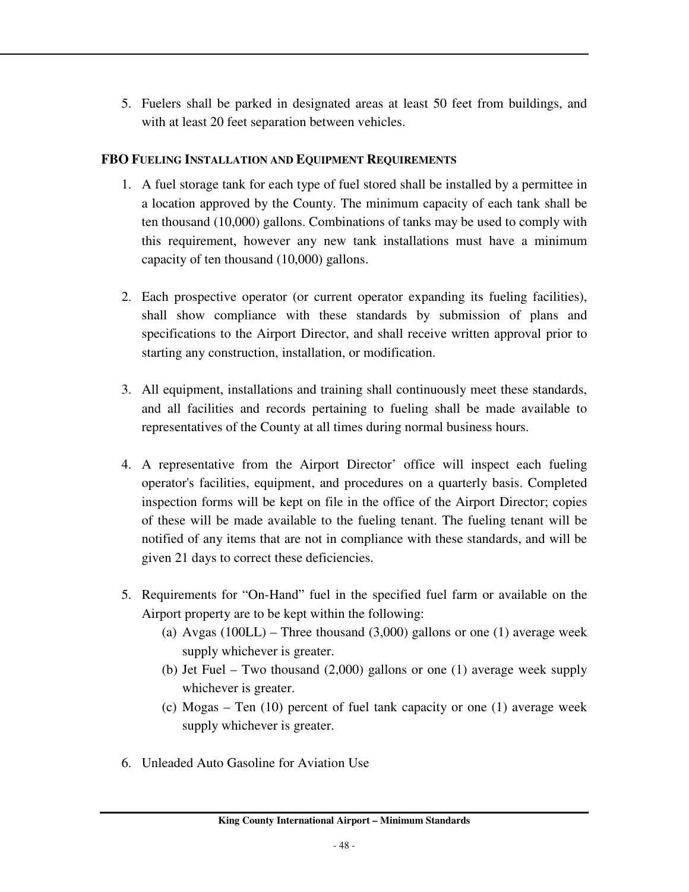5. Fuelers shall be parked in designated areas at least 50 feet from buildings, and with at least 20 feet separation between vehicles.

## **FBO FUELING INSTALLATION AND EQUIPMENT REQUIREMENTS**

- 1. A fuel storage tank for each type of fuel stored shall be installed by a permittee in a location approved by the County. The minimum capacity of each tank shall be ten thousand (10,000) gallons. Combinations of tanks may be used to comply with this requirement, however any new tank installations must have a minimum capacity of ten thousand (10,000) gallons.
- 2. Each prospective operator (or current operator expanding its fueling facilities), shall show compliance with these standards by submission of plans and specifications to the Airport Director, and shall receive written approval prior to starting any construction, installation, or modification.
- 3. All equipment, installations and training shall continuously meet these standards, and all facilities and records pertaining to fueling shall be made available to representatives of the County at all times during normal business hours.
- 4. A representative from the Airport Director' office will inspect each fueling operator's facilities, equipment, and procedures on a quarterly basis. Completed inspection forms will be kept on file in the office of the Airport Director; copies of these will be made available to the fueling tenant. The fueling tenant will be notified of any items that are not in compliance with these standards, and will be given 21 days to correct these deficiencies.
- 5. Requirements for "On-Hand" fuel in the specified fuel farm or available on the Airport property are to be kept within the following:
	- (a) Avgas (100LL) Three thousand (3,000) gallons or one (1) average week supply whichever is greater.
	- (b) Jet Fuel Two thousand  $(2,000)$  gallons or one  $(1)$  average week supply whichever is greater.
	- (c) Mogas Ten (10) percent of fuel tank capacity or one (1) average week supply whichever is greater.
- 6. Unleaded Auto Gasoline for Aviation Use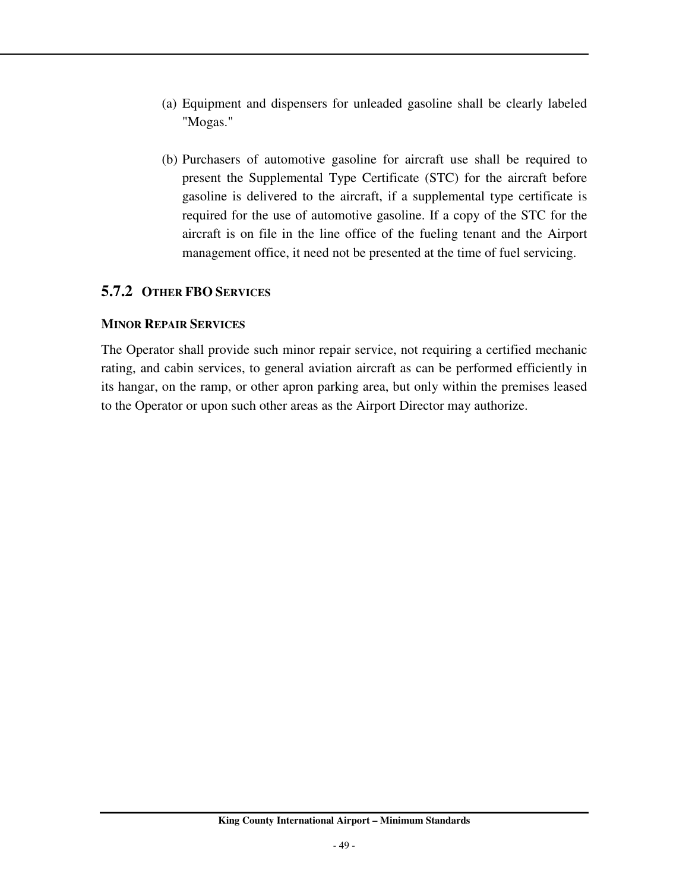- (a) Equipment and dispensers for unleaded gasoline shall be clearly labeled "Mogas."
- (b) Purchasers of automotive gasoline for aircraft use shall be required to present the Supplemental Type Certificate (STC) for the aircraft before gasoline is delivered to the aircraft, if a supplemental type certificate is required for the use of automotive gasoline. If a copy of the STC for the aircraft is on file in the line office of the fueling tenant and the Airport management office, it need not be presented at the time of fuel servicing.

# **5.7.2 OTHER FBO SERVICES**

#### **MINOR REPAIR SERVICES**

The Operator shall provide such minor repair service, not requiring a certified mechanic rating, and cabin services, to general aviation aircraft as can be performed efficiently in its hangar, on the ramp, or other apron parking area, but only within the premises leased to the Operator or upon such other areas as the Airport Director may authorize.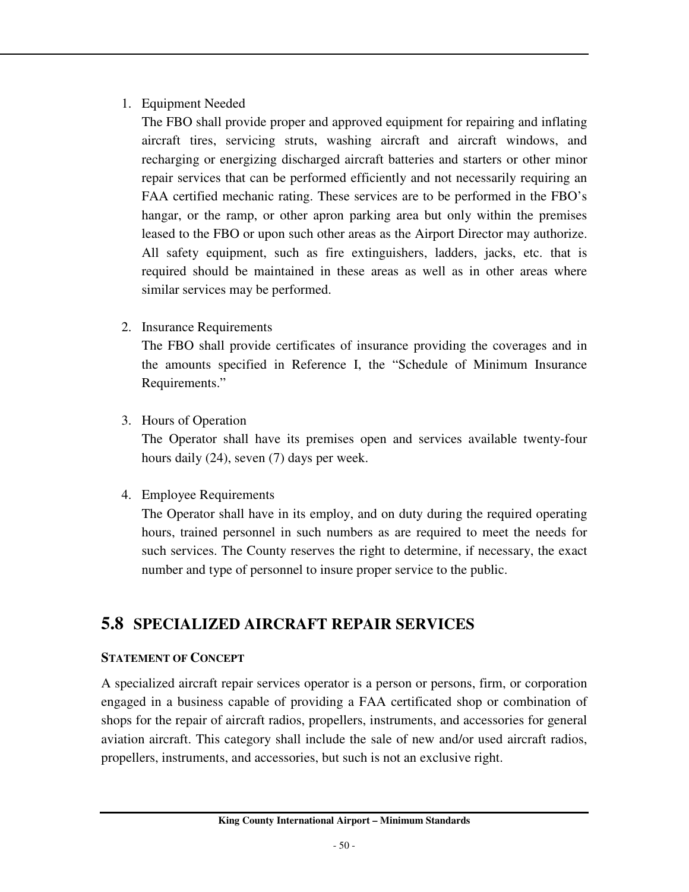# 1. Equipment Needed

The FBO shall provide proper and approved equipment for repairing and inflating aircraft tires, servicing struts, washing aircraft and aircraft windows, and recharging or energizing discharged aircraft batteries and starters or other minor repair services that can be performed efficiently and not necessarily requiring an FAA certified mechanic rating. These services are to be performed in the FBO's hangar, or the ramp, or other apron parking area but only within the premises leased to the FBO or upon such other areas as the Airport Director may authorize. All safety equipment, such as fire extinguishers, ladders, jacks, etc. that is required should be maintained in these areas as well as in other areas where similar services may be performed.

2. Insurance Requirements

The FBO shall provide certificates of insurance providing the coverages and in the amounts specified in Reference I, the "Schedule of Minimum Insurance Requirements."

3. Hours of Operation

The Operator shall have its premises open and services available twenty-four hours daily (24), seven (7) days per week.

4. Employee Requirements

The Operator shall have in its employ, and on duty during the required operating hours, trained personnel in such numbers as are required to meet the needs for such services. The County reserves the right to determine, if necessary, the exact number and type of personnel to insure proper service to the public.

# **5.8 SPECIALIZED AIRCRAFT REPAIR SERVICES**

# **STATEMENT OF CONCEPT**

A specialized aircraft repair services operator is a person or persons, firm, or corporation engaged in a business capable of providing a FAA certificated shop or combination of shops for the repair of aircraft radios, propellers, instruments, and accessories for general aviation aircraft. This category shall include the sale of new and/or used aircraft radios, propellers, instruments, and accessories, but such is not an exclusive right.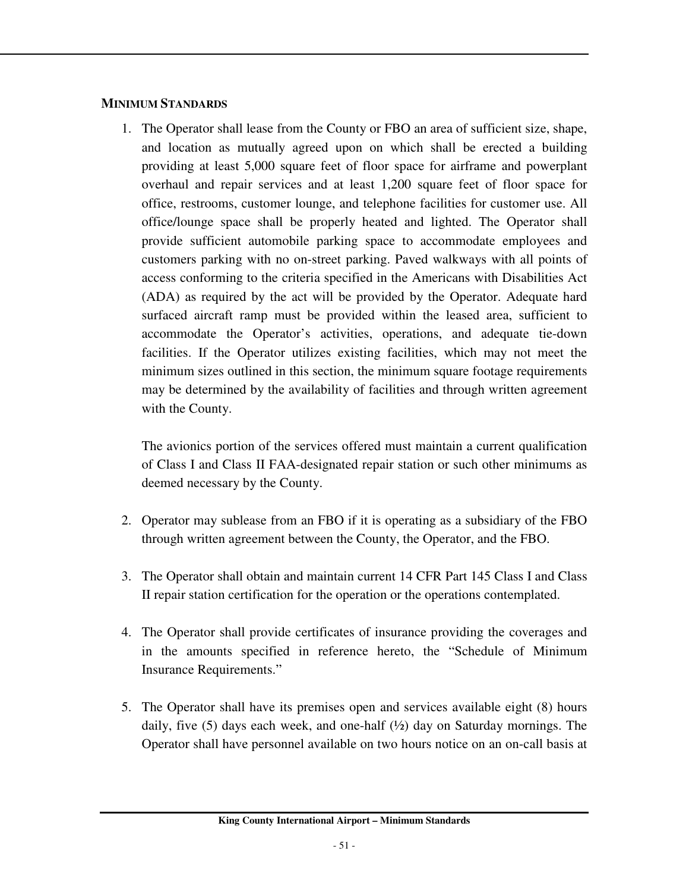#### **MINIMUM STANDARDS**

1. The Operator shall lease from the County or FBO an area of sufficient size, shape, and location as mutually agreed upon on which shall be erected a building providing at least 5,000 square feet of floor space for airframe and powerplant overhaul and repair services and at least 1,200 square feet of floor space for office, restrooms, customer lounge, and telephone facilities for customer use. All office/lounge space shall be properly heated and lighted. The Operator shall provide sufficient automobile parking space to accommodate employees and customers parking with no on-street parking. Paved walkways with all points of access conforming to the criteria specified in the Americans with Disabilities Act (ADA) as required by the act will be provided by the Operator. Adequate hard surfaced aircraft ramp must be provided within the leased area, sufficient to accommodate the Operator's activities, operations, and adequate tie-down facilities. If the Operator utilizes existing facilities, which may not meet the minimum sizes outlined in this section, the minimum square footage requirements may be determined by the availability of facilities and through written agreement with the County.

The avionics portion of the services offered must maintain a current qualification of Class I and Class II FAA-designated repair station or such other minimums as deemed necessary by the County.

- 2. Operator may sublease from an FBO if it is operating as a subsidiary of the FBO through written agreement between the County, the Operator, and the FBO.
- 3. The Operator shall obtain and maintain current 14 CFR Part 145 Class I and Class II repair station certification for the operation or the operations contemplated.
- 4. The Operator shall provide certificates of insurance providing the coverages and in the amounts specified in reference hereto, the "Schedule of Minimum Insurance Requirements."
- 5. The Operator shall have its premises open and services available eight (8) hours daily, five  $(5)$  days each week, and one-half  $(\frac{1}{2})$  day on Saturday mornings. The Operator shall have personnel available on two hours notice on an on-call basis at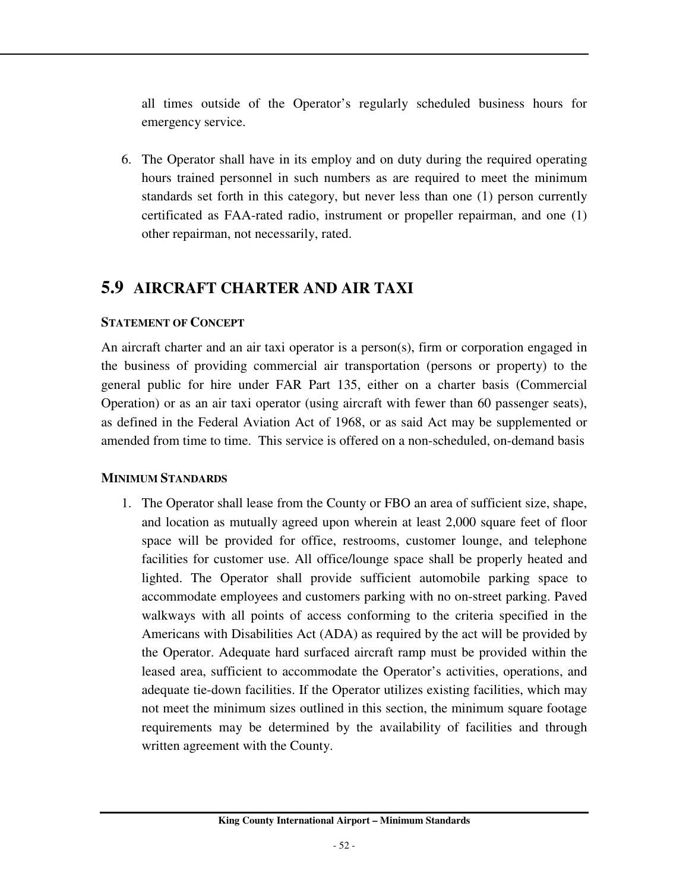all times outside of the Operator's regularly scheduled business hours for emergency service.

6. The Operator shall have in its employ and on duty during the required operating hours trained personnel in such numbers as are required to meet the minimum standards set forth in this category, but never less than one (1) person currently certificated as FAA-rated radio, instrument or propeller repairman, and one (1) other repairman, not necessarily, rated.

# **5.9 AIRCRAFT CHARTER AND AIR TAXI**

#### **STATEMENT OF CONCEPT**

An aircraft charter and an air taxi operator is a person(s), firm or corporation engaged in the business of providing commercial air transportation (persons or property) to the general public for hire under FAR Part 135, either on a charter basis (Commercial Operation) or as an air taxi operator (using aircraft with fewer than 60 passenger seats), as defined in the Federal Aviation Act of 1968, or as said Act may be supplemented or amended from time to time. This service is offered on a non-scheduled, on-demand basis

### **MINIMUM STANDARDS**

1. The Operator shall lease from the County or FBO an area of sufficient size, shape, and location as mutually agreed upon wherein at least 2,000 square feet of floor space will be provided for office, restrooms, customer lounge, and telephone facilities for customer use. All office/lounge space shall be properly heated and lighted. The Operator shall provide sufficient automobile parking space to accommodate employees and customers parking with no on-street parking. Paved walkways with all points of access conforming to the criteria specified in the Americans with Disabilities Act (ADA) as required by the act will be provided by the Operator. Adequate hard surfaced aircraft ramp must be provided within the leased area, sufficient to accommodate the Operator's activities, operations, and adequate tie-down facilities. If the Operator utilizes existing facilities, which may not meet the minimum sizes outlined in this section, the minimum square footage requirements may be determined by the availability of facilities and through written agreement with the County.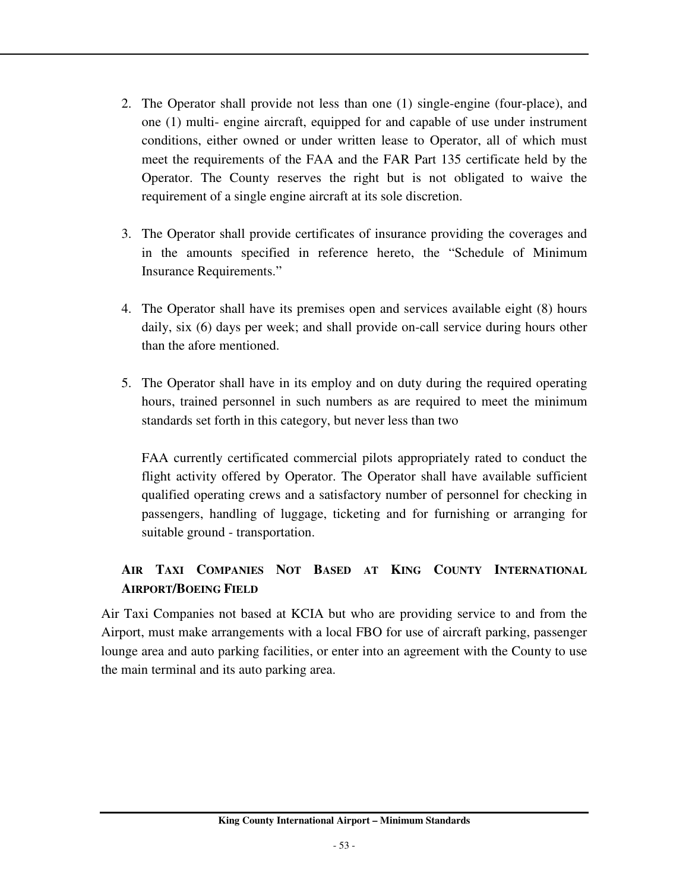- 2. The Operator shall provide not less than one (1) single-engine (four-place), and one (1) multi- engine aircraft, equipped for and capable of use under instrument conditions, either owned or under written lease to Operator, all of which must meet the requirements of the FAA and the FAR Part 135 certificate held by the Operator. The County reserves the right but is not obligated to waive the requirement of a single engine aircraft at its sole discretion.
- 3. The Operator shall provide certificates of insurance providing the coverages and in the amounts specified in reference hereto, the "Schedule of Minimum Insurance Requirements."
- 4. The Operator shall have its premises open and services available eight (8) hours daily, six (6) days per week; and shall provide on-call service during hours other than the afore mentioned.
- 5. The Operator shall have in its employ and on duty during the required operating hours, trained personnel in such numbers as are required to meet the minimum standards set forth in this category, but never less than two

FAA currently certificated commercial pilots appropriately rated to conduct the flight activity offered by Operator. The Operator shall have available sufficient qualified operating crews and a satisfactory number of personnel for checking in passengers, handling of luggage, ticketing and for furnishing or arranging for suitable ground - transportation.

# **AIR TAXI COMPANIES NOT BASED AT KING COUNTY INTERNATIONAL AIRPORT/BOEING FIELD**

Air Taxi Companies not based at KCIA but who are providing service to and from the Airport, must make arrangements with a local FBO for use of aircraft parking, passenger lounge area and auto parking facilities, or enter into an agreement with the County to use the main terminal and its auto parking area.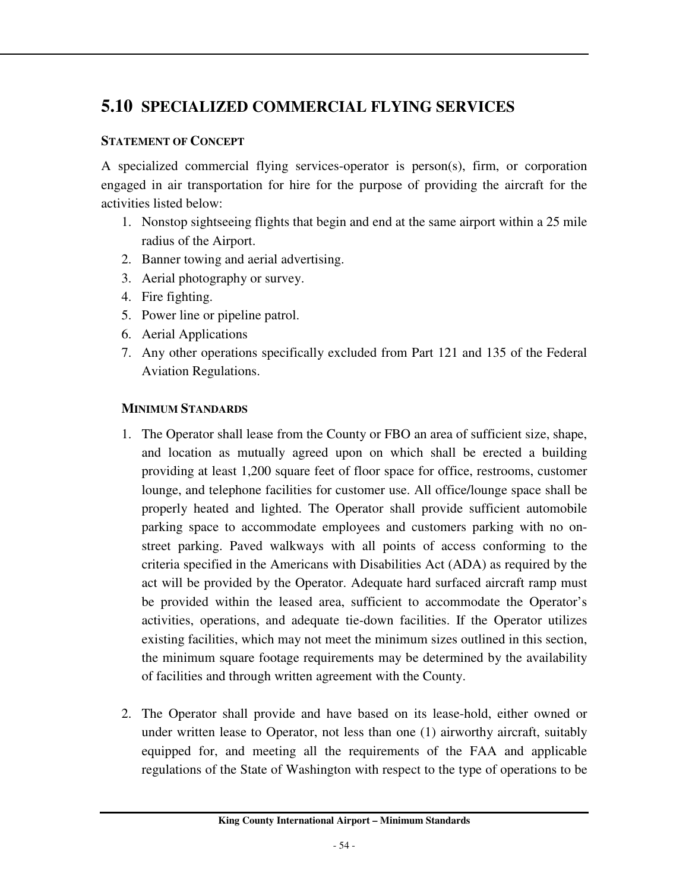# **5.10 SPECIALIZED COMMERCIAL FLYING SERVICES**

### **STATEMENT OF CONCEPT**

A specialized commercial flying services-operator is person(s), firm, or corporation engaged in air transportation for hire for the purpose of providing the aircraft for the activities listed below:

- 1. Nonstop sightseeing flights that begin and end at the same airport within a 25 mile radius of the Airport.
- 2. Banner towing and aerial advertising.
- 3. Aerial photography or survey.
- 4. Fire fighting.
- 5. Power line or pipeline patrol.
- 6. Aerial Applications
- 7. Any other operations specifically excluded from Part 121 and 135 of the Federal Aviation Regulations.

### **MINIMUM STANDARDS**

- 1. The Operator shall lease from the County or FBO an area of sufficient size, shape, and location as mutually agreed upon on which shall be erected a building providing at least 1,200 square feet of floor space for office, restrooms, customer lounge, and telephone facilities for customer use. All office/lounge space shall be properly heated and lighted. The Operator shall provide sufficient automobile parking space to accommodate employees and customers parking with no onstreet parking. Paved walkways with all points of access conforming to the criteria specified in the Americans with Disabilities Act (ADA) as required by the act will be provided by the Operator. Adequate hard surfaced aircraft ramp must be provided within the leased area, sufficient to accommodate the Operator's activities, operations, and adequate tie-down facilities. If the Operator utilizes existing facilities, which may not meet the minimum sizes outlined in this section, the minimum square footage requirements may be determined by the availability of facilities and through written agreement with the County.
- 2. The Operator shall provide and have based on its lease-hold, either owned or under written lease to Operator, not less than one (1) airworthy aircraft, suitably equipped for, and meeting all the requirements of the FAA and applicable regulations of the State of Washington with respect to the type of operations to be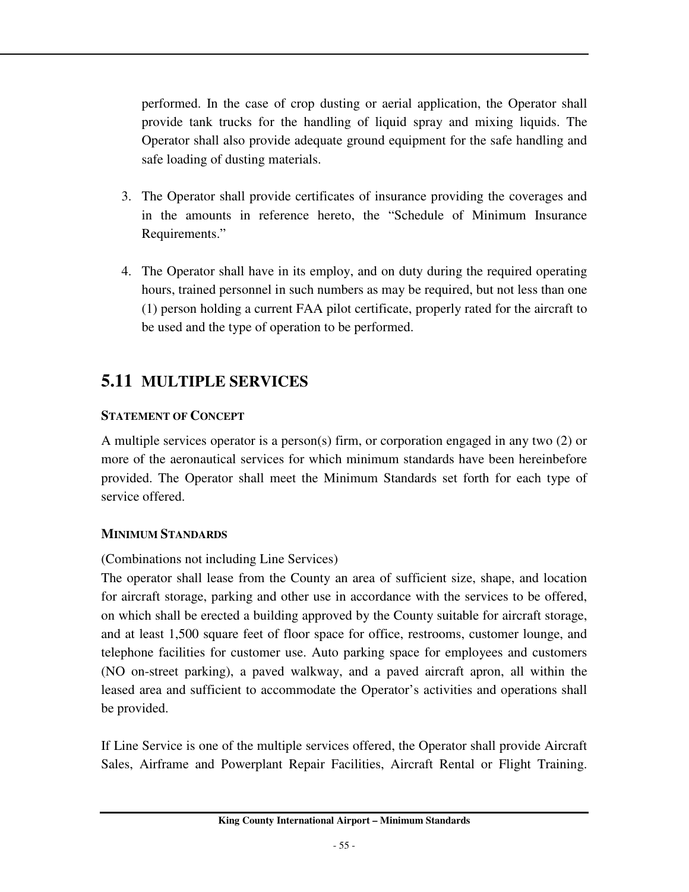performed. In the case of crop dusting or aerial application, the Operator shall provide tank trucks for the handling of liquid spray and mixing liquids. The Operator shall also provide adequate ground equipment for the safe handling and safe loading of dusting materials.

- 3. The Operator shall provide certificates of insurance providing the coverages and in the amounts in reference hereto, the "Schedule of Minimum Insurance Requirements."
- 4. The Operator shall have in its employ, and on duty during the required operating hours, trained personnel in such numbers as may be required, but not less than one (1) person holding a current FAA pilot certificate, properly rated for the aircraft to be used and the type of operation to be performed.

# **5.11 MULTIPLE SERVICES**

# **STATEMENT OF CONCEPT**

A multiple services operator is a person(s) firm, or corporation engaged in any two (2) or more of the aeronautical services for which minimum standards have been hereinbefore provided. The Operator shall meet the Minimum Standards set forth for each type of service offered.

# **MINIMUM STANDARDS**

# (Combinations not including Line Services)

The operator shall lease from the County an area of sufficient size, shape, and location for aircraft storage, parking and other use in accordance with the services to be offered, on which shall be erected a building approved by the County suitable for aircraft storage, and at least 1,500 square feet of floor space for office, restrooms, customer lounge, and telephone facilities for customer use. Auto parking space for employees and customers (NO on-street parking), a paved walkway, and a paved aircraft apron, all within the leased area and sufficient to accommodate the Operator's activities and operations shall be provided.

If Line Service is one of the multiple services offered, the Operator shall provide Aircraft Sales, Airframe and Powerplant Repair Facilities, Aircraft Rental or Flight Training.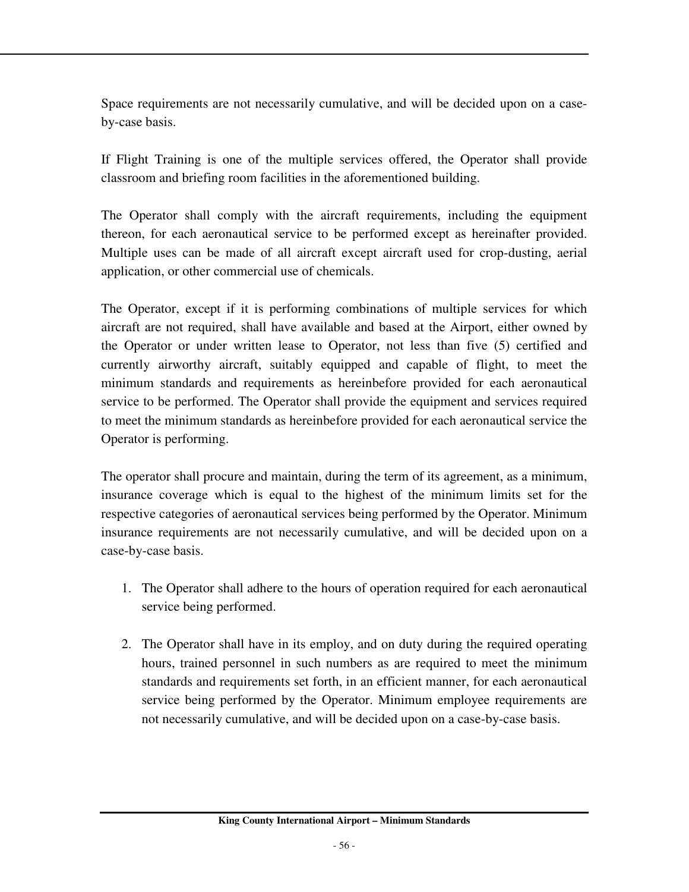Space requirements are not necessarily cumulative, and will be decided upon on a caseby-case basis.

If Flight Training is one of the multiple services offered, the Operator shall provide classroom and briefing room facilities in the aforementioned building.

The Operator shall comply with the aircraft requirements, including the equipment thereon, for each aeronautical service to be performed except as hereinafter provided. Multiple uses can be made of all aircraft except aircraft used for crop-dusting, aerial application, or other commercial use of chemicals.

The Operator, except if it is performing combinations of multiple services for which aircraft are not required, shall have available and based at the Airport, either owned by the Operator or under written lease to Operator, not less than five (5) certified and currently airworthy aircraft, suitably equipped and capable of flight, to meet the minimum standards and requirements as hereinbefore provided for each aeronautical service to be performed. The Operator shall provide the equipment and services required to meet the minimum standards as hereinbefore provided for each aeronautical service the Operator is performing.

The operator shall procure and maintain, during the term of its agreement, as a minimum, insurance coverage which is equal to the highest of the minimum limits set for the respective categories of aeronautical services being performed by the Operator. Minimum insurance requirements are not necessarily cumulative, and will be decided upon on a case-by-case basis.

- 1. The Operator shall adhere to the hours of operation required for each aeronautical service being performed.
- 2. The Operator shall have in its employ, and on duty during the required operating hours, trained personnel in such numbers as are required to meet the minimum standards and requirements set forth, in an efficient manner, for each aeronautical service being performed by the Operator. Minimum employee requirements are not necessarily cumulative, and will be decided upon on a case-by-case basis.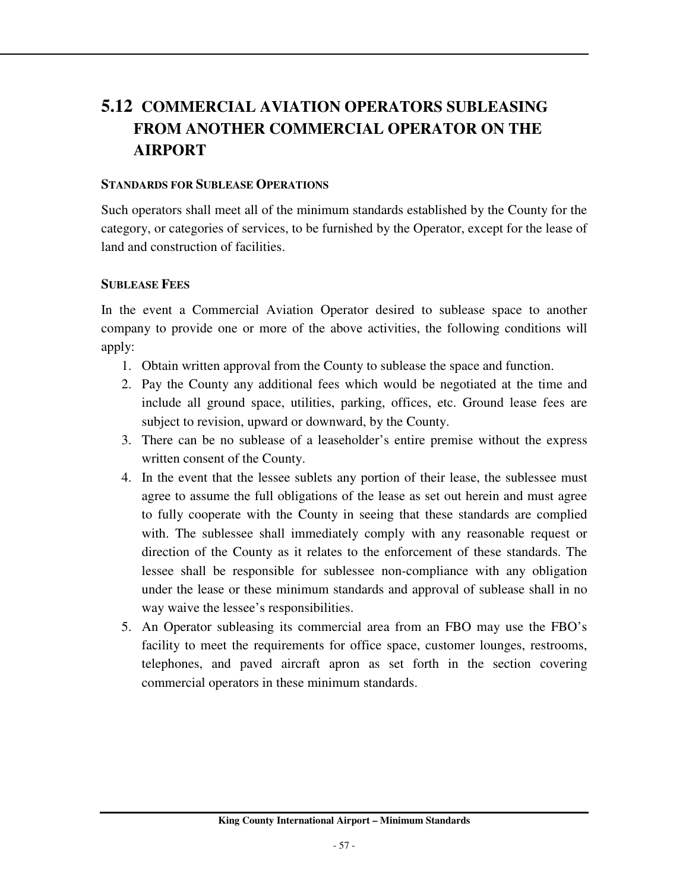# **5.12 COMMERCIAL AVIATION OPERATORS SUBLEASING FROM ANOTHER COMMERCIAL OPERATOR ON THE AIRPORT**

#### **STANDARDS FOR SUBLEASE OPERATIONS**

Such operators shall meet all of the minimum standards established by the County for the category, or categories of services, to be furnished by the Operator, except for the lease of land and construction of facilities.

#### **SUBLEASE FEES**

In the event a Commercial Aviation Operator desired to sublease space to another company to provide one or more of the above activities, the following conditions will apply:

- 1. Obtain written approval from the County to sublease the space and function.
- 2. Pay the County any additional fees which would be negotiated at the time and include all ground space, utilities, parking, offices, etc. Ground lease fees are subject to revision, upward or downward, by the County.
- 3. There can be no sublease of a leaseholder's entire premise without the express written consent of the County.
- 4. In the event that the lessee sublets any portion of their lease, the sublessee must agree to assume the full obligations of the lease as set out herein and must agree to fully cooperate with the County in seeing that these standards are complied with. The sublessee shall immediately comply with any reasonable request or direction of the County as it relates to the enforcement of these standards. The lessee shall be responsible for sublessee non-compliance with any obligation under the lease or these minimum standards and approval of sublease shall in no way waive the lessee's responsibilities.
- 5. An Operator subleasing its commercial area from an FBO may use the FBO's facility to meet the requirements for office space, customer lounges, restrooms, telephones, and paved aircraft apron as set forth in the section covering commercial operators in these minimum standards.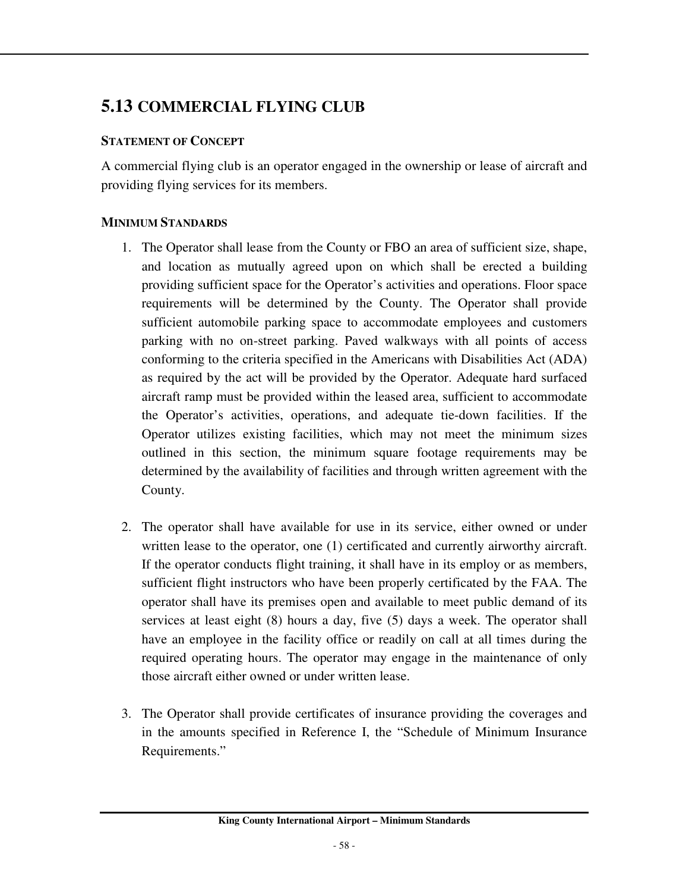# **5.13 COMMERCIAL FLYING CLUB**

# **STATEMENT OF CONCEPT**

A commercial flying club is an operator engaged in the ownership or lease of aircraft and providing flying services for its members.

# **MINIMUM STANDARDS**

- 1. The Operator shall lease from the County or FBO an area of sufficient size, shape, and location as mutually agreed upon on which shall be erected a building providing sufficient space for the Operator's activities and operations. Floor space requirements will be determined by the County. The Operator shall provide sufficient automobile parking space to accommodate employees and customers parking with no on-street parking. Paved walkways with all points of access conforming to the criteria specified in the Americans with Disabilities Act (ADA) as required by the act will be provided by the Operator. Adequate hard surfaced aircraft ramp must be provided within the leased area, sufficient to accommodate the Operator's activities, operations, and adequate tie-down facilities. If the Operator utilizes existing facilities, which may not meet the minimum sizes outlined in this section, the minimum square footage requirements may be determined by the availability of facilities and through written agreement with the County.
- 2. The operator shall have available for use in its service, either owned or under written lease to the operator, one (1) certificated and currently airworthy aircraft. If the operator conducts flight training, it shall have in its employ or as members, sufficient flight instructors who have been properly certificated by the FAA. The operator shall have its premises open and available to meet public demand of its services at least eight (8) hours a day, five (5) days a week. The operator shall have an employee in the facility office or readily on call at all times during the required operating hours. The operator may engage in the maintenance of only those aircraft either owned or under written lease.
- 3. The Operator shall provide certificates of insurance providing the coverages and in the amounts specified in Reference I, the "Schedule of Minimum Insurance Requirements."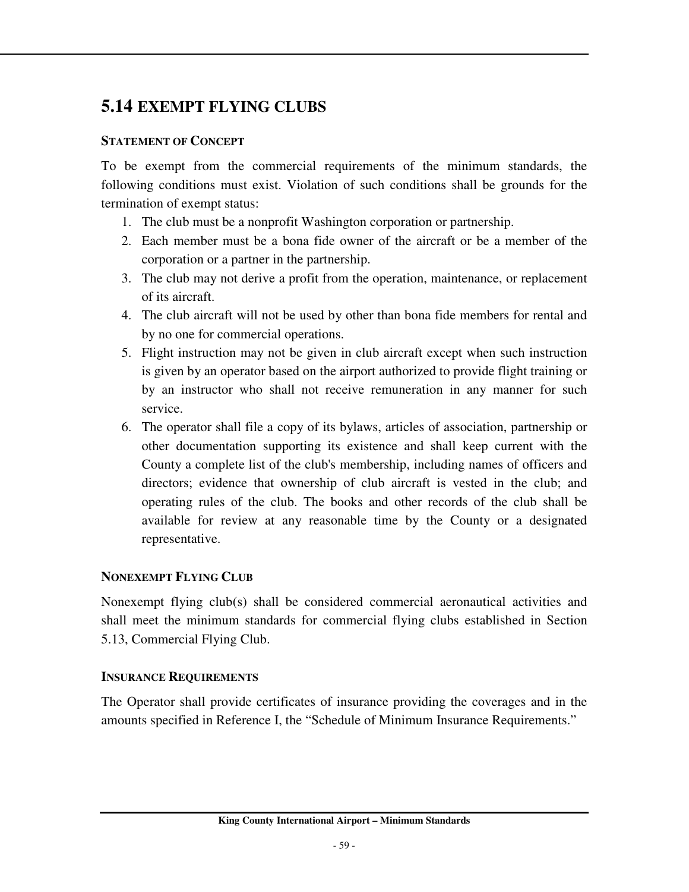# **5.14 EXEMPT FLYING CLUBS**

#### **STATEMENT OF CONCEPT**

To be exempt from the commercial requirements of the minimum standards, the following conditions must exist. Violation of such conditions shall be grounds for the termination of exempt status:

- 1. The club must be a nonprofit Washington corporation or partnership.
- 2. Each member must be a bona fide owner of the aircraft or be a member of the corporation or a partner in the partnership.
- 3. The club may not derive a profit from the operation, maintenance, or replacement of its aircraft.
- 4. The club aircraft will not be used by other than bona fide members for rental and by no one for commercial operations.
- 5. Flight instruction may not be given in club aircraft except when such instruction is given by an operator based on the airport authorized to provide flight training or by an instructor who shall not receive remuneration in any manner for such service.
- 6. The operator shall file a copy of its bylaws, articles of association, partnership or other documentation supporting its existence and shall keep current with the County a complete list of the club's membership, including names of officers and directors; evidence that ownership of club aircraft is vested in the club; and operating rules of the club. The books and other records of the club shall be available for review at any reasonable time by the County or a designated representative.

### **NONEXEMPT FLYING CLUB**

Nonexempt flying club(s) shall be considered commercial aeronautical activities and shall meet the minimum standards for commercial flying clubs established in Section 5.13, Commercial Flying Club.

#### **INSURANCE REQUIREMENTS**

The Operator shall provide certificates of insurance providing the coverages and in the amounts specified in Reference I, the "Schedule of Minimum Insurance Requirements."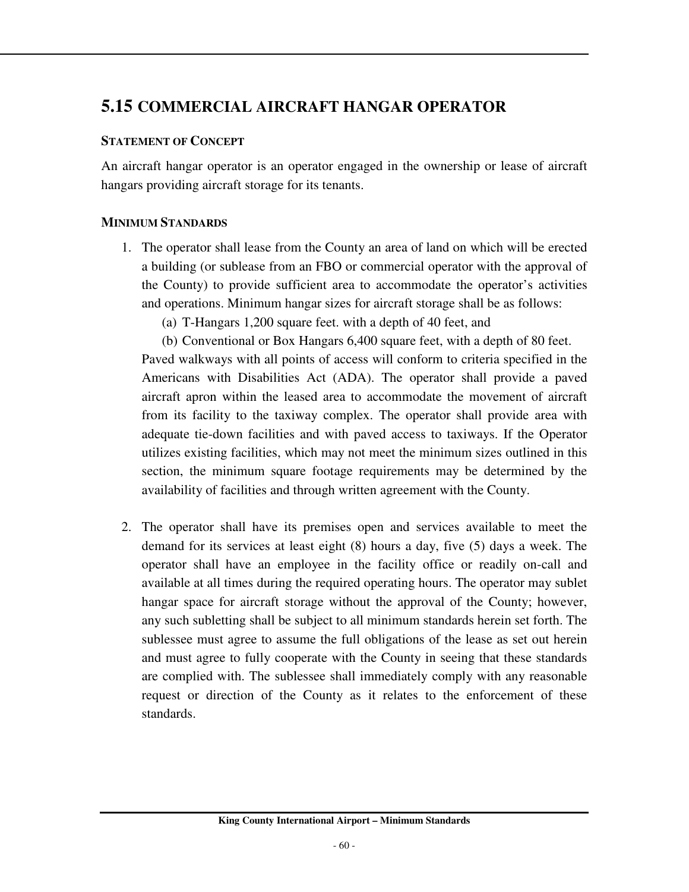# **5.15 COMMERCIAL AIRCRAFT HANGAR OPERATOR**

#### **STATEMENT OF CONCEPT**

An aircraft hangar operator is an operator engaged in the ownership or lease of aircraft hangars providing aircraft storage for its tenants.

#### **MINIMUM STANDARDS**

- 1. The operator shall lease from the County an area of land on which will be erected a building (or sublease from an FBO or commercial operator with the approval of the County) to provide sufficient area to accommodate the operator's activities and operations. Minimum hangar sizes for aircraft storage shall be as follows:
	- (a) T-Hangars 1,200 square feet. with a depth of 40 feet, and

(b) Conventional or Box Hangars 6,400 square feet, with a depth of 80 feet. Paved walkways with all points of access will conform to criteria specified in the Americans with Disabilities Act (ADA). The operator shall provide a paved aircraft apron within the leased area to accommodate the movement of aircraft from its facility to the taxiway complex. The operator shall provide area with adequate tie-down facilities and with paved access to taxiways. If the Operator utilizes existing facilities, which may not meet the minimum sizes outlined in this section, the minimum square footage requirements may be determined by the availability of facilities and through written agreement with the County.

2. The operator shall have its premises open and services available to meet the demand for its services at least eight (8) hours a day, five (5) days a week. The operator shall have an employee in the facility office or readily on-call and available at all times during the required operating hours. The operator may sublet hangar space for aircraft storage without the approval of the County; however, any such subletting shall be subject to all minimum standards herein set forth. The sublessee must agree to assume the full obligations of the lease as set out herein and must agree to fully cooperate with the County in seeing that these standards are complied with. The sublessee shall immediately comply with any reasonable request or direction of the County as it relates to the enforcement of these standards.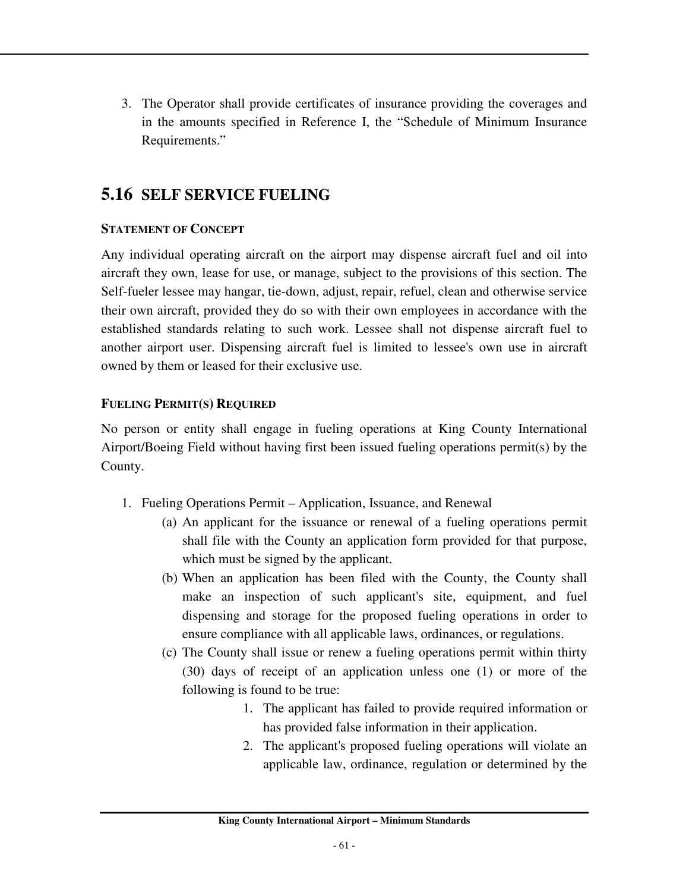3. The Operator shall provide certificates of insurance providing the coverages and in the amounts specified in Reference I, the "Schedule of Minimum Insurance Requirements."

# **5.16 SELF SERVICE FUELING**

# **STATEMENT OF CONCEPT**

Any individual operating aircraft on the airport may dispense aircraft fuel and oil into aircraft they own, lease for use, or manage, subject to the provisions of this section. The Self-fueler lessee may hangar, tie-down, adjust, repair, refuel, clean and otherwise service their own aircraft, provided they do so with their own employees in accordance with the established standards relating to such work. Lessee shall not dispense aircraft fuel to another airport user. Dispensing aircraft fuel is limited to lessee's own use in aircraft owned by them or leased for their exclusive use.

# **FUELING PERMIT(S) REQUIRED**

No person or entity shall engage in fueling operations at King County International Airport/Boeing Field without having first been issued fueling operations permit(s) by the County.

- 1. Fueling Operations Permit Application, Issuance, and Renewal
	- (a) An applicant for the issuance or renewal of a fueling operations permit shall file with the County an application form provided for that purpose, which must be signed by the applicant.
	- (b) When an application has been filed with the County, the County shall make an inspection of such applicant's site, equipment, and fuel dispensing and storage for the proposed fueling operations in order to ensure compliance with all applicable laws, ordinances, or regulations.
	- (c) The County shall issue or renew a fueling operations permit within thirty (30) days of receipt of an application unless one (1) or more of the following is found to be true:
		- 1. The applicant has failed to provide required information or has provided false information in their application.
		- 2. The applicant's proposed fueling operations will violate an applicable law, ordinance, regulation or determined by the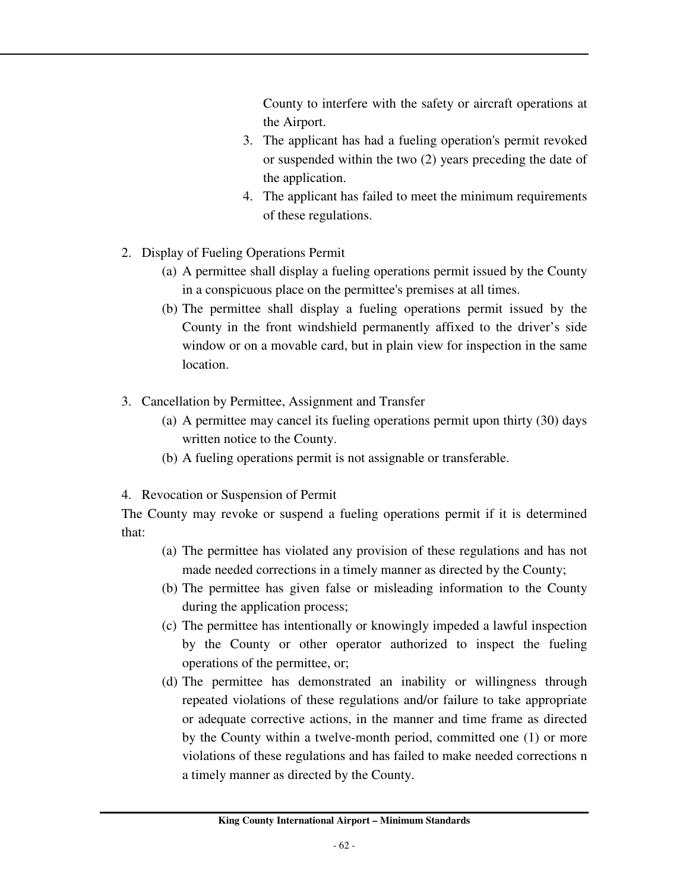County to interfere with the safety or aircraft operations at the Airport.

- 3. The applicant has had a fueling operation's permit revoked or suspended within the two (2) years preceding the date of the application.
- 4. The applicant has failed to meet the minimum requirements of these regulations.
- 2. Display of Fueling Operations Permit
	- (a) A permittee shall display a fueling operations permit issued by the County in a conspicuous place on the permittee's premises at all times.
	- (b) The permittee shall display a fueling operations permit issued by the County in the front windshield permanently affixed to the driver's side window or on a movable card, but in plain view for inspection in the same location.
- 3. Cancellation by Permittee, Assignment and Transfer
	- (a) A permittee may cancel its fueling operations permit upon thirty (30) days written notice to the County.
	- (b) A fueling operations permit is not assignable or transferable.
- 4. Revocation or Suspension of Permit

The County may revoke or suspend a fueling operations permit if it is determined that:

- (a) The permittee has violated any provision of these regulations and has not made needed corrections in a timely manner as directed by the County;
- (b) The permittee has given false or misleading information to the County during the application process;
- (c) The permittee has intentionally or knowingly impeded a lawful inspection by the County or other operator authorized to inspect the fueling operations of the permittee, or;
- (d) The permittee has demonstrated an inability or willingness through repeated violations of these regulations and/or failure to take appropriate or adequate corrective actions, in the manner and time frame as directed by the County within a twelve-month period, committed one (1) or more violations of these regulations and has failed to make needed corrections n a timely manner as directed by the County.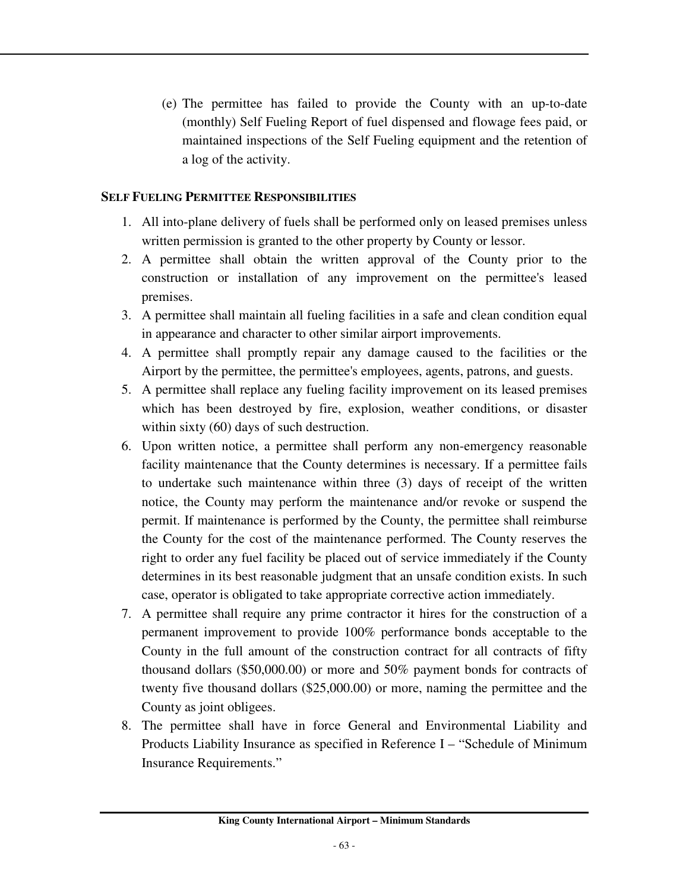(e) The permittee has failed to provide the County with an up-to-date (monthly) Self Fueling Report of fuel dispensed and flowage fees paid, or maintained inspections of the Self Fueling equipment and the retention of a log of the activity.

#### **SELF FUELING PERMITTEE RESPONSIBILITIES**

- 1. All into-plane delivery of fuels shall be performed only on leased premises unless written permission is granted to the other property by County or lessor.
- 2. A permittee shall obtain the written approval of the County prior to the construction or installation of any improvement on the permittee's leased premises.
- 3. A permittee shall maintain all fueling facilities in a safe and clean condition equal in appearance and character to other similar airport improvements.
- 4. A permittee shall promptly repair any damage caused to the facilities or the Airport by the permittee, the permittee's employees, agents, patrons, and guests.
- 5. A permittee shall replace any fueling facility improvement on its leased premises which has been destroyed by fire, explosion, weather conditions, or disaster within sixty (60) days of such destruction.
- 6. Upon written notice, a permittee shall perform any non-emergency reasonable facility maintenance that the County determines is necessary. If a permittee fails to undertake such maintenance within three (3) days of receipt of the written notice, the County may perform the maintenance and/or revoke or suspend the permit. If maintenance is performed by the County, the permittee shall reimburse the County for the cost of the maintenance performed. The County reserves the right to order any fuel facility be placed out of service immediately if the County determines in its best reasonable judgment that an unsafe condition exists. In such case, operator is obligated to take appropriate corrective action immediately.
- 7. A permittee shall require any prime contractor it hires for the construction of a permanent improvement to provide 100% performance bonds acceptable to the County in the full amount of the construction contract for all contracts of fifty thousand dollars (\$50,000.00) or more and 50% payment bonds for contracts of twenty five thousand dollars (\$25,000.00) or more, naming the permittee and the County as joint obligees.
- 8. The permittee shall have in force General and Environmental Liability and Products Liability Insurance as specified in Reference I – "Schedule of Minimum Insurance Requirements."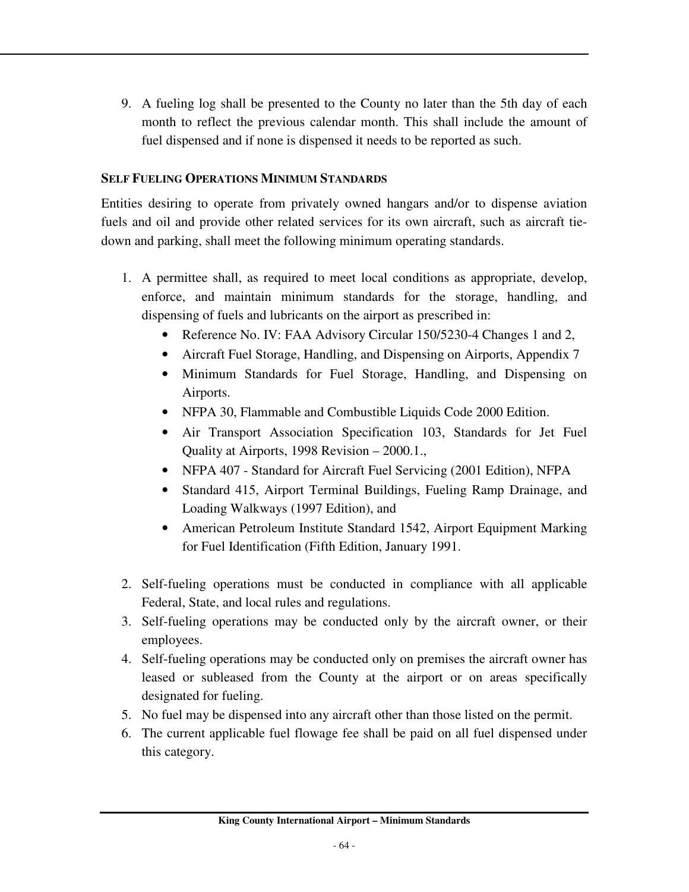9. A fueling log shall be presented to the County no later than the 5th day of each month to reflect the previous calendar month. This shall include the amount of fuel dispensed and if none is dispensed it needs to be reported as such.

#### **SELF FUELING OPERATIONS MINIMUM STANDARDS**

Entities desiring to operate from privately owned hangars and/or to dispense aviation fuels and oil and provide other related services for its own aircraft, such as aircraft tiedown and parking, shall meet the following minimum operating standards.

- 1. A permittee shall, as required to meet local conditions as appropriate, develop, enforce, and maintain minimum standards for the storage, handling, and dispensing of fuels and lubricants on the airport as prescribed in:
	- Reference No. IV: FAA Advisory Circular 150/5230-4 Changes 1 and 2,
	- Aircraft Fuel Storage, Handling, and Dispensing on Airports, Appendix 7
	- Minimum Standards for Fuel Storage, Handling, and Dispensing on Airports.
	- NFPA 30, Flammable and Combustible Liquids Code 2000 Edition.
	- Air Transport Association Specification 103, Standards for Jet Fuel Quality at Airports, 1998 Revision – 2000.1.,
	- NFPA 407 Standard for Aircraft Fuel Servicing (2001 Edition), NFPA
	- Standard 415, Airport Terminal Buildings, Fueling Ramp Drainage, and Loading Walkways (1997 Edition), and
	- American Petroleum Institute Standard 1542, Airport Equipment Marking for Fuel Identification (Fifth Edition, January 1991.
- 2. Self-fueling operations must be conducted in compliance with all applicable Federal, State, and local rules and regulations.
- 3. Self-fueling operations may be conducted only by the aircraft owner, or their employees.
- 4. Self-fueling operations may be conducted only on premises the aircraft owner has leased or subleased from the County at the airport or on areas specifically designated for fueling.
- 5. No fuel may be dispensed into any aircraft other than those listed on the permit.
- 6. The current applicable fuel flowage fee shall be paid on all fuel dispensed under this category.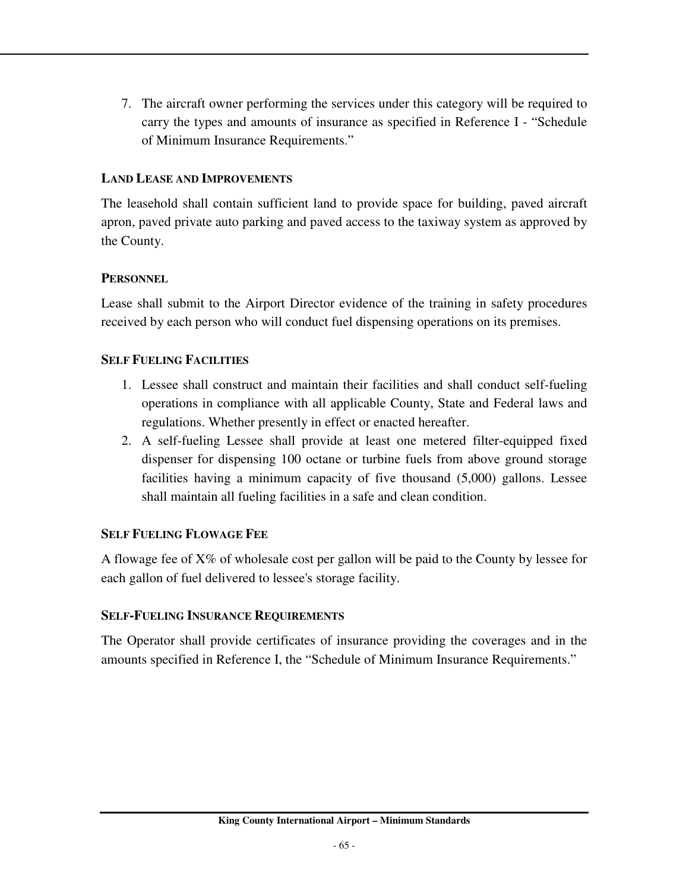7. The aircraft owner performing the services under this category will be required to carry the types and amounts of insurance as specified in Reference I - "Schedule of Minimum Insurance Requirements."

### **LAND LEASE AND IMPROVEMENTS**

The leasehold shall contain sufficient land to provide space for building, paved aircraft apron, paved private auto parking and paved access to the taxiway system as approved by the County.

# **PERSONNEL**

Lease shall submit to the Airport Director evidence of the training in safety procedures received by each person who will conduct fuel dispensing operations on its premises.

### **SELF FUELING FACILITIES**

- 1. Lessee shall construct and maintain their facilities and shall conduct self-fueling operations in compliance with all applicable County, State and Federal laws and regulations. Whether presently in effect or enacted hereafter.
- 2. A self-fueling Lessee shall provide at least one metered filter-equipped fixed dispenser for dispensing 100 octane or turbine fuels from above ground storage facilities having a minimum capacity of five thousand (5,000) gallons. Lessee shall maintain all fueling facilities in a safe and clean condition.

### **SELF FUELING FLOWAGE FEE**

A flowage fee of X% of wholesale cost per gallon will be paid to the County by lessee for each gallon of fuel delivered to lessee's storage facility.

### **SELF-FUELING INSURANCE REQUIREMENTS**

The Operator shall provide certificates of insurance providing the coverages and in the amounts specified in Reference I, the "Schedule of Minimum Insurance Requirements."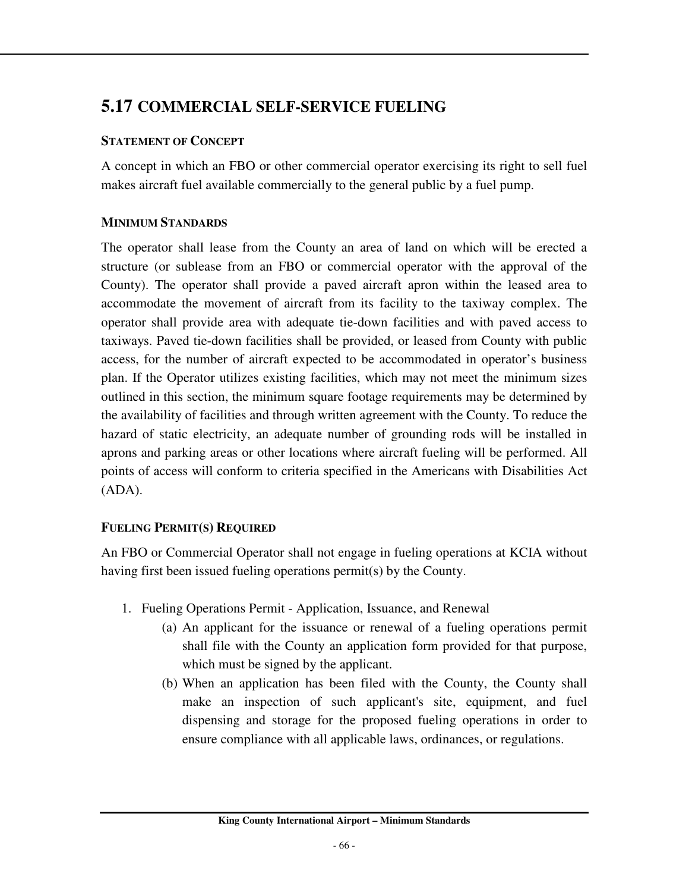# **5.17 COMMERCIAL SELF-SERVICE FUELING**

# **STATEMENT OF CONCEPT**

A concept in which an FBO or other commercial operator exercising its right to sell fuel makes aircraft fuel available commercially to the general public by a fuel pump.

# **MINIMUM STANDARDS**

The operator shall lease from the County an area of land on which will be erected a structure (or sublease from an FBO or commercial operator with the approval of the County). The operator shall provide a paved aircraft apron within the leased area to accommodate the movement of aircraft from its facility to the taxiway complex. The operator shall provide area with adequate tie-down facilities and with paved access to taxiways. Paved tie-down facilities shall be provided, or leased from County with public access, for the number of aircraft expected to be accommodated in operator's business plan. If the Operator utilizes existing facilities, which may not meet the minimum sizes outlined in this section, the minimum square footage requirements may be determined by the availability of facilities and through written agreement with the County. To reduce the hazard of static electricity, an adequate number of grounding rods will be installed in aprons and parking areas or other locations where aircraft fueling will be performed. All points of access will conform to criteria specified in the Americans with Disabilities Act (ADA).

# **FUELING PERMIT(S) REQUIRED**

An FBO or Commercial Operator shall not engage in fueling operations at KCIA without having first been issued fueling operations permit(s) by the County.

- 1. Fueling Operations Permit Application, Issuance, and Renewal
	- (a) An applicant for the issuance or renewal of a fueling operations permit shall file with the County an application form provided for that purpose, which must be signed by the applicant.
	- (b) When an application has been filed with the County, the County shall make an inspection of such applicant's site, equipment, and fuel dispensing and storage for the proposed fueling operations in order to ensure compliance with all applicable laws, ordinances, or regulations.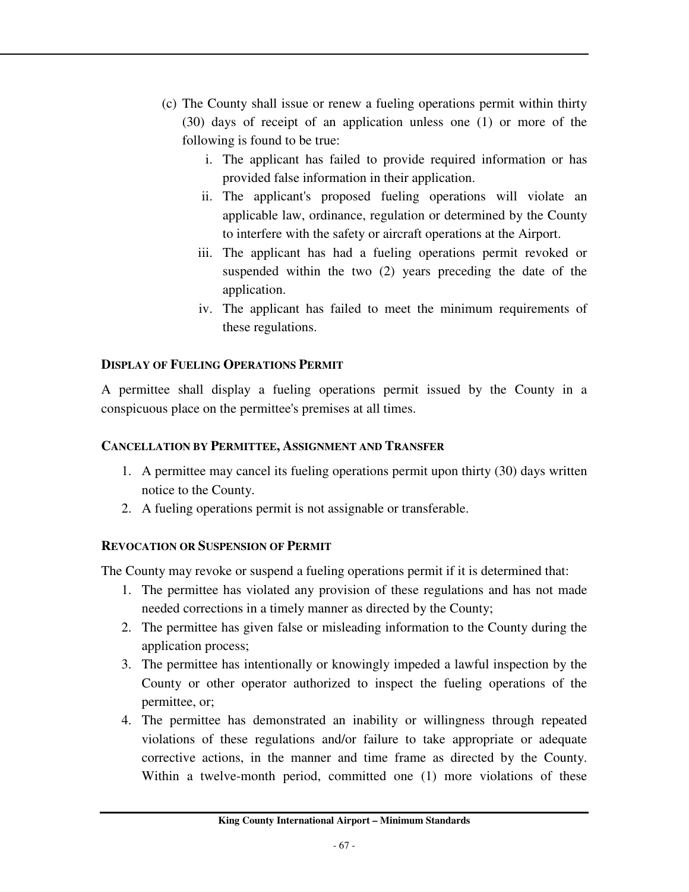- (c) The County shall issue or renew a fueling operations permit within thirty (30) days of receipt of an application unless one (1) or more of the following is found to be true:
	- i. The applicant has failed to provide required information or has provided false information in their application.
	- ii. The applicant's proposed fueling operations will violate an applicable law, ordinance, regulation or determined by the County to interfere with the safety or aircraft operations at the Airport.
	- iii. The applicant has had a fueling operations permit revoked or suspended within the two (2) years preceding the date of the application.
	- iv. The applicant has failed to meet the minimum requirements of these regulations.

### **DISPLAY OF FUELING OPERATIONS PERMIT**

A permittee shall display a fueling operations permit issued by the County in a conspicuous place on the permittee's premises at all times.

#### **CANCELLATION BY PERMITTEE, ASSIGNMENT AND TRANSFER**

- 1. A permittee may cancel its fueling operations permit upon thirty (30) days written notice to the County.
- 2. A fueling operations permit is not assignable or transferable.

### **REVOCATION OR SUSPENSION OF PERMIT**

The County may revoke or suspend a fueling operations permit if it is determined that:

- 1. The permittee has violated any provision of these regulations and has not made needed corrections in a timely manner as directed by the County;
- 2. The permittee has given false or misleading information to the County during the application process;
- 3. The permittee has intentionally or knowingly impeded a lawful inspection by the County or other operator authorized to inspect the fueling operations of the permittee, or;
- 4. The permittee has demonstrated an inability or willingness through repeated violations of these regulations and/or failure to take appropriate or adequate corrective actions, in the manner and time frame as directed by the County. Within a twelve-month period, committed one (1) more violations of these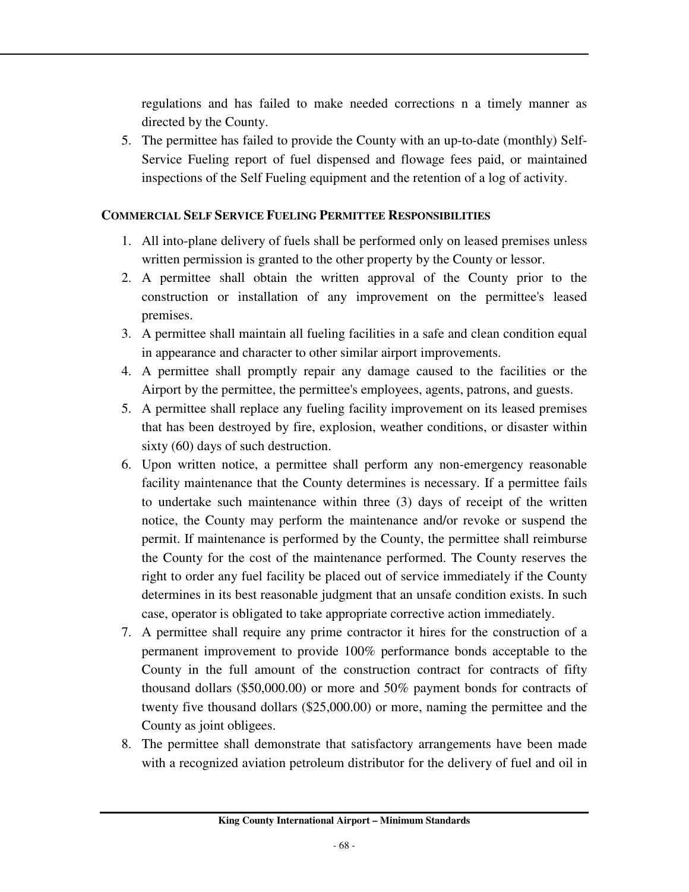regulations and has failed to make needed corrections n a timely manner as directed by the County.

5. The permittee has failed to provide the County with an up-to-date (monthly) Self-Service Fueling report of fuel dispensed and flowage fees paid, or maintained inspections of the Self Fueling equipment and the retention of a log of activity.

## **COMMERCIAL SELF SERVICE FUELING PERMITTEE RESPONSIBILITIES**

- 1. All into-plane delivery of fuels shall be performed only on leased premises unless written permission is granted to the other property by the County or lessor.
- 2. A permittee shall obtain the written approval of the County prior to the construction or installation of any improvement on the permittee's leased premises.
- 3. A permittee shall maintain all fueling facilities in a safe and clean condition equal in appearance and character to other similar airport improvements.
- 4. A permittee shall promptly repair any damage caused to the facilities or the Airport by the permittee, the permittee's employees, agents, patrons, and guests.
- 5. A permittee shall replace any fueling facility improvement on its leased premises that has been destroyed by fire, explosion, weather conditions, or disaster within sixty (60) days of such destruction.
- 6. Upon written notice, a permittee shall perform any non-emergency reasonable facility maintenance that the County determines is necessary. If a permittee fails to undertake such maintenance within three (3) days of receipt of the written notice, the County may perform the maintenance and/or revoke or suspend the permit. If maintenance is performed by the County, the permittee shall reimburse the County for the cost of the maintenance performed. The County reserves the right to order any fuel facility be placed out of service immediately if the County determines in its best reasonable judgment that an unsafe condition exists. In such case, operator is obligated to take appropriate corrective action immediately.
- 7. A permittee shall require any prime contractor it hires for the construction of a permanent improvement to provide 100% performance bonds acceptable to the County in the full amount of the construction contract for contracts of fifty thousand dollars (\$50,000.00) or more and 50% payment bonds for contracts of twenty five thousand dollars (\$25,000.00) or more, naming the permittee and the County as joint obligees.
- 8. The permittee shall demonstrate that satisfactory arrangements have been made with a recognized aviation petroleum distributor for the delivery of fuel and oil in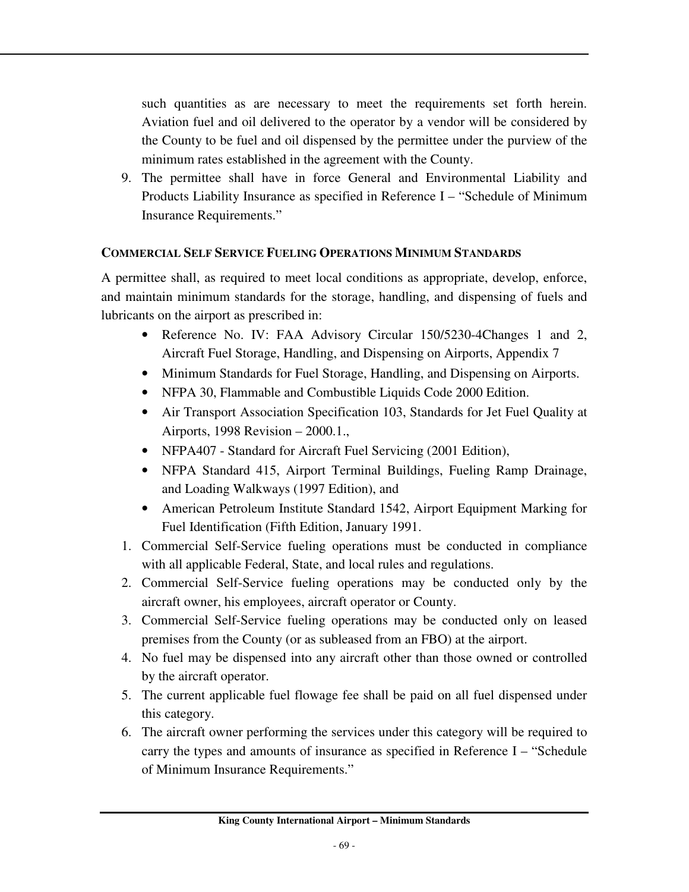such quantities as are necessary to meet the requirements set forth herein. Aviation fuel and oil delivered to the operator by a vendor will be considered by the County to be fuel and oil dispensed by the permittee under the purview of the minimum rates established in the agreement with the County.

9. The permittee shall have in force General and Environmental Liability and Products Liability Insurance as specified in Reference I – "Schedule of Minimum Insurance Requirements."

#### **COMMERCIAL SELF SERVICE FUELING OPERATIONS MINIMUM STANDARDS**

A permittee shall, as required to meet local conditions as appropriate, develop, enforce, and maintain minimum standards for the storage, handling, and dispensing of fuels and lubricants on the airport as prescribed in:

- Reference No. IV: FAA Advisory Circular 150/5230-4Changes 1 and 2, Aircraft Fuel Storage, Handling, and Dispensing on Airports, Appendix 7
- Minimum Standards for Fuel Storage, Handling, and Dispensing on Airports.
- NFPA 30, Flammable and Combustible Liquids Code 2000 Edition.
- Air Transport Association Specification 103, Standards for Jet Fuel Quality at Airports, 1998 Revision – 2000.1.,
- NFPA407 Standard for Aircraft Fuel Servicing (2001 Edition),
- NFPA Standard 415, Airport Terminal Buildings, Fueling Ramp Drainage, and Loading Walkways (1997 Edition), and
- American Petroleum Institute Standard 1542, Airport Equipment Marking for Fuel Identification (Fifth Edition, January 1991.
- 1. Commercial Self-Service fueling operations must be conducted in compliance with all applicable Federal, State, and local rules and regulations.
- 2. Commercial Self-Service fueling operations may be conducted only by the aircraft owner, his employees, aircraft operator or County.
- 3. Commercial Self-Service fueling operations may be conducted only on leased premises from the County (or as subleased from an FBO) at the airport.
- 4. No fuel may be dispensed into any aircraft other than those owned or controlled by the aircraft operator.
- 5. The current applicable fuel flowage fee shall be paid on all fuel dispensed under this category.
- 6. The aircraft owner performing the services under this category will be required to carry the types and amounts of insurance as specified in Reference I – "Schedule of Minimum Insurance Requirements."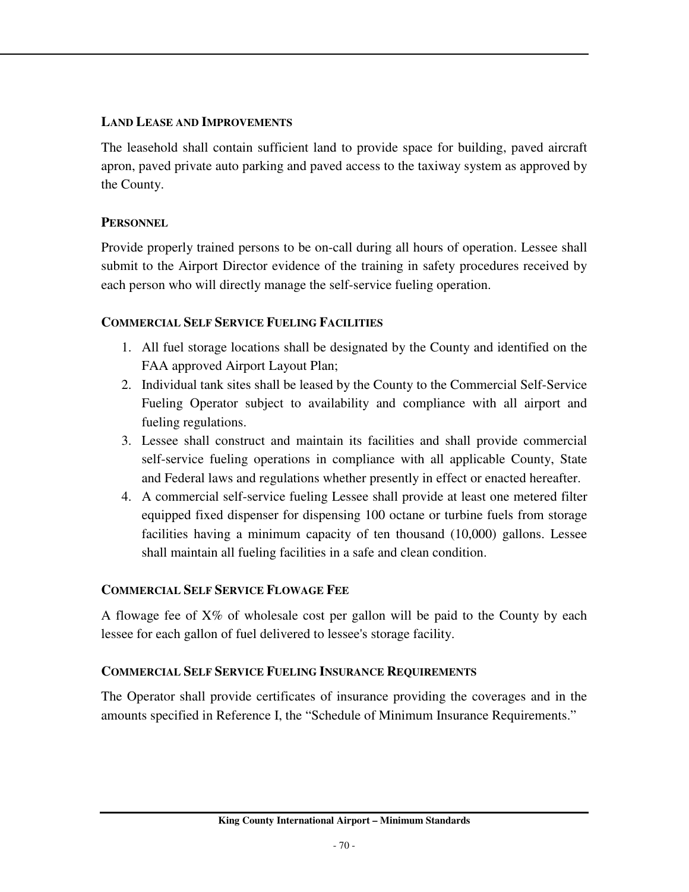#### **LAND LEASE AND IMPROVEMENTS**

The leasehold shall contain sufficient land to provide space for building, paved aircraft apron, paved private auto parking and paved access to the taxiway system as approved by the County.

#### **PERSONNEL**

Provide properly trained persons to be on-call during all hours of operation. Lessee shall submit to the Airport Director evidence of the training in safety procedures received by each person who will directly manage the self-service fueling operation.

#### **COMMERCIAL SELF SERVICE FUELING FACILITIES**

- 1. All fuel storage locations shall be designated by the County and identified on the FAA approved Airport Layout Plan;
- 2. Individual tank sites shall be leased by the County to the Commercial Self-Service Fueling Operator subject to availability and compliance with all airport and fueling regulations.
- 3. Lessee shall construct and maintain its facilities and shall provide commercial self-service fueling operations in compliance with all applicable County, State and Federal laws and regulations whether presently in effect or enacted hereafter.
- 4. A commercial self-service fueling Lessee shall provide at least one metered filter equipped fixed dispenser for dispensing 100 octane or turbine fuels from storage facilities having a minimum capacity of ten thousand (10,000) gallons. Lessee shall maintain all fueling facilities in a safe and clean condition.

#### **COMMERCIAL SELF SERVICE FLOWAGE FEE**

A flowage fee of X% of wholesale cost per gallon will be paid to the County by each lessee for each gallon of fuel delivered to lessee's storage facility.

#### **COMMERCIAL SELF SERVICE FUELING INSURANCE REQUIREMENTS**

The Operator shall provide certificates of insurance providing the coverages and in the amounts specified in Reference I, the "Schedule of Minimum Insurance Requirements."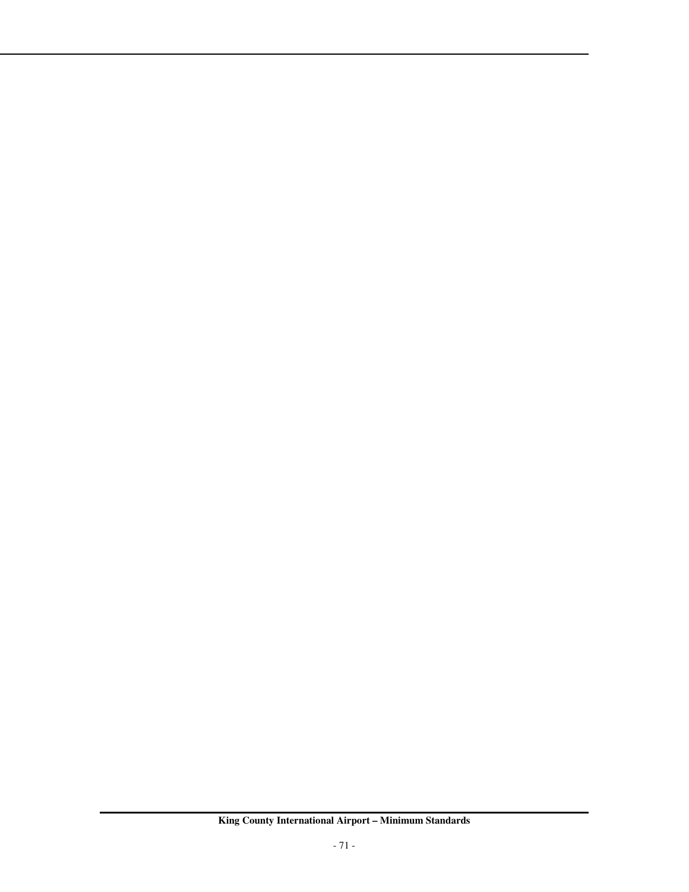#### **King County International Airport – Minimum Standards**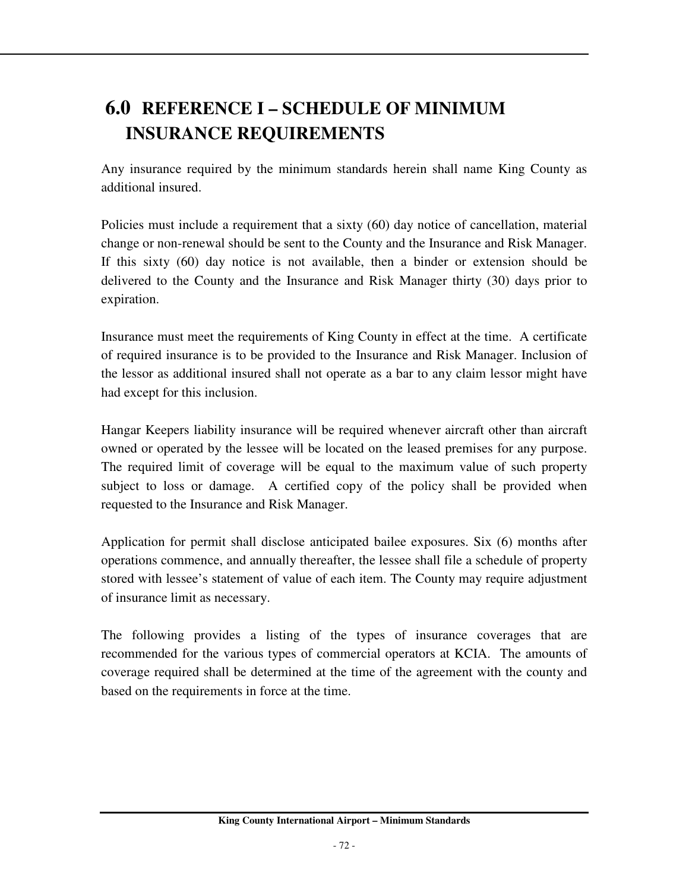# **6.0 REFERENCE I – SCHEDULE OF MINIMUM INSURANCE REQUIREMENTS**

Any insurance required by the minimum standards herein shall name King County as additional insured.

Policies must include a requirement that a sixty (60) day notice of cancellation, material change or non-renewal should be sent to the County and the Insurance and Risk Manager. If this sixty (60) day notice is not available, then a binder or extension should be delivered to the County and the Insurance and Risk Manager thirty (30) days prior to expiration.

Insurance must meet the requirements of King County in effect at the time. A certificate of required insurance is to be provided to the Insurance and Risk Manager. Inclusion of the lessor as additional insured shall not operate as a bar to any claim lessor might have had except for this inclusion.

Hangar Keepers liability insurance will be required whenever aircraft other than aircraft owned or operated by the lessee will be located on the leased premises for any purpose. The required limit of coverage will be equal to the maximum value of such property subject to loss or damage. A certified copy of the policy shall be provided when requested to the Insurance and Risk Manager.

Application for permit shall disclose anticipated bailee exposures. Six (6) months after operations commence, and annually thereafter, the lessee shall file a schedule of property stored with lessee's statement of value of each item. The County may require adjustment of insurance limit as necessary.

The following provides a listing of the types of insurance coverages that are recommended for the various types of commercial operators at KCIA. The amounts of coverage required shall be determined at the time of the agreement with the county and based on the requirements in force at the time.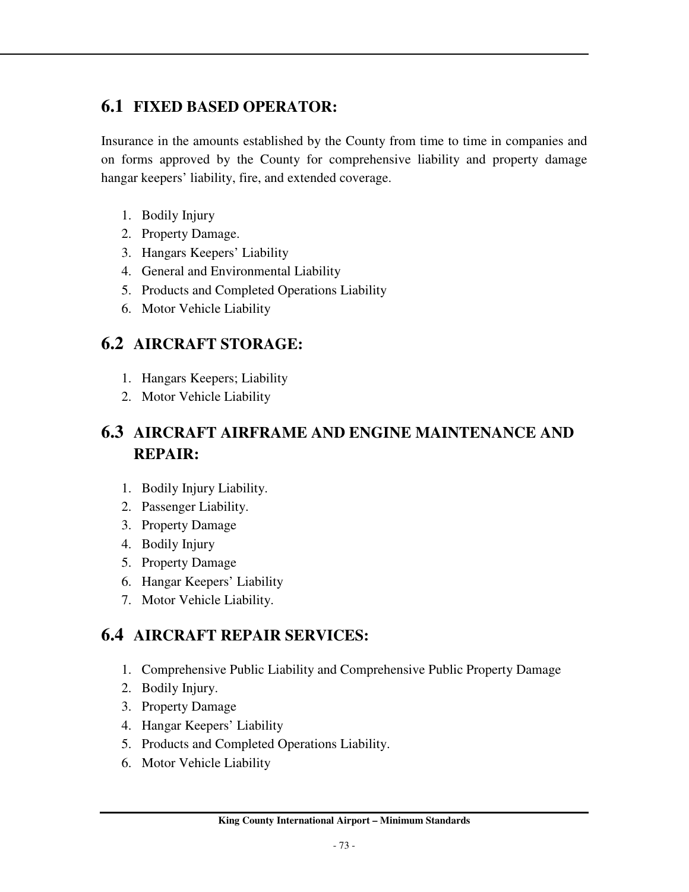## **6.1 FIXED BASED OPERATOR:**

Insurance in the amounts established by the County from time to time in companies and on forms approved by the County for comprehensive liability and property damage hangar keepers' liability, fire, and extended coverage.

- 1. Bodily Injury
- 2. Property Damage.
- 3. Hangars Keepers' Liability
- 4. General and Environmental Liability
- 5. Products and Completed Operations Liability
- 6. Motor Vehicle Liability

### **6.2 AIRCRAFT STORAGE:**

- 1. Hangars Keepers; Liability
- 2. Motor Vehicle Liability

## **6.3 AIRCRAFT AIRFRAME AND ENGINE MAINTENANCE AND REPAIR:**

- 1. Bodily Injury Liability.
- 2. Passenger Liability.
- 3. Property Damage
- 4. Bodily Injury
- 5. Property Damage
- 6. Hangar Keepers' Liability
- 7. Motor Vehicle Liability.

### **6.4 AIRCRAFT REPAIR SERVICES:**

- 1. Comprehensive Public Liability and Comprehensive Public Property Damage
- 2. Bodily Injury.
- 3. Property Damage
- 4. Hangar Keepers' Liability
- 5. Products and Completed Operations Liability.
- 6. Motor Vehicle Liability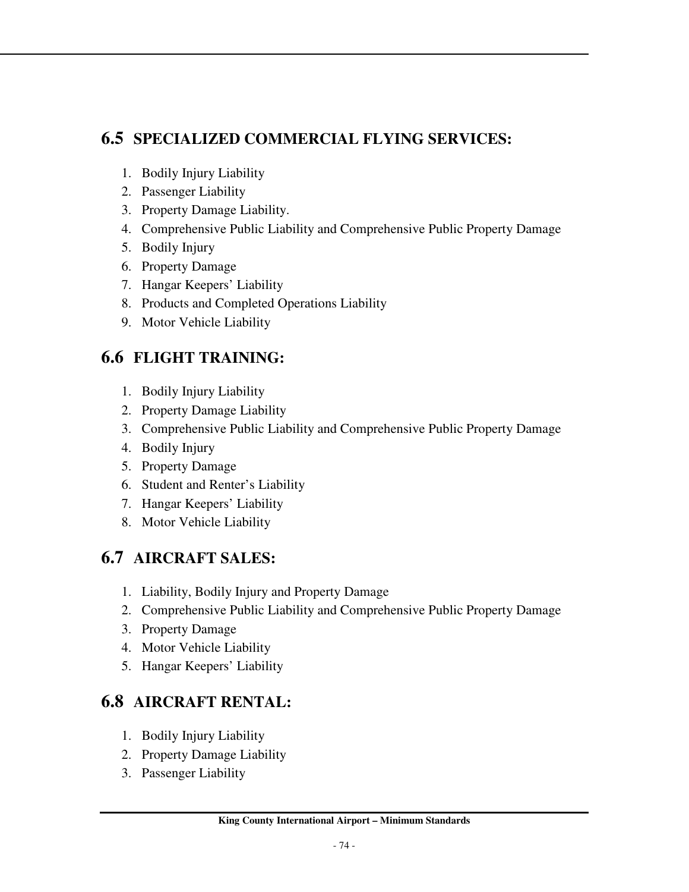#### **6.5 SPECIALIZED COMMERCIAL FLYING SERVICES:**

- 1. Bodily Injury Liability
- 2. Passenger Liability
- 3. Property Damage Liability.
- 4. Comprehensive Public Liability and Comprehensive Public Property Damage
- 5. Bodily Injury
- 6. Property Damage
- 7. Hangar Keepers' Liability
- 8. Products and Completed Operations Liability
- 9. Motor Vehicle Liability

### **6.6 FLIGHT TRAINING:**

- 1. Bodily Injury Liability
- 2. Property Damage Liability
- 3. Comprehensive Public Liability and Comprehensive Public Property Damage
- 4. Bodily Injury
- 5. Property Damage
- 6. Student and Renter's Liability
- 7. Hangar Keepers' Liability
- 8. Motor Vehicle Liability

### **6.7 AIRCRAFT SALES:**

- 1. Liability, Bodily Injury and Property Damage
- 2. Comprehensive Public Liability and Comprehensive Public Property Damage
- 3. Property Damage
- 4. Motor Vehicle Liability
- 5. Hangar Keepers' Liability

### **6.8 AIRCRAFT RENTAL:**

- 1. Bodily Injury Liability
- 2. Property Damage Liability
- 3. Passenger Liability